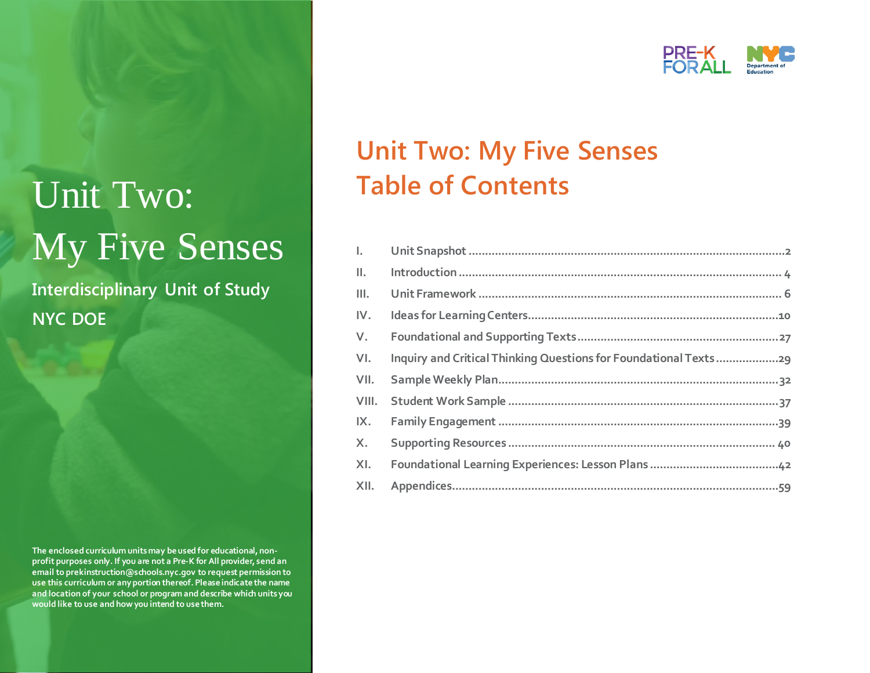# Unit Two: My Five Senses

**Interdisciplinary Unit of Study NYC DOE**

**The enclosed curriculum units may be used for educational, nonprofit purposes only. If you are not a Pre-K for All provider, send an email to prekinstruction@schools.nyc.gov to request permission to use this curriculum or any portion thereof. Please indicate the name and location of your school or program and describe which units you would like to use and how you intend to use them.**



## **Unit Two: My Five Senses Table of Contents**

| L. Co |  |
|-------|--|
| Ш.    |  |
| Ш.    |  |
| IV.   |  |
| V.    |  |
| VI.   |  |
| VII.  |  |
| VIII. |  |
| IX.   |  |
| X.    |  |
| XI.   |  |
|       |  |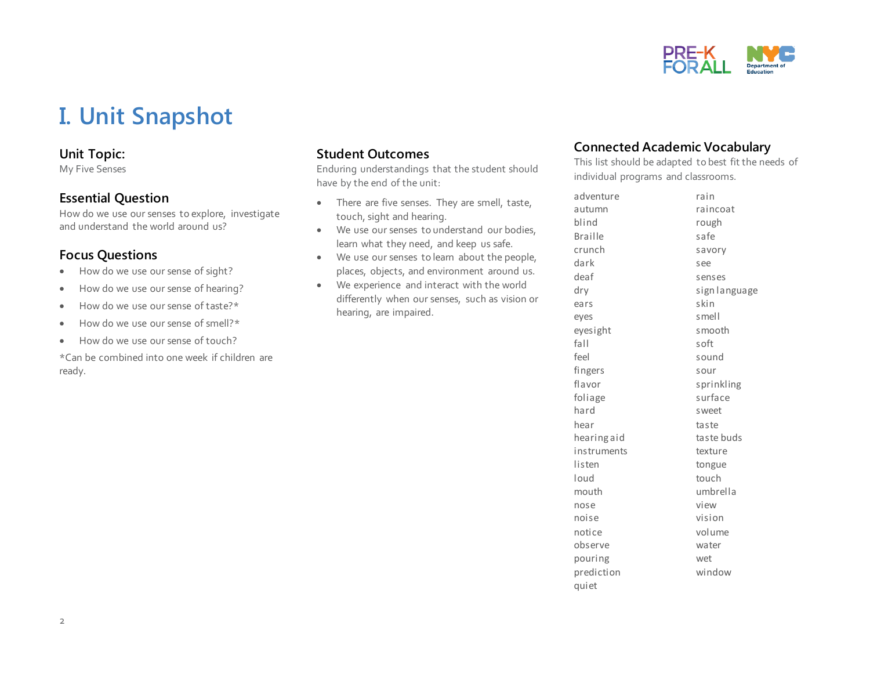

## **I. Unit Snapshot**

#### **Unit Topic:**

My Five Senses

#### **Essential Question**

How do we use our senses to explore, investigate and understand the world around us?

#### **Focus Questions**

- How do we use our sense of sight?
- How do we use our sense of hearing?
- How do we use our sense of taste?\*
- How do we use our sense of smell?\*
- How do we use our sense of touch?

\*Can be combined into one week if children are ready.

#### **Student Outcomes**

Enduring understandings that the student should have by the end of the unit:

- There are five senses. They are smell, taste, touch, sight and hearing.
- We use our senses to understand our bodies, learn what they need, and keep us safe.
- We use our senses to learn about the people, places, objects, and environment around us.
- We experience and interact with the world differently when our senses, such as vision or hearing, are impaired.

#### **Connected Academic Vocabulary**

This list should be adapted to best fit the needs of individual programs and classrooms.

| adventure      | rain          |
|----------------|---------------|
| autumn         | raincoat      |
| blind          | rough         |
| <b>Braille</b> | safe          |
| crunch         | savory        |
| dark           | see           |
| deaf           | senses        |
| dry            | sign language |
| ears           | skin          |
| eyes           | smell         |
| eyesight       | smooth        |
| fall           | soft          |
| feel           | sound         |
| fingers        | sour          |
| flavor         | sprinkling    |
| foliage        | surface       |
| hard           | sweet         |
| hear           | taste         |
| hearing aid    | taste buds    |
| instruments    | texture       |
| listen         | tongue        |
| loud           | touch         |
| mouth          | umbrella      |
| nose           | view          |
| noise          | vision        |
| notice         | volume        |
| observe        | water         |
| pouring        | wet           |
| prediction     | window        |
| quiet          |               |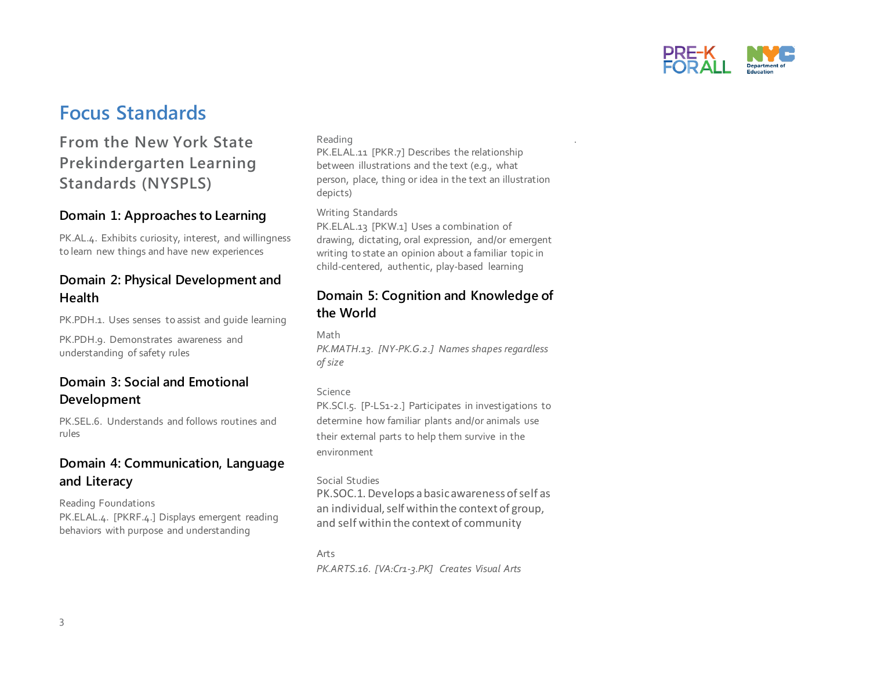

### **Focus Standards**

### **From the New York State Prekindergarten Learning Standards (NYSPLS)**

#### **Domain 1: Approaches to Learning**

PK.AL.4. Exhibits curiosity, interest, and willingness to learn new things and have new experiences

#### **Domain 2: Physical Development and Health**

PK.PDH.1. Uses senses to assist and quide learning

PK.PDH.9. Demonstrates awareness and understanding of safety rules

#### **Domain 3: Social and Emotional Development**

PK.SEL.6. Understands and follows routines and rules

#### **Domain 4: Communication, Language and Literacy**

Reading Foundations PK.ELAL.4. [PKRF.4.] Displays emergent reading behaviors with purpose and understanding

#### Reading

PK.ELAL.11 [PKR.7] Describes the relationship between illustrations and the text (e.g., what person, place, thing or idea in the text an illustration depicts)

.

Writing Standards

PK.ELAL.13 [PKW.1] Uses a combination of drawing, dictating, oral expression, and/or emergent writing to state an opinion about a familiar topic in child-centered, authentic, play-based learning

#### **Domain 5: Cognition and Knowledge of the World**

Math

*PK.MATH.13. [NY-PK.G.2.] Names shapes regardless of size*

#### Science

PK.SCI.5. [P-LS1-2.] Participates in investigations to determine how familiar plants and/or animals use their external parts to help them survive in the environment

#### Social Studies

PK.SOC.1. Develops a basic awareness of self as an individual, self within the context of group, and self within the context of community

Arts *PK.ARTS.16. [VA:Cr1-3.PK] Creates Visual Arts*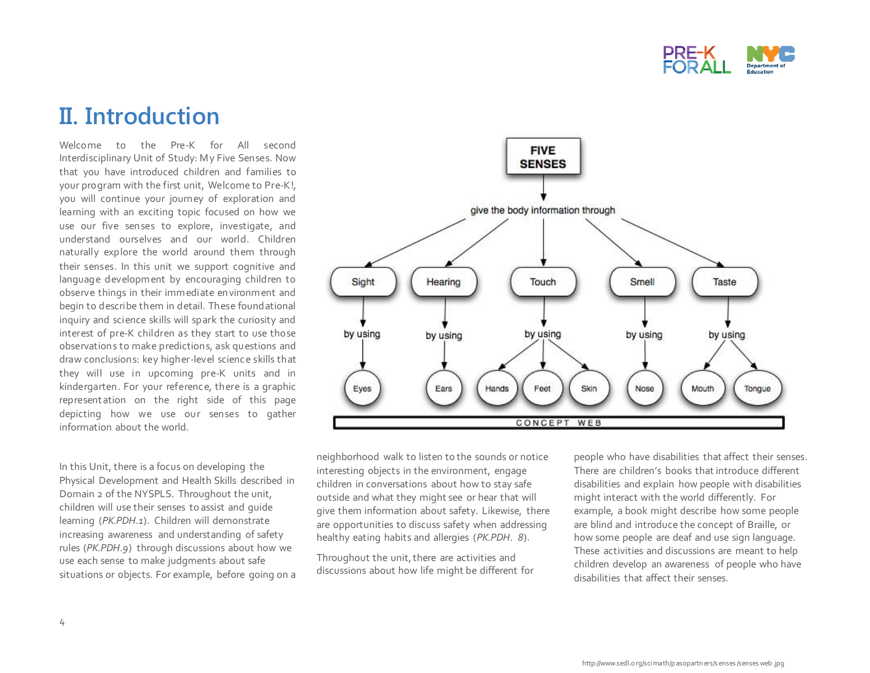

## **II. Introduction**

Welcome to the Pre-K for All second Interdisciplinary Unit of Study: My Five Senses. Now that you have introduced children and families to your program with the first unit, Welcome to Pre-K!, you will continue your journey of exploration and learning with an exciting topic focused on how we use our five senses to explore, investigate, and understand ourselves and our world. Children naturally explore the world around them through their senses. In this unit we support cognitive and language development by encouraging children to observe things in their immediate environment and begin to describe them in detail. These foundational inquiry and science skills will spark the curiosity and interest of pre-K children as they start to use those observations to make predictions, ask questions and draw conclusions: key higher-level science skills that they will use in upcoming pre-K units and in kindergarten. For your reference, there is a graphic represent ation on the right side of this page depicting how we use our senses to gather information about the world.

In this Unit, there is a focus on developing the Physical Development and Health Skills described in Domain 2 of the NYSPLS. Throughout the unit, children will use their senses to assist and guide learning (*PK.PDH.1*). Children will demonstrate increasing awareness and understanding of safety rules (*PK.PDH.9*) through discussions about how we use each sense to make judgments about safe situations or objects. For example, before going on a



neighborhood walk to listen to the sounds or notice interesting objects in the environment, engage children in conversations about how to stay safe outside and what they might see or hear that will give them information about safety. Likewise, there are opportunities to discuss safety when addressing healthy eating habits and allergies (*PK.PDH. 8*).

Throughout the unit, there are activities and discussions about how life might be different for people who have disabilities that affect their senses. There are children's books that introduce different disabilities and explain how people with disabilities might interact with the world differently. For example, a book might describe how some people are blind and introduce the concept of Braille, or how some people are deaf and use sign language. These activities and discussions are meant to help children develop an awareness of people who have disabilities that affect their senses.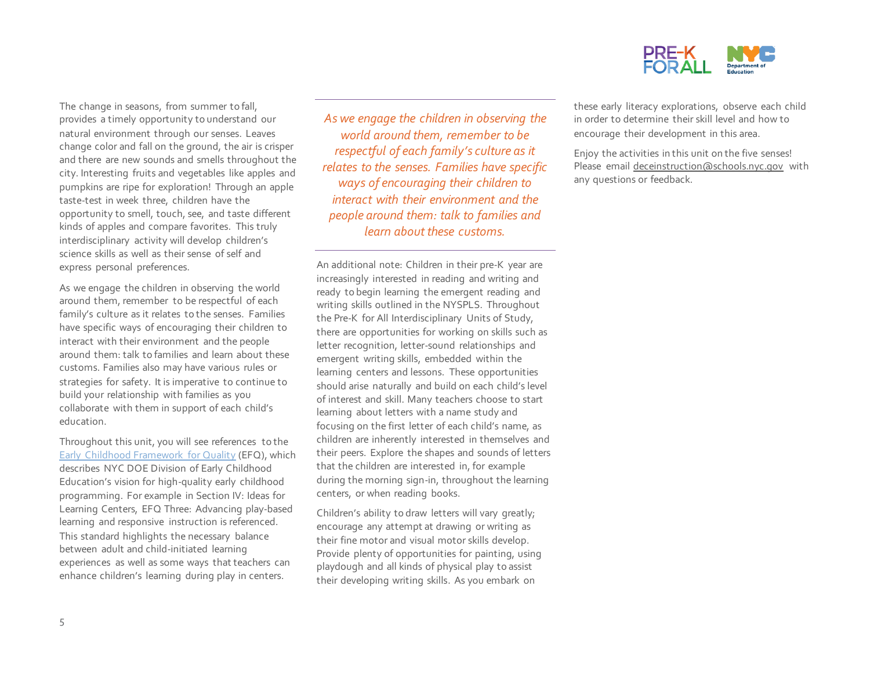

The change in seasons, from summer to fall, provides a timely opportunity to understand our natural environment through our senses. Leaves change color and fall on the ground, the air is crisper and there are new sounds and smells throughout the city. Interesting fruits and vegetables like apples and pumpkins are ripe for exploration! Through an apple taste-test in week three, children have the opportunity to smell, touch, see, and taste different kinds of apples and compare favorites. This truly interdisciplinary activity will develop children's science skills as well as their sense of self and express personal preferences.

As we engage the children in observing the world around them, remember to be respectful of each family's culture as it relates to the senses. Families have specific ways of encouraging their children to interact with their environment and the people around them: talk to families and learn about these customs. Families also may have various rules or strategies for safety. It is imperative to continue to build your relationship with families as you collaborate with them in support of each child's education.

Throughout this unit, you will see references to the [Early Childhood Framework for Quality](https://infohub.nyced.org/docs/default-source/default-document-library/early-childhood-framework-for-quality.pdf) (EFQ), which describes NYC DOE Division of Early Childhood Education's vision for high-quality early childhood programming. For example in Section IV: Ideas for Learning Centers, EFQ Three: Advancing play-based learning and responsive instruction is referenced. This standard highlights the necessary balance between adult and child-initiated learning experiences as well as some ways that teachers can enhance children's learning during play in centers.

*As we engage the children in observing the world around them, remember to be respectful of each family's culture as it relates to the senses. Families have specific ways of encouraging their children to interact with their environment and the people around them: talk to families and learn about these customs.* 

An additional note: Children in their pre-K year are increasingly interested in reading and writing and ready to begin learning the emergent reading and writing skills outlined in the NYSPLS. Throughout the Pre-K for All Interdisciplinary Units of Study, there are opportunities for working on skills such as letter recognition, letter-sound relationships and emergent writing skills, embedded within the learning centers and lessons. These opportunities should arise naturally and build on each child's level of interest and skill. Many teachers choose to start learning about letters with a name study and focusing on the first letter of each child's name, as children are inherently interested in themselves and their peers. Explore the shapes and sounds of letters that the children are interested in, for example during the morning sign-in, throughout the learning centers, or when reading books.

Children's ability to draw letters will vary greatly; encourage any attempt at drawing or writing as their fine motor and visual motor skills develop. Provide plenty of opportunities for painting, using playdough and all kinds of physical play to assist their developing writing skills. As you embark on

these early literacy explorations, observe each child in order to determine their skill level and how to encourage their development in this area.

Enjoy the activities in this unit on the five senses! Please emai[l deceinstruction@schools.nyc.gov](mailto:prekinstruction@schools.nyc.gov) with any questions or feedback.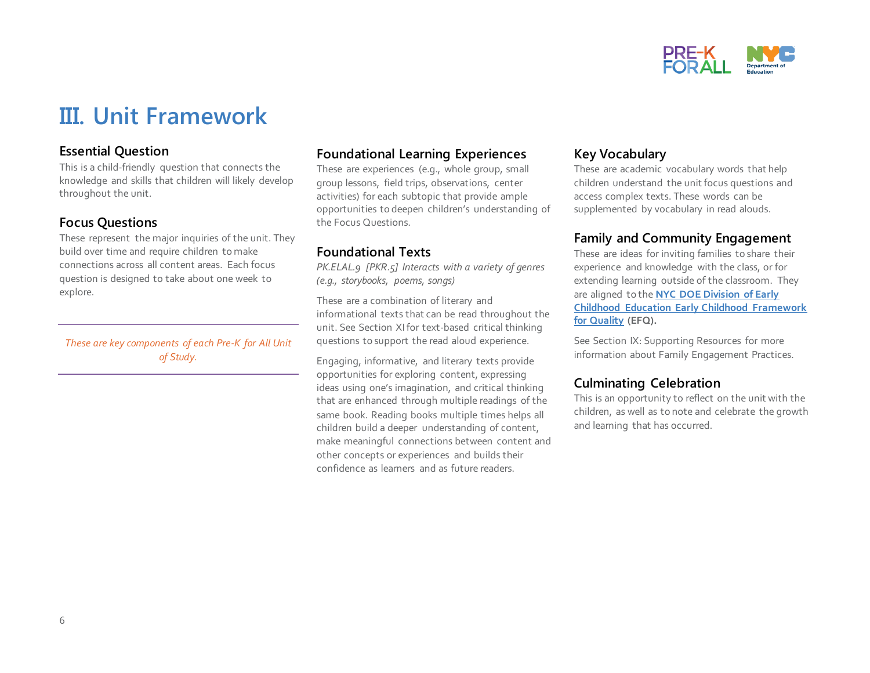

## **III. Unit Framework**

#### **Essential Question**

This is a child-friendly question that connects the knowledge and skills that children will likely develop throughout the unit.

#### **Focus Questions**

These represent the major inquiries of the unit. They build over time and require children to make connections across all content areas. Each focus question is designed to take about one week to explore.

*These are key components of each Pre-K for All Unit of Study.* 

#### **Foundational Learning Experiences**

These are experiences (e.g., whole group, small group lessons, field trips, observations, center activities) for each subtopic that provide ample opportunities to deepen children's understanding of the Focus Questions.

#### **Foundational Texts**

*PK.ELAL.9 [PKR.5] Interacts with a variety of genres (e.g., storybooks, poems, songs)*

These are a combination of literary and informational texts that can be read throughout the unit. See Section XIfor text-based critical thinking questions to support the read aloud experience.

Engaging, informative, and literary texts provide opportunities for exploring content, expressing ideas using one's imagination, and critical thinking that are enhanced through multiple readings of the same book. Reading books multiple times helps all children build a deeper understanding of content, make meaningful connections between content and other concepts or experiences and builds their confidence as learners and as future readers.

#### **Key Vocabulary**

These are academic vocabulary words that help children understand the unit focus questions and access complex texts. These words can be supplemented by vocabulary in read alouds.

#### **Family and Community Engagement**

These are ideas for inviting families to share their experience and knowledge with the class, or for extending learning outside of the classroom. They are aligned to the **[NYC DOE Division of Early](https://infohub.nyced.org/docs/default-source/default-document-library/early-childhood-framework-for-quality.pdf)  [Childhood Education Early Childhood Framework](https://infohub.nyced.org/docs/default-source/default-document-library/early-childhood-framework-for-quality.pdf)  [for Quality](https://infohub.nyced.org/docs/default-source/default-document-library/early-childhood-framework-for-quality.pdf) (EFQ).**

See Section IX: Supporting Resources for more information about Family Engagement Practices.

#### **Culminating Celebration**

This is an opportunity to reflect on the unit with the children, as well as to note and celebrate the growth and learning that has occurred.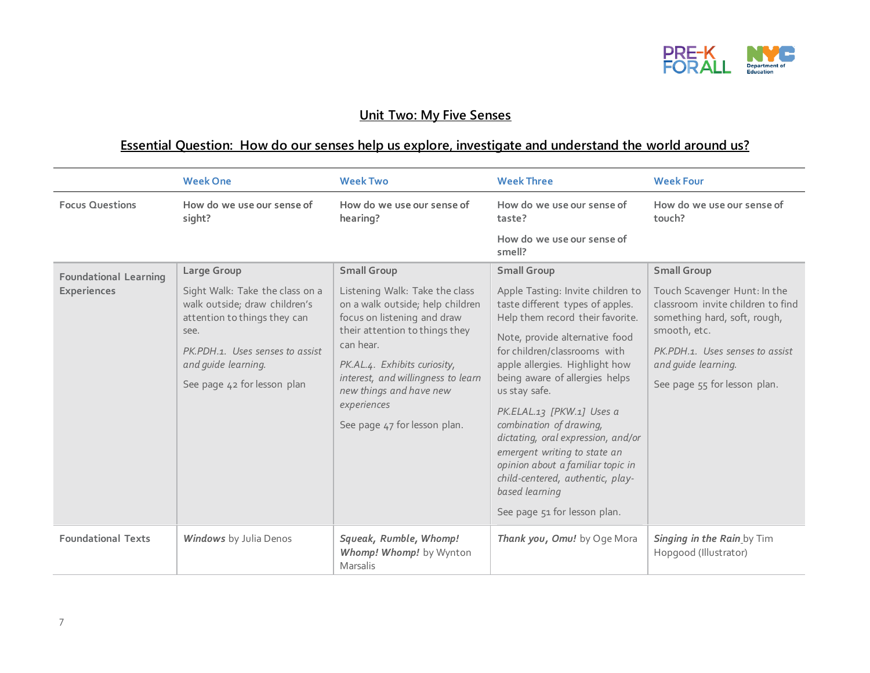

### **Unit Two: My Five Senses**

### **Essential Question: How do our senses help us explore, investigate and understand the world around us?**

|                                                    | <b>Week One</b>                                                                                                                                                                                                  | <b>Week Two</b>                                                                                                                                                                                                                                                                                                        | <b>Week Three</b>                                                                                                                                                                                                                                                                                                                                                                                                                                                                                               | <b>Week Four</b>                                                                                                                                                                                                                  |
|----------------------------------------------------|------------------------------------------------------------------------------------------------------------------------------------------------------------------------------------------------------------------|------------------------------------------------------------------------------------------------------------------------------------------------------------------------------------------------------------------------------------------------------------------------------------------------------------------------|-----------------------------------------------------------------------------------------------------------------------------------------------------------------------------------------------------------------------------------------------------------------------------------------------------------------------------------------------------------------------------------------------------------------------------------------------------------------------------------------------------------------|-----------------------------------------------------------------------------------------------------------------------------------------------------------------------------------------------------------------------------------|
| <b>Focus Questions</b>                             | How do we use our sense of<br>sight?                                                                                                                                                                             | How do we use our sense of<br>hearing?                                                                                                                                                                                                                                                                                 | How do we use our sense of<br>taste?                                                                                                                                                                                                                                                                                                                                                                                                                                                                            | How do we use our sense of<br>touch?                                                                                                                                                                                              |
|                                                    |                                                                                                                                                                                                                  |                                                                                                                                                                                                                                                                                                                        | How do we use our sense of<br>smell?                                                                                                                                                                                                                                                                                                                                                                                                                                                                            |                                                                                                                                                                                                                                   |
| <b>Foundational Learning</b><br><b>Experiences</b> | Large Group<br>Sight Walk: Take the class on a<br>walk outside; draw children's<br>attention to things they can<br>see.<br>PK.PDH.1. Uses senses to assist<br>and quide learning.<br>See page 42 for lesson plan | <b>Small Group</b><br>Listening Walk: Take the class<br>on a walk outside; help children<br>focus on listening and draw<br>their attention to things they<br>can hear.<br>PK.AL.4. Exhibits curiosity,<br>interest, and willingness to learn<br>new things and have new<br>experiences<br>See page 47 for lesson plan. | <b>Small Group</b><br>Apple Tasting: Invite children to<br>taste different types of apples.<br>Help them record their favorite.<br>Note, provide alternative food<br>for children/classrooms with<br>apple allergies. Highlight how<br>being aware of allergies helps<br>us stay safe.<br>PK.ELAL.13 [PKW.1] Uses a<br>combination of drawing,<br>dictating, oral expression, and/or<br>emergent writing to state an<br>opinion about a familiar topic in<br>child-centered, authentic, play-<br>based learning | <b>Small Group</b><br>Touch Scavenger Hunt: In the<br>classroom invite children to find<br>something hard, soft, rough,<br>smooth, etc.<br>PK.PDH.1. Uses senses to assist<br>and quide learning.<br>See page 55 for lesson plan. |
|                                                    |                                                                                                                                                                                                                  |                                                                                                                                                                                                                                                                                                                        | See page 51 for lesson plan.                                                                                                                                                                                                                                                                                                                                                                                                                                                                                    |                                                                                                                                                                                                                                   |
| <b>Foundational Texts</b>                          | <b>Windows</b> by Julia Denos                                                                                                                                                                                    | Squeak, Rumble, Whomp!<br>Whomp! Whomp! by Wynton<br>Marsalis                                                                                                                                                                                                                                                          | Thank you, Omu! by Oge Mora                                                                                                                                                                                                                                                                                                                                                                                                                                                                                     | Singing in the Rain by Tim<br>Hopgood (Illustrator)                                                                                                                                                                               |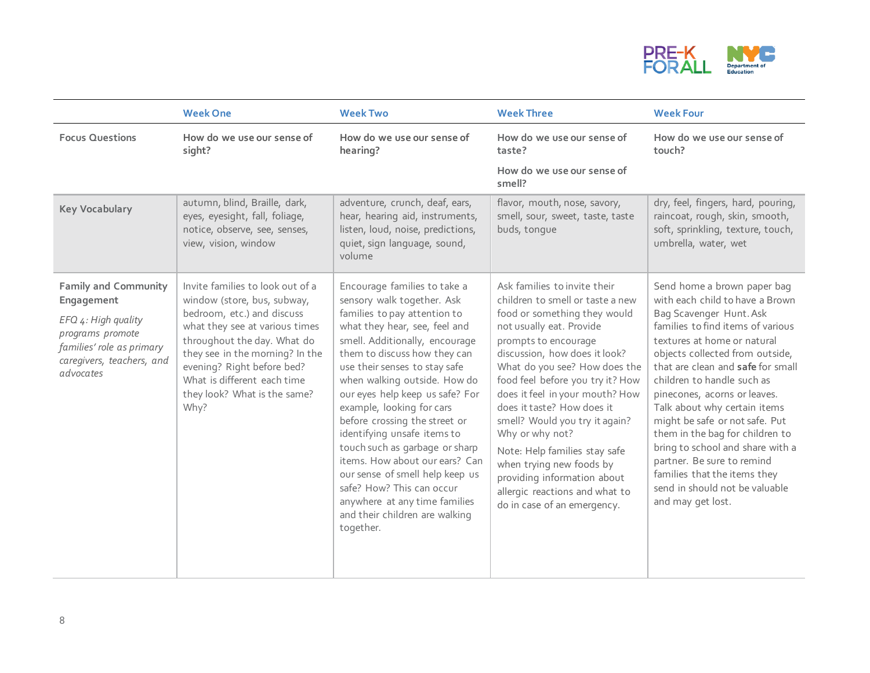

|                                                                                                                                                             | <b>Week One</b>                                                                                                                                                                                                                                                                                        | <b>Week Two</b>                                                                                                                                                                                                                                                                                                                                                                                                                                                                                                                                                                                                    | <b>Week Three</b>                                                                                                                                                                                                                                                                                                                                                                                                                                                                                                                             | <b>Week Four</b>                                                                                                                                                                                                                                                                                                                                                                                                                                                                                                                                                  |
|-------------------------------------------------------------------------------------------------------------------------------------------------------------|--------------------------------------------------------------------------------------------------------------------------------------------------------------------------------------------------------------------------------------------------------------------------------------------------------|--------------------------------------------------------------------------------------------------------------------------------------------------------------------------------------------------------------------------------------------------------------------------------------------------------------------------------------------------------------------------------------------------------------------------------------------------------------------------------------------------------------------------------------------------------------------------------------------------------------------|-----------------------------------------------------------------------------------------------------------------------------------------------------------------------------------------------------------------------------------------------------------------------------------------------------------------------------------------------------------------------------------------------------------------------------------------------------------------------------------------------------------------------------------------------|-------------------------------------------------------------------------------------------------------------------------------------------------------------------------------------------------------------------------------------------------------------------------------------------------------------------------------------------------------------------------------------------------------------------------------------------------------------------------------------------------------------------------------------------------------------------|
| <b>Focus Questions</b>                                                                                                                                      | How do we use our sense of<br>sight?                                                                                                                                                                                                                                                                   | How do we use our sense of<br>hearing?                                                                                                                                                                                                                                                                                                                                                                                                                                                                                                                                                                             | How do we use our sense of<br>taste?                                                                                                                                                                                                                                                                                                                                                                                                                                                                                                          | How do we use our sense of<br>touch?                                                                                                                                                                                                                                                                                                                                                                                                                                                                                                                              |
|                                                                                                                                                             |                                                                                                                                                                                                                                                                                                        |                                                                                                                                                                                                                                                                                                                                                                                                                                                                                                                                                                                                                    | How do we use our sense of<br>smell?                                                                                                                                                                                                                                                                                                                                                                                                                                                                                                          |                                                                                                                                                                                                                                                                                                                                                                                                                                                                                                                                                                   |
| <b>Key Vocabulary</b>                                                                                                                                       | autumn, blind, Braille, dark,<br>eyes, eyesight, fall, foliage,<br>notice, observe, see, senses,<br>view, vision, window                                                                                                                                                                               | adventure, crunch, deaf, ears,<br>hear, hearing aid, instruments,<br>listen, loud, noise, predictions,<br>quiet, sign language, sound,<br>volume                                                                                                                                                                                                                                                                                                                                                                                                                                                                   | flavor, mouth, nose, savory,<br>smell, sour, sweet, taste, taste<br>buds, tonque                                                                                                                                                                                                                                                                                                                                                                                                                                                              | dry, feel, fingers, hard, pouring,<br>raincoat, rough, skin, smooth,<br>soft, sprinkling, texture, touch,<br>umbrella, water, wet                                                                                                                                                                                                                                                                                                                                                                                                                                 |
| <b>Family and Community</b><br>Engagement<br>EFQ 4: High quality<br>programs promote<br>families' role as primary<br>caregivers, teachers, and<br>advocates | Invite families to look out of a<br>window (store, bus, subway,<br>bedroom, etc.) and discuss<br>what they see at various times<br>throughout the day. What do<br>they see in the morning? In the<br>evening? Right before bed?<br>What is different each time<br>they look? What is the same?<br>Why? | Encourage families to take a<br>sensory walk together. Ask<br>families to pay attention to<br>what they hear, see, feel and<br>smell. Additionally, encourage<br>them to discuss how they can<br>use their senses to stay safe<br>when walking outside. How do<br>our eyes help keep us safe? For<br>example, looking for cars<br>before crossing the street or<br>identifying unsafe items to<br>touch such as garbage or sharp<br>items. How about our ears? Can<br>our sense of smell help keep us<br>safe? How? This can occur<br>anywhere at any time families<br>and their children are walking<br>together. | Ask families to invite their<br>children to smell or taste a new<br>food or something they would<br>not usually eat. Provide<br>prompts to encourage<br>discussion, how does it look?<br>What do you see? How does the<br>food feel before you try it? How<br>does it feel in your mouth? How<br>does it taste? How does it<br>smell? Would you try it again?<br>Why or why not?<br>Note: Help families stay safe<br>when trying new foods by<br>providing information about<br>allergic reactions and what to<br>do in case of an emergency. | Send home a brown paper bag<br>with each child to have a Brown<br>Bag Scavenger Hunt. Ask<br>families to find items of various<br>textures at home or natural<br>objects collected from outside,<br>that are clean and safe for small<br>children to handle such as<br>pinecones, acorns or leaves.<br>Talk about why certain items<br>might be safe or not safe. Put<br>them in the bag for children to<br>bring to school and share with a<br>partner. Be sure to remind<br>families that the items they<br>send in should not be valuable<br>and may get lost. |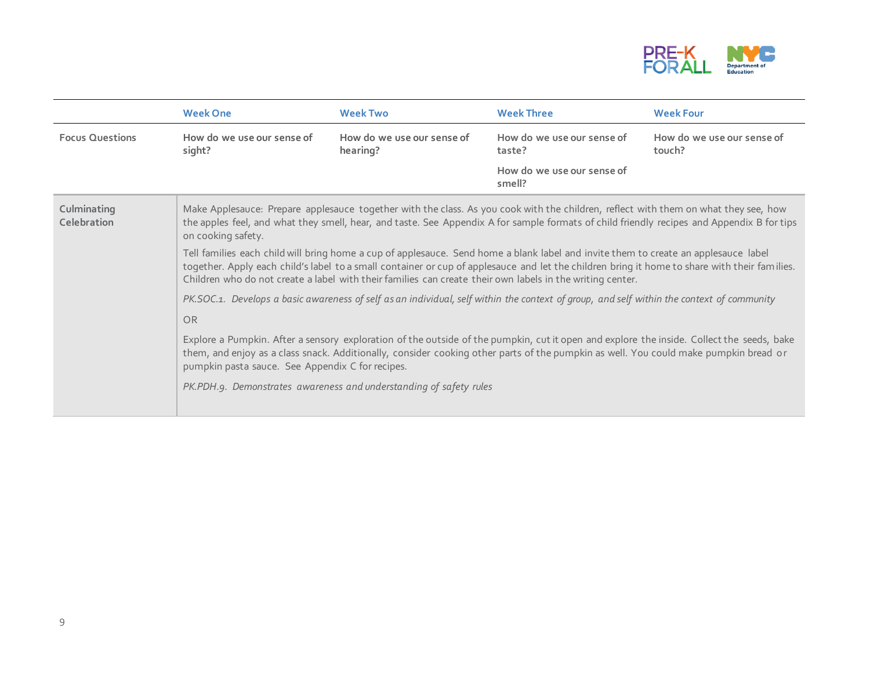

|                            | <b>Week One</b>                                                                                                                                                                                                                                                                                         | <b>Week Two</b>                                                                                                                                                                                                                                                                                                                                                                                   | <b>Week Three</b>                    | <b>Week Four</b>                     |  |  |
|----------------------------|---------------------------------------------------------------------------------------------------------------------------------------------------------------------------------------------------------------------------------------------------------------------------------------------------------|---------------------------------------------------------------------------------------------------------------------------------------------------------------------------------------------------------------------------------------------------------------------------------------------------------------------------------------------------------------------------------------------------|--------------------------------------|--------------------------------------|--|--|
| <b>Focus Questions</b>     | How do we use our sense of<br>sight?                                                                                                                                                                                                                                                                    | How do we use our sense of<br>hearing?                                                                                                                                                                                                                                                                                                                                                            | How do we use our sense of<br>taste? | How do we use our sense of<br>touch? |  |  |
|                            |                                                                                                                                                                                                                                                                                                         |                                                                                                                                                                                                                                                                                                                                                                                                   | How do we use our sense of<br>smell? |                                      |  |  |
| Culminating<br>Celebration | Make Applesauce: Prepare applesauce together with the class. As you cook with the children, reflect with them on what they see, how<br>the apples feel, and what they smell, hear, and taste. See Appendix A for sample formats of child friendly recipes and Appendix B for tips<br>on cooking safety. |                                                                                                                                                                                                                                                                                                                                                                                                   |                                      |                                      |  |  |
|                            |                                                                                                                                                                                                                                                                                                         | Tell families each child will bring home a cup of applesauce. Send home a blank label and invite them to create an applesauce label<br>together. Apply each child's label to a small container or cup of applesauce and let the children bring it home to share with their families.<br>Children who do not create a label with their families can create their own labels in the writing center. |                                      |                                      |  |  |
|                            |                                                                                                                                                                                                                                                                                                         | PK.SOC.1. Develops a basic awareness of self as an individual, self within the context of group, and self within the context of community                                                                                                                                                                                                                                                         |                                      |                                      |  |  |
|                            | OR                                                                                                                                                                                                                                                                                                      |                                                                                                                                                                                                                                                                                                                                                                                                   |                                      |                                      |  |  |
|                            | pumpkin pasta sauce. See Appendix C for recipes.                                                                                                                                                                                                                                                        | Explore a Pumpkin. After a sensory exploration of the outside of the pumpkin, cut it open and explore the inside. Collect the seeds, bake<br>them, and enjoy as a class snack. Additionally, consider cooking other parts of the pumpkin as well. You could make pumpkin bread or                                                                                                                 |                                      |                                      |  |  |
|                            |                                                                                                                                                                                                                                                                                                         | PK.PDH.9. Demonstrates awareness and understanding of safety rules                                                                                                                                                                                                                                                                                                                                |                                      |                                      |  |  |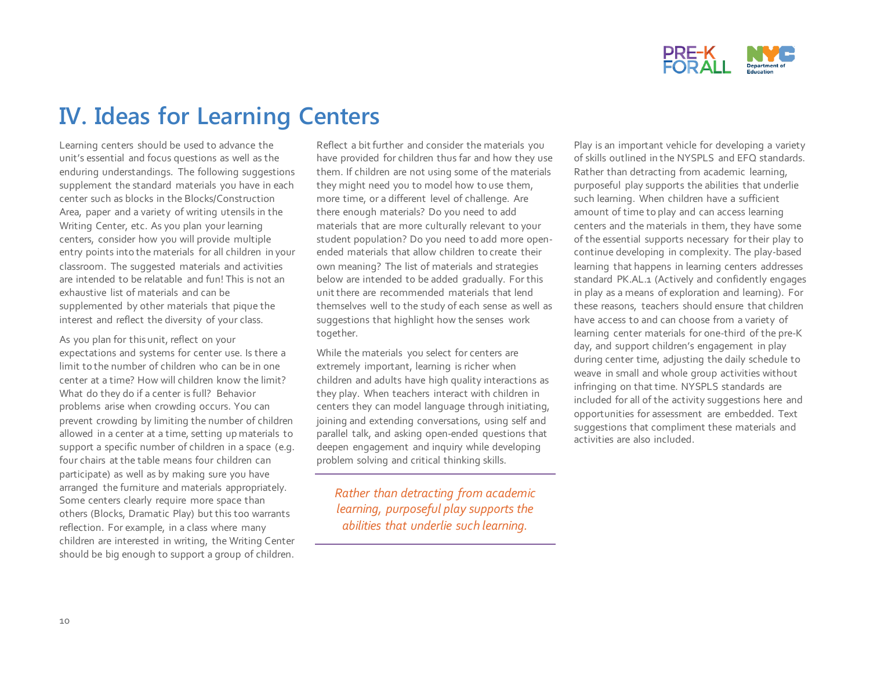

## **IV. Ideas for Learning Centers**

Learning centers should be used to advance the unit's essential and focus questions as well as the enduring understandings. The following suggestions supplement the standard materials you have in each center such as blocks in the Blocks/Construction Area, paper and a variety of writing utensils in the Writing Center, etc. As you plan your learning centers, consider how you will provide multiple entry points into the materials for all children in your classroom. The suggested materials and activities are intended to be relatable and fun! This is not an exhaustive list of materials and can be supplemented by other materials that pique the interest and reflect the diversity of your class.

As you plan for this unit, reflect on your expectations and systems for center use. Is there a limit to the number of children who can be in one center at a time? How will children know the limit? What do they do if a center is full? Behavior problems arise when crowding occurs. You can prevent crowding by limiting the number of children allowed in a center at a time, setting up materials to support a specific number of children in a space (e.g. four chairs at the table means four children can participate) as well as by making sure you have arranged the furniture and materials appropriately. Some centers clearly require more space than others (Blocks, Dramatic Play) but this too warrants reflection. For example, in a class where many children are interested in writing, the Writing Center should be big enough to support a group of children.

Reflect a bit further and consider the materials you have provided for children thus far and how they use them. If children are not using some of the materials they might need you to model how to use them, more time, or a different level of challenge. Are there enough materials? Do you need to add materials that are more culturally relevant to your student population? Do you need to add more openended materials that allow children to create their own meaning? The list of materials and strategies below are intended to be added gradually. For this unit there are recommended materials that lend themselves well to the study of each sense as well as suggestions that highlight how the senses work together.

While the materials you select for centers are extremely important, learning is richer when children and adults have high quality interactions as they play. When teachers interact with children in centers they can model language through initiating, joining and extending conversations, using self and parallel talk, and asking open-ended questions that deepen engagement and inquiry while developing problem solving and critical thinking skills.

*Rather than detracting from academic learning, purposeful play supports the abilities that underlie such learning.* 

Play is an important vehicle for developing a variety of skills outlined in the NYSPLS and EFQ standards. Rather than detracting from academic learning, purposeful play supports the abilities that underlie such learning. When children have a sufficient amount of time to play and can access learning centers and the materials in them, they have some of the essential supports necessary for their play to continue developing in complexity. The play-based learning that happens in learning centers addresses standard PK.AL.1 (Actively and confidently engages in play as a means of exploration and learning). For these reasons, teachers should ensure that children have access to and can choose from a variety of learning center materials for one-third of the pre-K day, and support children's engagement in play during center time, adjusting the daily schedule to weave in small and whole group activities without infringing on that time. NYSPLS standards are included for all of the activity suggestions here and opportunities for assessment are embedded. Text suggestions that compliment these materials and activities are also included.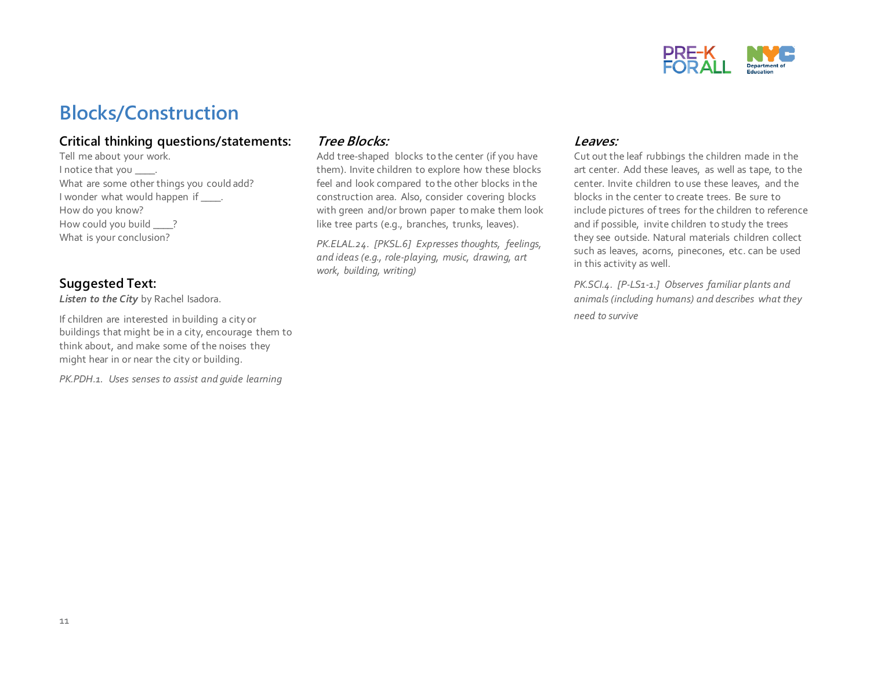

## **Blocks/Construction**

#### **Critical thinking questions/statements:**

Tell me about your work. I notice that you \_\_\_\_\_. What are some other things you could add? I wonder what would happen if \_\_\_\_\_. How do you know? How could you build \_\_\_\_? What is your conclusion?

#### **Suggested Text:**

*Listen to the City* by Rachel Isadora.

If children are interested in building a city or buildings that might be in a city, encourage them to think about, and make some of the noises they might hear in or near the city or building.

*PK.PDH.1. Uses senses to assist and guide learning* 

#### **Tree Blocks:**

Add tree-shaped blocks to the center (if you have them). Invite children to explore how these blocks feel and look compared to the other blocks in the construction area. Also, consider covering blocks with green and/or brown paper to make them look like tree parts (e.g., branches, trunks, leaves).

*PK.ELAL.24. [PKSL.6] Expresses thoughts, feelings, and ideas (e.g., role-playing, music, drawing, art work, building, writing)*

#### **Leaves:**

Cut out the leaf rubbings the children made in the art center. Add these leaves, as well as tape, to the center. Invite children to use these leaves, and the blocks in the center to create trees. Be sure to include pictures of trees for the children to reference and if possible, invite children to study the trees they see outside. Natural materials children collect such as leaves, acorns, pinecones, etc. can be used in this activity as well.

*PK.SCI.4. [P-LS1-1.] Observes familiar plants and animals (including humans) and describes what they need to survive*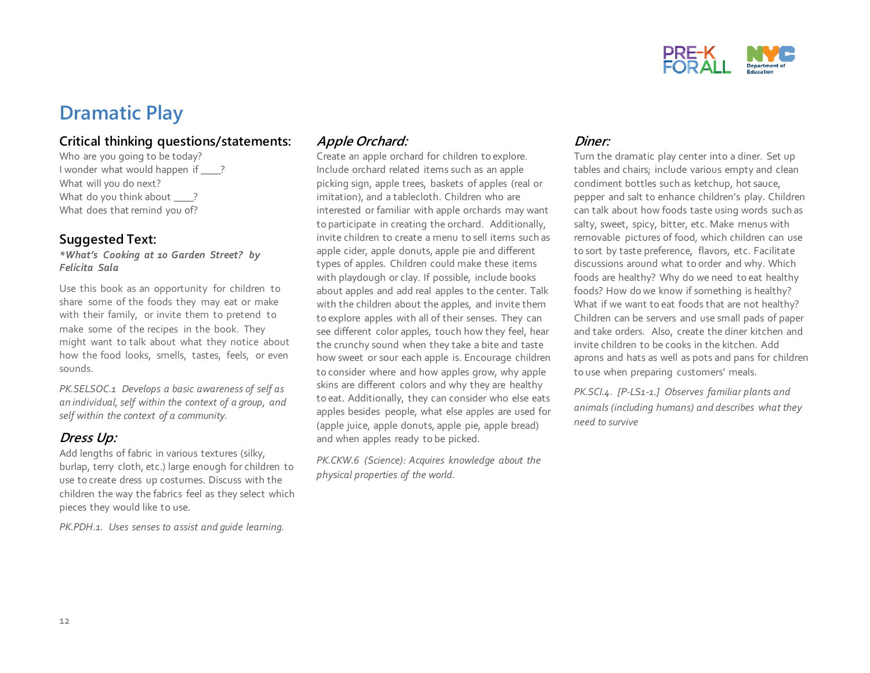

### **Dramatic Play**

#### **Critical thinking questions/statements:**

Who are you going to be today? I wonder what would happen if ? What will you do next? What do you think about ? What does that remind you of?

#### **Suggested Text:**

*\*What's Cooking at 10 Garden Street? by Felicita Sala*

Use this book as an opportunity for children to share some of the foods they may eat or make with their family, or invite them to pretend to make some of the recipes in the book. They might want to talk about what they notice about how the food looks, smells, tastes, feels, or even sounds.

*PK.SELSOC.1 Develops a basic awareness of self as an individual, self within the context of a group, and self within the context of a community.* 

#### **Dress Up:**

Add lengths of fabric in various textures (silky, burlap, terry cloth, etc.) large enough for children to use to create dress up costumes. Discuss with the children the way the fabrics feel as they select which pieces they would like to use.

*PK.PDH.1. Uses senses to assist and guide learning.*

#### **Apple Orchard:**

Create an apple orchard for children to explore. Include orchard related items such as an apple picking sign, apple trees, baskets of apples (real or imitation), and a tablecloth. Children who are interested or familiar with apple orchards may want to participate in creating the orchard. Additionally, invite children to create a menu to sell items such as apple cider, apple donuts, apple pie and different types of apples. Children could make these items with playdough or clay. If possible, include books about apples and add real apples to the center. Talk with the children about the apples, and invite them to explore apples with all of their senses. They can see different color apples, touch how they feel, hear the crunchy sound when they take a bite and taste how sweet or sour each apple is. Encourage children to consider where and how apples grow, why apple skins are different colors and why they are healthy to eat. Additionally, they can consider who else eats apples besides people, what else apples are used for (apple juice, apple donuts, apple pie, apple bread) and when apples ready to be picked.

*PK.CKW.6 (Science): Acquires knowledge about the physical properties of the world.* 

#### **Diner:**

Turn the dramatic play center into a diner. Set up tables and chairs; include various empty and clean condiment bottles such as ketchup, hot sauce, pepper and salt to enhance children's play. Children can talk about how foods taste using words such as salty, sweet, spicy, bitter, etc. Make menus with removable pictures of food, which children can use to sort by taste preference, flavors, etc. Facilitate discussions around what to order and why. Which foods are healthy? Why do we need to eat healthy foods? How do we know if something is healthy? What if we want to eat foods that are not healthy? Children can be servers and use small pads of paper and take orders. Also, create the diner kitchen and invite children to be cooks in the kitchen. Add aprons and hats as well as pots and pans for children to use when preparing customers' meals.

*PK.SCI.4. [P-LS1-1.] Observes familiar plants and animals (including humans) and describes what they need to survive*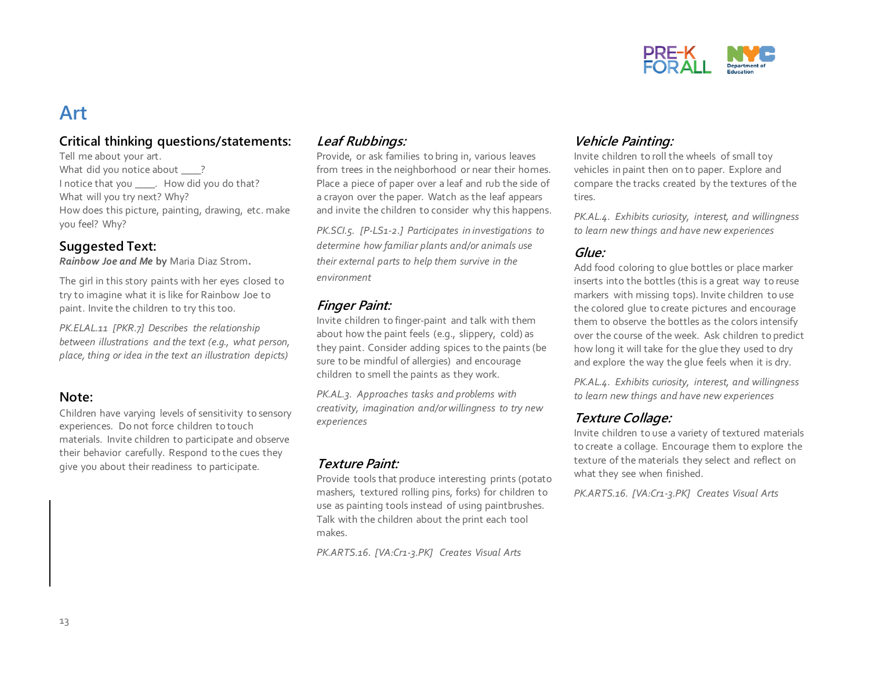

### **Art**

#### **Critical thinking questions/statements:**

Tell me about your art. What did you notice about ? I notice that you \_\_\_\_. How did you do that? What will you try next? Why? How does this picture, painting, drawing, etc. make you feel? Why?

#### **Suggested Text:**

*Rainbow Joe and Me* **by** Maria Diaz Strom**.**

The girl in this story paints with her eyes closed to try to imagine what it is like for Rainbow Joe to paint. Invite the children to try this too.

*PK.ELAL.11 [PKR.7] Describes the relationship between illustrations and the text (e.g., what person, place, thing or idea in the text an illustration depicts)* 

#### **Note:**

Children have varying levels of sensitivity to sensory experiences. Do not force children to touch materials. Invite children to participate and observe their behavior carefully. Respond to the cues they give you about their readiness to participate.

#### **Leaf Rubbings:**

Provide, or ask families to bring in, various leaves from trees in the neighborhood or near their homes. Place a piece of paper over a leaf and rub the side of a crayon over the paper. Watch as the leaf appears and invite the children to consider why this happens.

*PK.SCI.5. [P-LS1-2.] Participates in investigations to determine how familiar plants and/or animals use their external parts to help them survive in the environment* 

#### **Finger Paint:**

Invite children to finger-paint and talk with them about how the paint feels (e.g., slippery, cold) as they paint. Consider adding spices to the paints (be sure to be mindful of allergies) and encourage children to smell the paints as they work.

*PK.AL.3. Approaches tasks and problems with creativity, imagination and/or willingness to try new experiences*

#### **Texture Paint:**

Provide tools that produce interesting prints (potato mashers, textured rolling pins, forks) for children to use as painting tools instead of using paintbrushes. Talk with the children about the print each tool makes.

*PK.ARTS.16. [VA:Cr1-3.PK] Creates Visual Arts*

#### **Vehicle Painting:**

Invite children to roll the wheels of small toy vehicles in paint then on to paper. Explore and compare the tracks created by the textures of the tires.

*PK.AL.4. Exhibits curiosity, interest, and willingness to learn new things and have new experiences*

#### **Glue:**

Add food coloring to glue bottles or place marker inserts into the bottles (this is a great way to reuse markers with missing tops). Invite children to use the colored glue to create pictures and encourage them to observe the bottles as the colors intensify over the course of the week. Ask children to predict how long it will take for the glue they used to dry and explore the way the glue feels when it is dry.

*PK.AL.4. Exhibits curiosity, interest, and willingness to learn new things and have new experiences*

#### **Texture Collage:**

Invite children to use a variety of textured materials to create a collage. Encourage them to explore the texture of the materials they select and reflect on what they see when finished.

*PK.ARTS.16. [VA:Cr1-3.PK] Creates Visual Arts*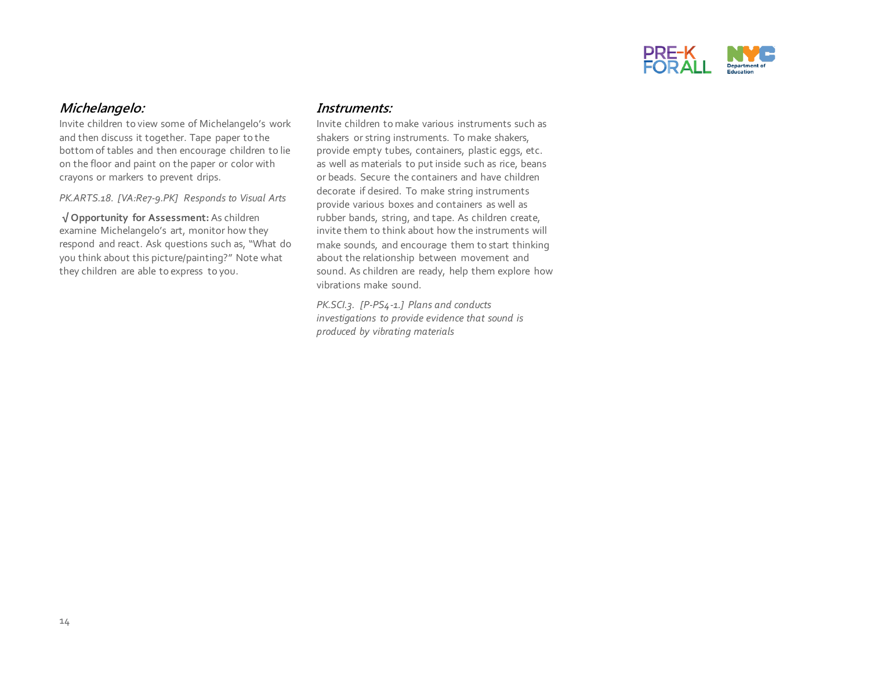

#### **Michelangelo:**

Invite children to view some of Michelangelo's work and then discuss it together. Tape paper to the bottom of tables and then encourage children to lie on the floor and paint on the paper or color with crayons or markers to prevent drips.

*PK.ARTS.18. [VA:Re7-9.PK] Responds to Visual Arts*

**√ Opportunity for Assessment:** As children examine Michelangelo's art, monitor how they respond and react. Ask questions such as, "What do you think about this picture/painting?" Note what they children are able to express to you.

#### **Instruments:**

Invite children to make various instruments such as shakers or string instruments. To make shakers, provide empty tubes, containers, plastic eggs, etc. as well as materials to put inside such as rice, beans or beads. Secure the containers and have children decorate if desired. To make string instruments provide various boxes and containers as well as rubber bands, string, and tape. As children create, invite them to think about how the instruments will make sounds, and encourage them to start thinking about the relationship between movement and sound. As children are ready, help them explore how vibrations make sound.

*PK.SCI.3. [P-PS4-1.] Plans and conducts investigations to provide evidence that sound is produced by vibrating materials*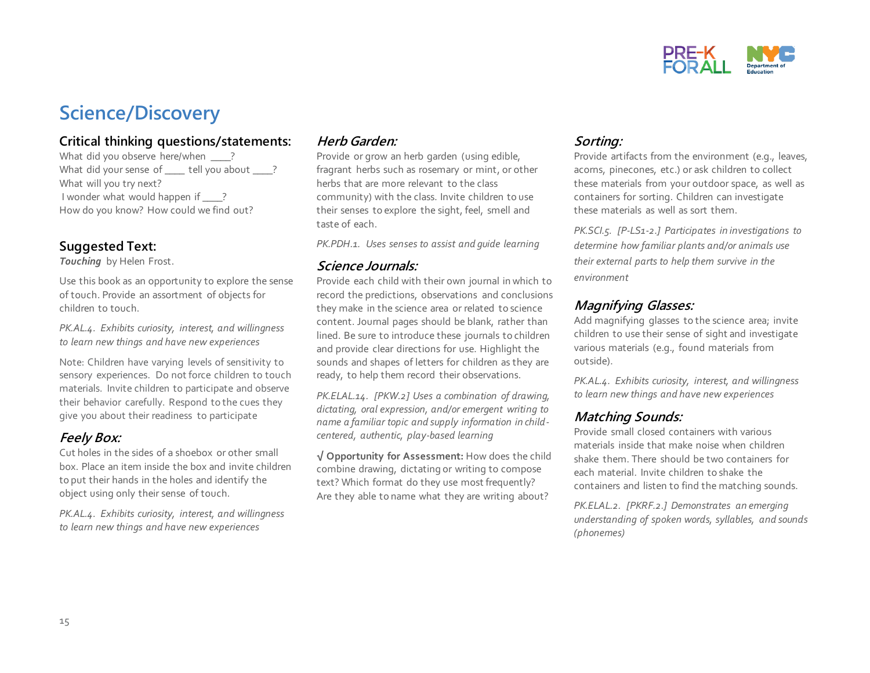

## **Science/Discovery**

#### **Critical thinking questions/statements:**

What did you observe here/when \_\_\_\_? What did your sense of lell you about ? What will you try next? I wonder what would happen if ? How do you know? How could we find out?

#### **Suggested Text:**

*Touching* by Helen Frost.

Use this book as an opportunity to explore the sense of touch. Provide an assortment of objects for children to touch.

*PK.AL.4. Exhibits curiosity, interest, and willingness to learn new things and have new experiences*

Note: Children have varying levels of sensitivity to sensory experiences. Do not force children to touch materials. Invite children to participate and observe their behavior carefully. Respond to the cues they give you about their readiness to participate

#### **Feely Box:**

Cut holes in the sides of a shoebox or other small box. Place an item inside the box and invite children to put their hands in the holes and identify the object using only their sense of touch.

*PK.AL.4. Exhibits curiosity, interest, and willingness to learn new things and have new experiences*

#### **Herb Garden:**

Provide or grow an herb garden (using edible, fragrant herbs such as rosemary or mint, or other herbs that are more relevant to the class community) with the class. Invite children to use their senses to explore the sight, feel, smell and taste of each.

*PK.PDH.1. Uses senses to assist and guide learning*

#### **Science Journals:**

Provide each child with their own journal in which to record the predictions, observations and conclusions they make in the science area or related to science content. Journal pages should be blank, rather than lined. Be sure to introduce these journals to children and provide clear directions for use. Highlight the sounds and shapes of letters for children as they are ready, to help them record their observations.

*PK.ELAL.14. [PKW.2] Uses a combination of drawing, dictating, oral expression, and/or emergent writing to name a familiar topic and supply information in childcentered, authentic, play-based learning*

**√ Opportunity for Assessment:** How does the child combine drawing, dictating or writing to compose text? Which format do they use most frequently? Are they able to name what they are writing about?

#### **Sorting:**

Provide artifacts from the environment (e.g., leaves, acorns, pinecones, etc.) or ask children to collect these materials from your outdoor space, as well as containers for sorting. Children can investigate these materials as well as sort them.

*PK.SCI.5. [P-LS1-2.] Participates in investigations to determine how familiar plants and/or animals use their external parts to help them survive in the environment* 

#### **Magnifying Glasses:**

Add magnifying glasses to the science area; invite children to use their sense of sight and investigate various materials (e.g., found materials from outside).

*PK.AL.4. Exhibits curiosity, interest, and willingness to learn new things and have new experiences*

#### **Matching Sounds:**

Provide small closed containers with various materials inside that make noise when children shake them. There should be two containers for each material. Invite children to shake the containers and listen to find the matching sounds.

*PK.ELAL.2. [PKRF.2.] Demonstrates an emerging understanding of spoken words, syllables, and sounds (phonemes)*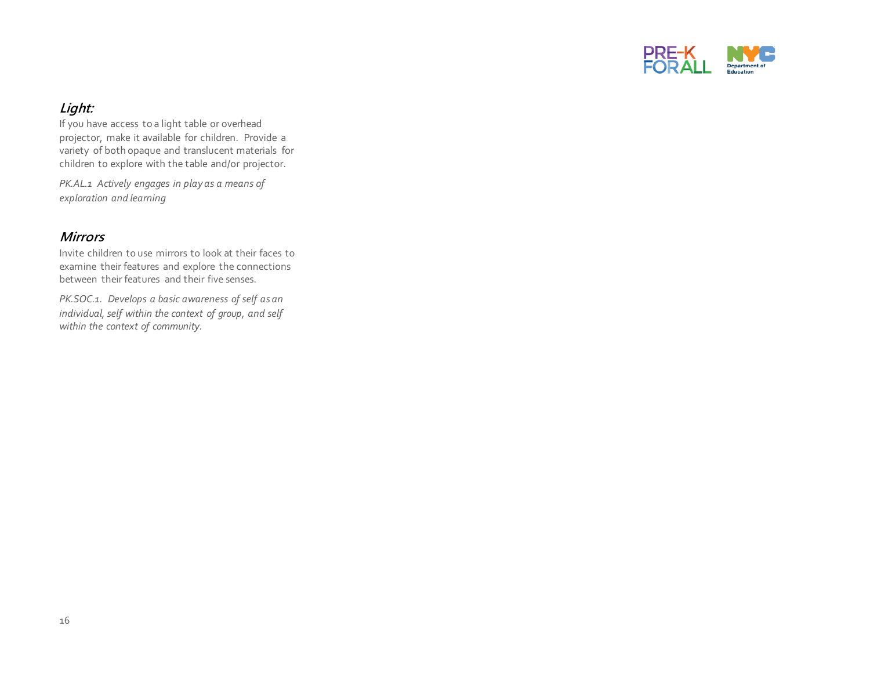

#### **Light:**

If you have access to a light table or overhead projector, make it available for children. Provide a variety of both opaque and translucent materials for children to explore with the table and/or projector.

*PK.AL.1 Actively engages in play as a means of exploration and learning*

#### **Mirrors**

Invite children to use mirrors to look at their faces to examine their features and explore the connections between their features and their five senses.

*PK.SOC.1. Develops a basic awareness of self as an individual, self within the context of group, and self within the context of community.*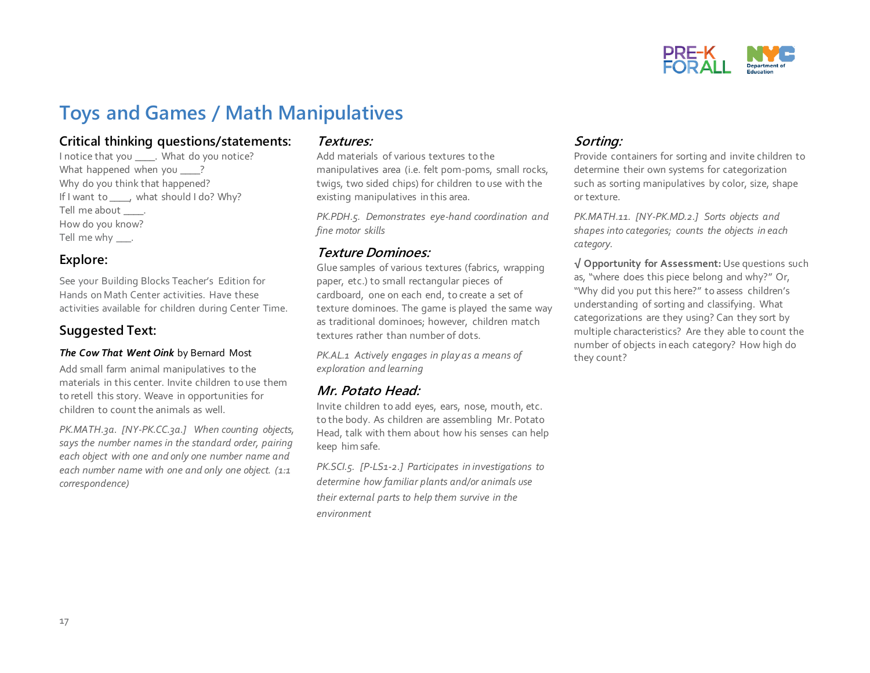

## **Toys and Games / Math Manipulatives**

#### **Critical thinking questions/statements:**

I notice that you \_\_\_\_. What do you notice? What happened when you ? Why do you think that happened? If I want to \_\_\_\_, what should I do? Why? Tell me about \_\_\_\_\_. How do you know? Tell me why \_\_\_\_.

#### **Explore:**

See your Building Blocks Teacher's Edition for Hands on Math Center activities. Have these activities available for children during Center Time.

#### **Suggested Text:**

#### *The Cow That Went Oink* by Bernard Most

Add small farm animal manipulatives to the materials in this center. Invite children to use them to retell this story. Weave in opportunities for children to count the animals as well.

*PK.MATH.3a. [NY-PK.CC.3a.] When counting objects, says the number names in the standard order, pairing each object with one and only one number name and each number name with one and only one object. (1:1 correspondence)*

#### **Textures:**

Add materials of various textures to the manipulatives area (i.e. felt pom-poms, small rocks, twigs, two sided chips) for children to use with the existing manipulatives in this area.

*PK.PDH.5. Demonstrates eye-hand coordination and fine motor skills*

#### **Texture Dominoes:**

Glue samples of various textures (fabrics, wrapping paper, etc.) to small rectangular pieces of cardboard, one on each end, to create a set of texture dominoes. The game is played the same way as traditional dominoes; however, children match textures rather than number of dots.

*PK.AL.1 Actively engages in play as a means of exploration and learning*

#### **Mr. Potato Head:**

Invite children to add eyes, ears, nose, mouth, etc. to the body. As children are assembling Mr. Potato Head, talk with them about how his senses can help keep him safe.

*PK.SCI.5. [P-LS1-2.] Participates in investigations to determine how familiar plants and/or animals use their external parts to help them survive in the environment* 

#### **Sorting:**

Provide containers for sorting and invite children to determine their own systems for categorization such as sorting manipulatives by color, size, shape or texture.

*PK.MATH.11. [NY-PK.MD.2.] Sorts objects and shapes into categories; counts the objects in each category.* 

**√ Opportunity for Assessment:** Use questions such as, "where does this piece belong and why?" Or, "Why did you put this here?" to assess children's understanding of sorting and classifying. What categorizations are they using? Can they sort by multiple characteristics? Are they able to count the number of objects in each category? How high do they count?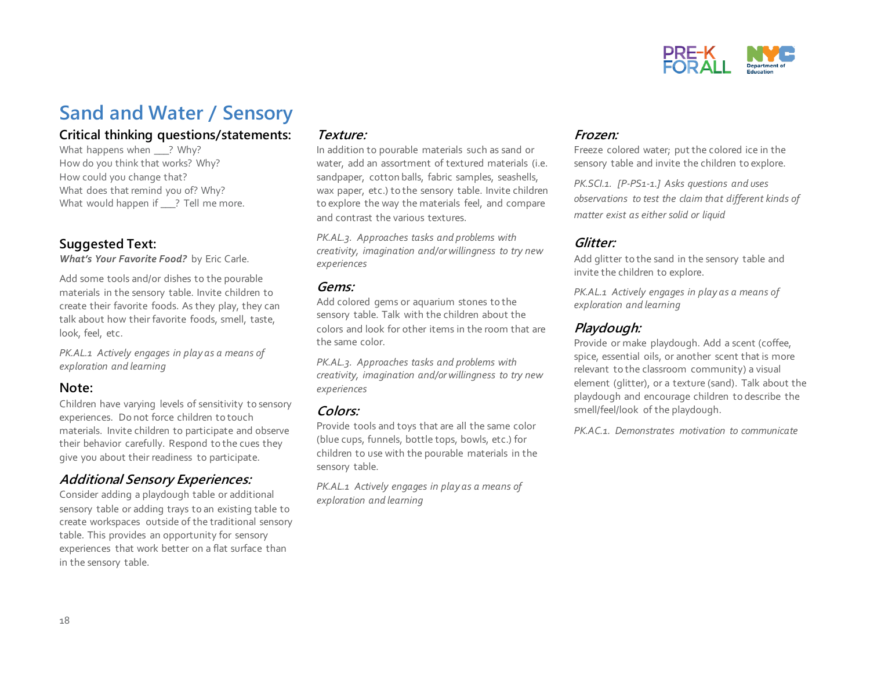

### **Sand and Water / Sensory**

#### **Critical thinking questions/statements:**

What happens when ? Why? How do you think that works? Why? How could you change that? What does that remind you of? Why? What would happen if ? Tell me more.

#### **Suggested Text:**

*What's Your Favorite Food?* by Eric Carle.

Add some tools and/or dishes to the pourable materials in the sensory table. Invite children to create their favorite foods. As they play, they can talk about how their favorite foods, smell, taste, look, feel, etc.

*PK.AL.1 Actively engages in play as a means of exploration and learning*

#### **Note:**

Children have varying levels of sensitivity to sensory experiences. Do not force children to touch materials. Invite children to participate and observe their behavior carefully. Respond to the cues they give you about their readiness to participate.

#### **Additional Sensory Experiences:**

Consider adding a playdough table or additional sensory table or adding trays to an existing table to create workspaces outside of the traditional sensory table. This provides an opportunity for sensory experiences that work better on a flat surface than in the sensory table.

#### **Texture:**

In addition to pourable materials such as sand or water, add an assortment of textured materials (i.e. sandpaper, cotton balls, fabric samples, seashells, wax paper, etc.) to the sensory table. Invite children to explore the way the materials feel, and compare and contrast the various textures.

*PK.AL.3. Approaches tasks and problems with creativity, imagination and/or willingness to try new experiences*

#### **Gems:**

Add colored gems or aquarium stones to the sensory table. Talk with the children about the colors and look for other items in the room that are the same color.

*PK.AL.3. Approaches tasks and problems with creativity, imagination and/or willingness to try new experiences*

#### **Colors:**

Provide tools and toys that are all the same color (blue cups, funnels, bottle tops, bowls, etc.) for children to use with the pourable materials in the sensory table.

*PK.AL.1 Actively engages in play as a means of exploration and learning*

#### **Frozen:**

Freeze colored water; put the colored ice in the sensory table and invite the children to explore.

*PK.SCI.1. [P-PS1-1.] Asks questions and uses observations to test the claim that different kinds of matter exist as either solid or liquid*

#### **Glitter:**

Add glitter to the sand in the sensory table and invite the children to explore.

*PK.AL.1 Actively engages in play as a means of exploration and learning*

#### **Playdough:**

Provide or make playdough. Add a scent (coffee, spice, essential oils, or another scent that is more relevant to the classroom community) a visual element (glitter), or a texture (sand). Talk about the playdough and encourage children to describe the smell/feel/look of the playdough.

*PK.AC.1. Demonstrates motivation to communicate*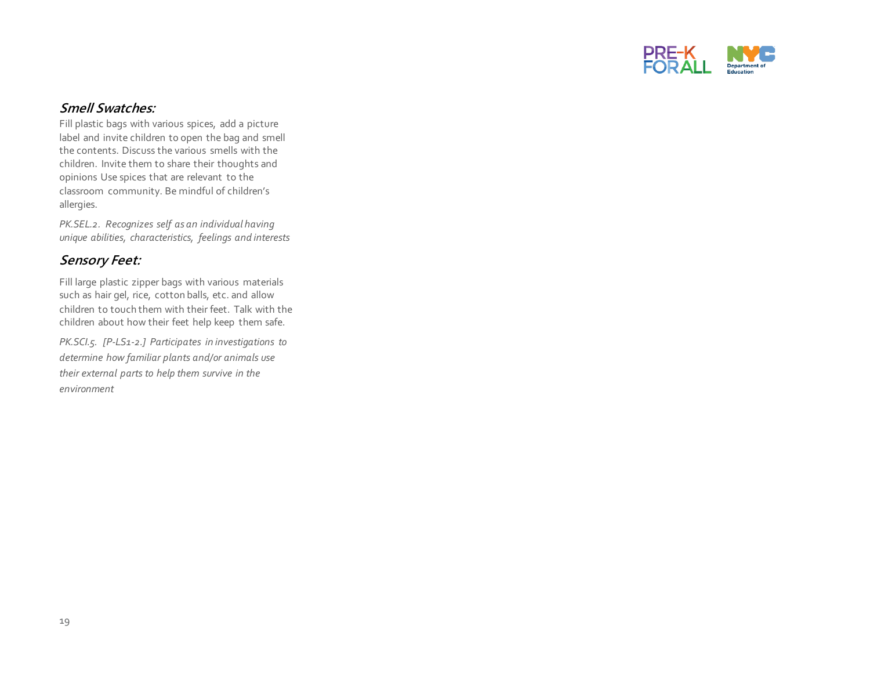

#### **Smell Swatches:**

Fill plastic bags with various spices, add a picture label and invite children to open the bag and smell the contents. Discuss the various smells with the children. Invite them to share their thoughts and opinions Use spices that are relevant to the classroom community. Be mindful of children's allergies.

*PK.SEL.2. Recognizes self as an individual having unique abilities, characteristics, feelings and interests* 

#### **Sensory Feet:**

Fill large plastic zipper bags with various materials such as hair gel, rice, cotton balls, etc. and allow children to touch them with their feet. Talk with the children about how their feet help keep them safe.

*PK.SCI.5. [P-LS1-2.] Participates in investigations to determine how familiar plants and/or animals use their external parts to help them survive in the environment*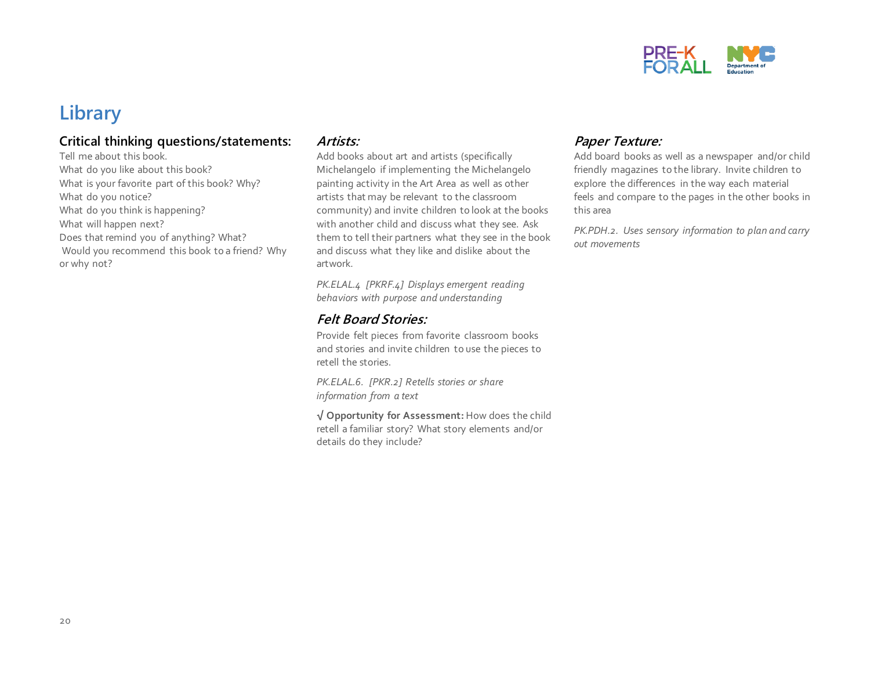

### **Library**

#### **Critical thinking questions/statements:**

Tell me about this book. What do you like about this book? What is your favorite part of this book? Why? What do you notice? What do you think is happening? What will happen next? Does that remind you of anything? What? Would you recommend this book to a friend? Why or why not?

#### **Artists:**

Add books about art and artists (specifically Michelangelo if implementing the Michelangelo painting activity in the Art Area as well as other artists that may be relevant to the classroom community) and invite children to look at the books with another child and discuss what they see. Ask them to tell their partners what they see in the book and discuss what they like and dislike about the artwork.

*PK.ELAL.4 [PKRF.4] Displays emergent reading behaviors with purpose and understanding* 

#### **Felt Board Stories:**

Provide felt pieces from favorite classroom books and stories and invite children to use the pieces to retell the stories.

*PK.ELAL.6. [PKR.2] Retells stories or share information from a text* 

**√ Opportunity for Assessment:** How does the child retell a familiar story? What story elements and/or details do they include?

#### **Paper Texture:**

Add board books as well as a newspaper and/or child friendly magazines to the library. Invite children to explore the differences in the way each material feels and compare to the pages in the other books in this area

*PK.PDH.2. Uses sensory information to plan and carry out movements*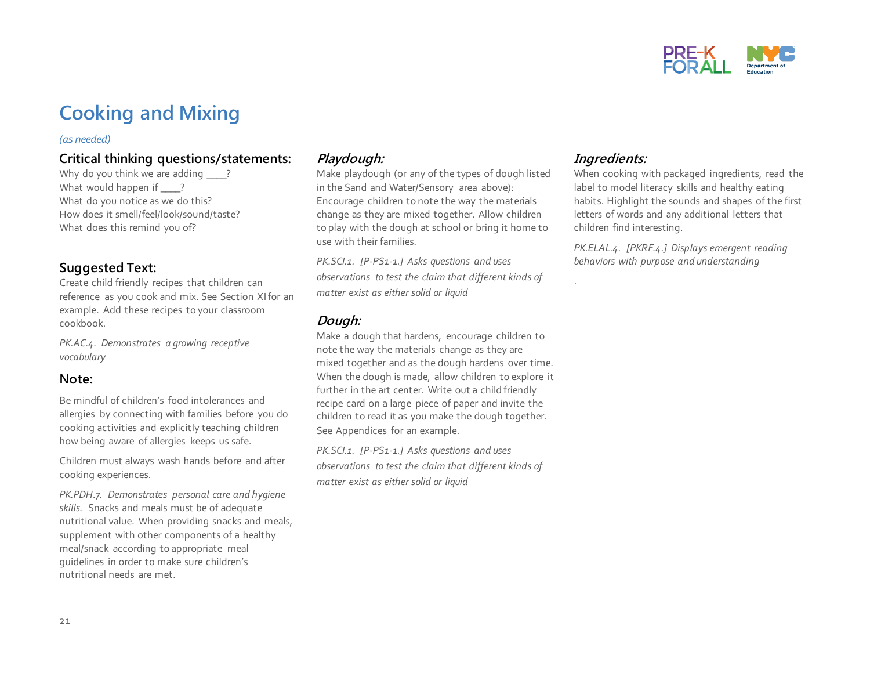

## **Cooking and Mixing**

#### *(as needed)*

#### **Critical thinking questions/statements:**

Why do you think we are adding ? What would happen if ? What do you notice as we do this? How does it smell/feel/look/sound/taste? What does this remind you of?

#### **Suggested Text:**

Create child friendly recipes that children can reference as you cook and mix. See Section XI for an example. Add these recipes to your classroom cookbook.

*PK.AC.4. Demonstrates a growing receptive vocabulary*

#### **Note:**

Be mindful of children's food intolerances and allergies by connecting with families before you do cooking activities and explicitly teaching children how being aware of allergies keeps us safe.

Children must always wash hands before and after cooking experiences.

*PK.PDH.7. Demonstrates personal care and hygiene skills.* Snacks and meals must be of adequate nutritional value. When providing snacks and meals, supplement with other components of a healthy meal/snack according to appropriate meal guidelines in order to make sure children's nutritional needs are met.

#### **Playdough:**

Make playdough (or any of the types of dough listed in the Sand and Water/Sensory area above): Encourage children to note the way the materials change as they are mixed together. Allow children to play with the dough at school or bring it home to use with their families.

*PK.SCI.1. [P-PS1-1.] Asks questions and uses observations to test the claim that different kinds of matter exist as either solid or liquid*

#### **Dough:**

Make a dough that hardens, encourage children to note the way the materials change as they are mixed together and as the dough hardens over time. When the dough is made, allow children to explore it further in the art center. Write out a child friendly recipe card on a large piece of paper and invite the children to read it as you make the dough together. See Appendices for an example.

*PK.SCI.1. [P-PS1-1.] Asks questions and uses observations to test the claim that different kinds of matter exist as either solid or liquid*

#### **Ingredients:**

.

When cooking with packaged ingredients, read the label to model literacy skills and healthy eating habits. Highlight the sounds and shapes of the first letters of words and any additional letters that children find interesting.

*PK.ELAL.4. [PKRF.4.] Displays emergent reading behaviors with purpose and understanding*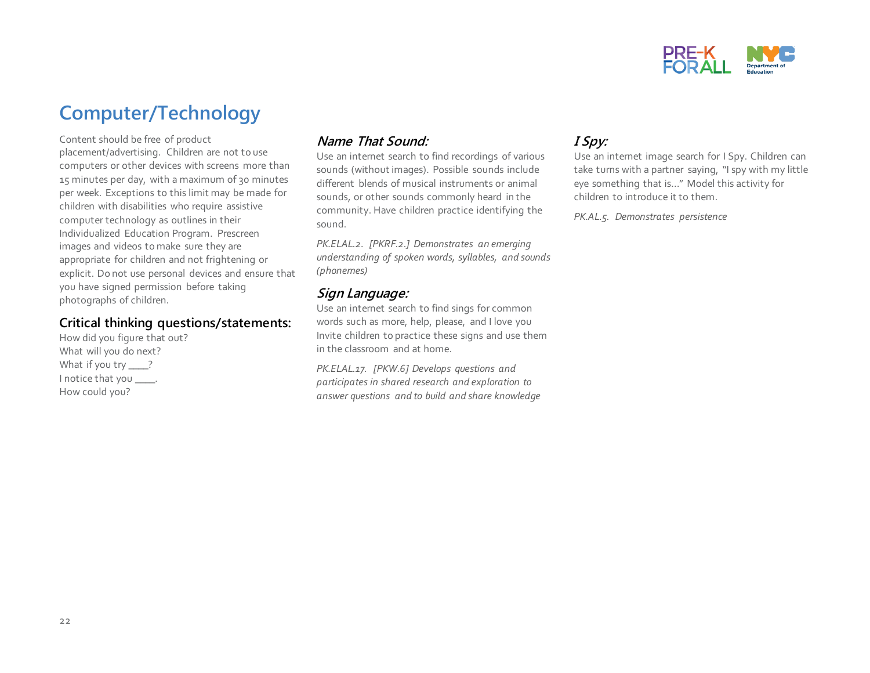

## **Computer/Technology**

Content should be free of product placement/advertising. Children are not to use computers or other devices with screens more than 15 minutes per day, with a maximum of 30 minutes per week. Exceptions to this limit may be made for children with disabilities who require assistive computer technology as outlines in their Individualized Education Program. Prescreen images and videos to make sure they are appropriate for children and not frightening or explicit. Do not use personal devices and ensure that you have signed permission before taking photographs of children.

#### **Critical thinking questions/statements:**

How did you figure that out? What will you do next? What if you try \_\_\_\_? I notice that you \_\_\_\_. How could you?

#### **Name That Sound:**

Use an internet search to find recordings of various sounds (without images). Possible sounds include different blends of musical instruments or animal sounds, or other sounds commonly heard in the community. Have children practice identifying the sound.

*PK.ELAL.2. [PKRF.2.] Demonstrates an emerging understanding of spoken words, syllables, and sounds (phonemes)*

#### **Sign Language:**

Use an internet search to find sings for common words such as more, help, please, and I love you Invite children to practice these signs and use them in the classroom and at home.

*PK.ELAL.17. [PKW.6] Develops questions and participates in shared research and exploration to answer questions and to build and share knowledge* 

#### **I Spy:**

Use an internet image search for I Spy. Children can take turns with a partner saying, "I spy with my little eye something that is…" Model this activity for children to introduce it to them.

*PK.AL.5. Demonstrates persistence*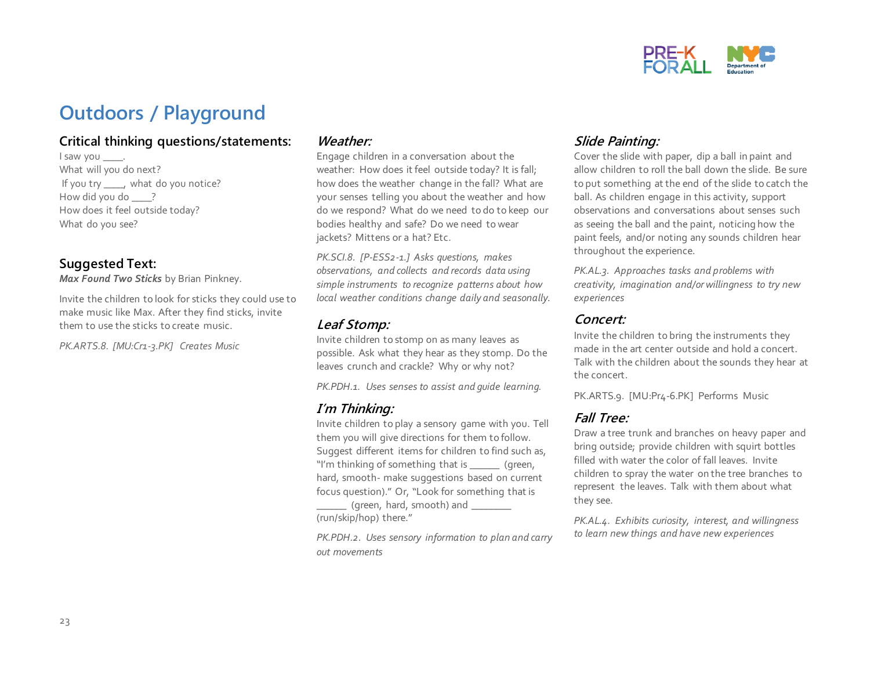

## **Outdoors / Playground**

#### **Critical thinking questions/statements:**

I saw you \_\_\_\_\_. What will you do next? If you try \_\_\_\_, what do you notice? How did you do ? How does it feel outside today? What do you see?

#### **Suggested Text:**

*Max Found Two Sticks* by Brian Pinkney.

Invite the children to look for sticks they could use to make music like Max. After they find sticks, invite them to use the sticks to create music.

*PK.ARTS.8. [MU:Cr1-3.PK] Creates Music*

#### **Weather:**

Engage children in a conversation about the weather: How does it feel outside today? It is fall; how does the weather change in the fall? What are your senses telling you about the weather and how do we respond? What do we need to do to keep our bodies healthy and safe? Do we need to wear jackets? Mittens or a hat? Etc.

*PK.SCI.8. [P-ESS2-1.] Asks questions, makes observations, and collects and records data using simple instruments to recognize patterns about how local weather conditions change daily and seasonally.* 

#### **Leaf Stomp:**

Invite children to stomp on as many leaves as possible. Ask what they hear as they stomp. Do the leaves crunch and crackle? Why or why not?

*PK.PDH.1. Uses senses to assist and guide learning.*

#### **I'm Thinking:**

Invite children to play a sensory game with you. Tell them you will give directions for them to follow. Suggest different items for children to find such as, "I'm thinking of something that is \_\_\_\_\_\_\_ (green, hard, smooth- make suggestions based on current focus question)." Or, "Look for something that is

 $\lbrack$  (green, hard, smooth) and  $\lbrack$ (run/skip/hop) there."

*PK.PDH.2. Uses sensory information to plan and carry out movements*

#### **Slide Painting:**

Cover the slide with paper, dip a ball in paint and allow children to roll the ball down the slide. Be sure to put something at the end of the slide to catch the ball. As children engage in this activity, support observations and conversations about senses such as seeing the ball and the paint, noticing how the paint feels, and/or noting any sounds children hear throughout the experience.

*PK.AL.3. Approaches tasks and problems with creativity, imagination and/or willingness to try new experiences*

#### **Concert:**

Invite the children to bring the instruments they made in the art center outside and hold a concert. Talk with the children about the sounds they hear at the concert.

PK.ARTS.9. [MU:Pr4-6.PK] Performs Music

#### **Fall Tree:**

Draw a tree trunk and branches on heavy paper and bring outside; provide children with squirt bottles filled with water the color of fall leaves. Invite children to spray the water on the tree branches to represent the leaves. Talk with them about what they see.

*PK.AL.4. Exhibits curiosity, interest, and willingness to learn new things and have new experiences*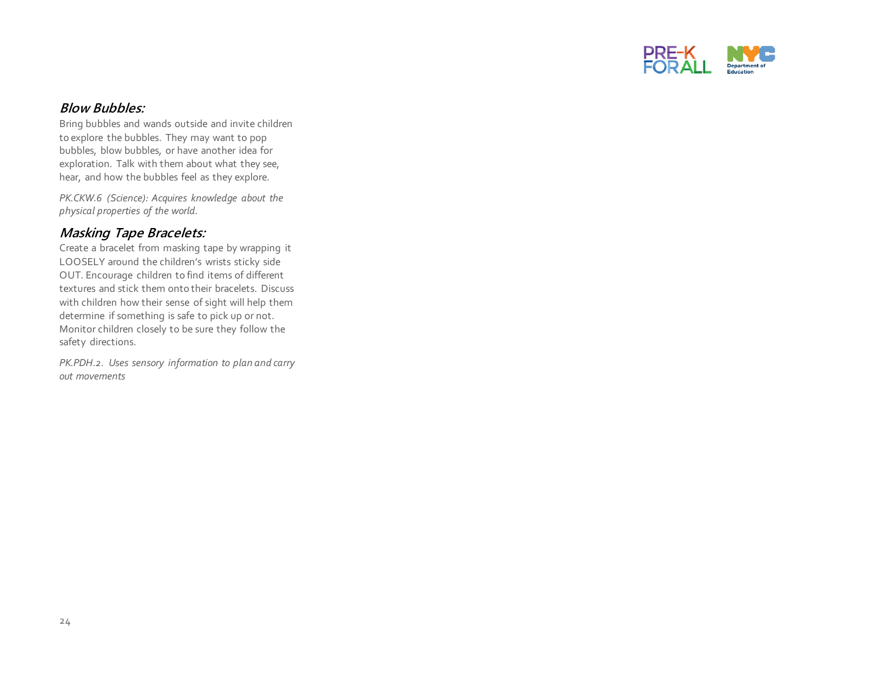

#### **Blow Bubbles:**

Bring bubbles and wands outside and invite children to explore the bubbles. They may want to pop bubbles, blow bubbles, or have another idea for exploration. Talk with them about what they see, hear, and how the bubbles feel as they explore.

*PK.CKW.6 (Science): Acquires knowledge about the physical properties of the world.* 

#### **Masking Tape Bracelets:**

Create a bracelet from masking tape by wrapping it LOOSELY around the children's wrists sticky side OUT. Encourage children to find items of different textures and stick them onto their bracelets. Discuss with children how their sense of sight will help them determine if something is safe to pick up or not. Monitor children closely to be sure they follow the safety directions.

*PK.PDH.2. Uses sensory information to plan and carry out movements*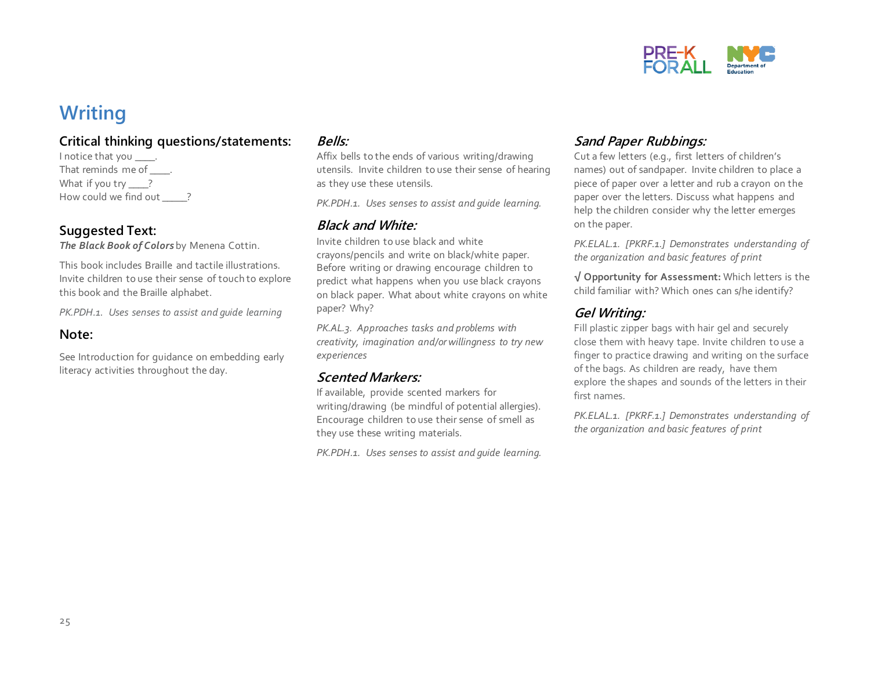

## **Writing**

#### **Critical thinking questions/statements:**

I notice that you \_\_\_\_\_. That reminds me of . What if you try ? How could we find out ?

#### **Suggested Text:**

*The Black Book of Colors* by Menena Cottin.

This book includes Braille and tactile illustrations. Invite children to use their sense of touch to explore this book and the Braille alphabet.

*PK.PDH.1. Uses senses to assist and guide learning*

#### **Note:**

See Introduction for guidance on embedding early literacy activities throughout the day.

#### **Bells:**

Affix bells to the ends of various writing/drawing utensils. Invite children to use their sense of hearing as they use these utensils.

*PK.PDH.1. Uses senses to assist and guide learning.*

#### **Black and White:**

Invite children to use black and white crayons/pencils and write on black/white paper. Before writing or drawing encourage children to predict what happens when you use black crayons on black paper. What about white crayons on white paper? Why?

*PK.AL.3. Approaches tasks and problems with creativity, imagination and/or willingness to try new experiences*

#### **Scented Markers:**

If available, provide scented markers for writing/drawing (be mindful of potential allergies). Encourage children to use their sense of smell as they use these writing materials.

*PK.PDH.1. Uses senses to assist and guide learning.*

#### **Sand Paper Rubbings:**

Cut a few letters (e.g., first letters of children's names) out of sandpaper. Invite children to place a piece of paper over a letter and rub a crayon on the paper over the letters. Discuss what happens and help the children consider why the letter emerges on the paper.

*PK.ELAL.1. [PKRF.1.] Demonstrates understanding of the organization and basic features of print*

**√ Opportunity for Assessment:** Which letters is the child familiar with? Which ones can s/he identify?

#### **Gel Writing:**

Fill plastic zipper bags with hair gel and securely close them with heavy tape. Invite children to use a finger to practice drawing and writing on the surface of the bags. As children are ready, have them explore the shapes and sounds of the letters in their first names.

*PK.ELAL.1. [PKRF.1.] Demonstrates understanding of the organization and basic features of print*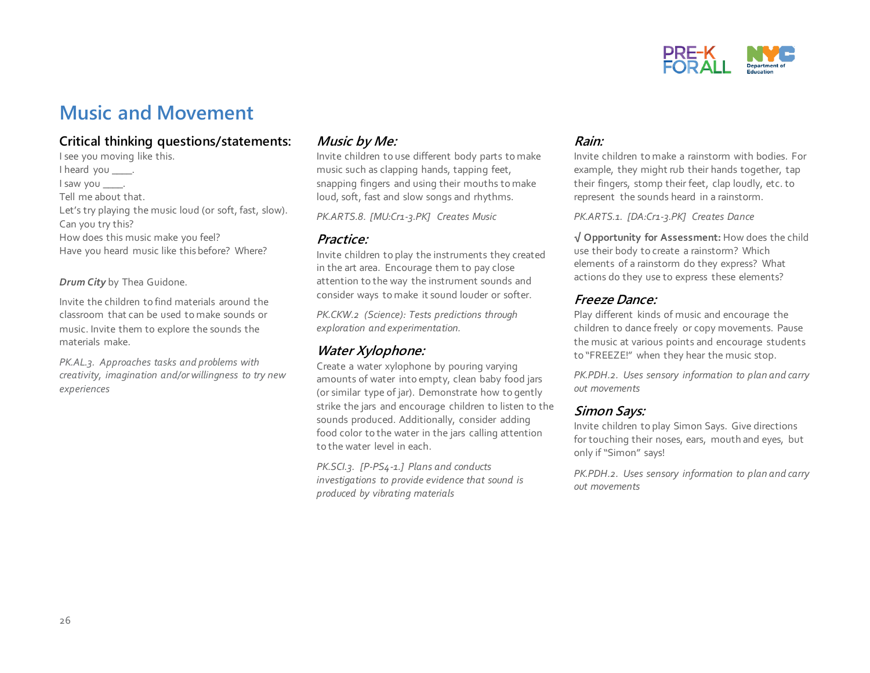

### **Music and Movement**

#### **Critical thinking questions/statements:**

I see you moving like this. I heard you \_\_\_\_\_. I saw you \_\_\_\_. Tell me about that. Let's try playing the music loud (or soft, fast, slow). Can you try this? How does this music make you feel? Have you heard music like this before? Where?

*Drum City* by Thea Guidone.

Invite the children to find materials around the classroom that can be used to make sounds or music. Invite them to explore the sounds the materials make.

*PK.AL.3. Approaches tasks and problems with creativity, imagination and/or willingness to try new experiences*

#### **Music by Me:**

Invite children to use different body parts to make music such as clapping hands, tapping feet, snapping fingers and using their mouths to make loud, soft, fast and slow songs and rhythms.

*PK.ARTS.8. [MU:Cr1-3.PK] Creates Music*

#### **Practice:**

Invite children to play the instruments they created in the art area. Encourage them to pay close attention to the way the instrument sounds and consider ways to make it sound louder or softer.

*PK.CKW.2 (Science): Tests predictions through exploration and experimentation.* 

#### **Water Xylophone:**

Create a water xylophone by pouring varying amounts of water into empty, clean baby food jars (or similar type of jar). Demonstrate how to gently strike the jars and encourage children to listen to the sounds produced. Additionally, consider adding food color to the water in the jars calling attention to the water level in each.

*PK.SCI.3. [P-PS4-1.] Plans and conducts investigations to provide evidence that sound is produced by vibrating materials* 

#### **Rain:**

Invite children to make a rainstorm with bodies. For example, they might rub their hands together, tap their fingers, stomp their feet, clap loudly, etc. to represent the sounds heard in a rainstorm.

*PK.ARTS.1. [DA:Cr1-3.PK] Creates Dance*

**√ Opportunity for Assessment:** How does the child use their body to create a rainstorm? Which elements of a rainstorm do they express? What actions do they use to express these elements?

#### **Freeze Dance:**

Play different kinds of music and encourage the children to dance freely or copy movements. Pause the music at various points and encourage students to "FREEZE!" when they hear the music stop.

*PK.PDH.2. Uses sensory information to plan and carry out movements*

#### **Simon Says:**

Invite children to play Simon Says. Give directions for touching their noses, ears, mouth and eyes, but only if "Simon" says!

*PK.PDH.2. Uses sensory information to plan and carry out movements*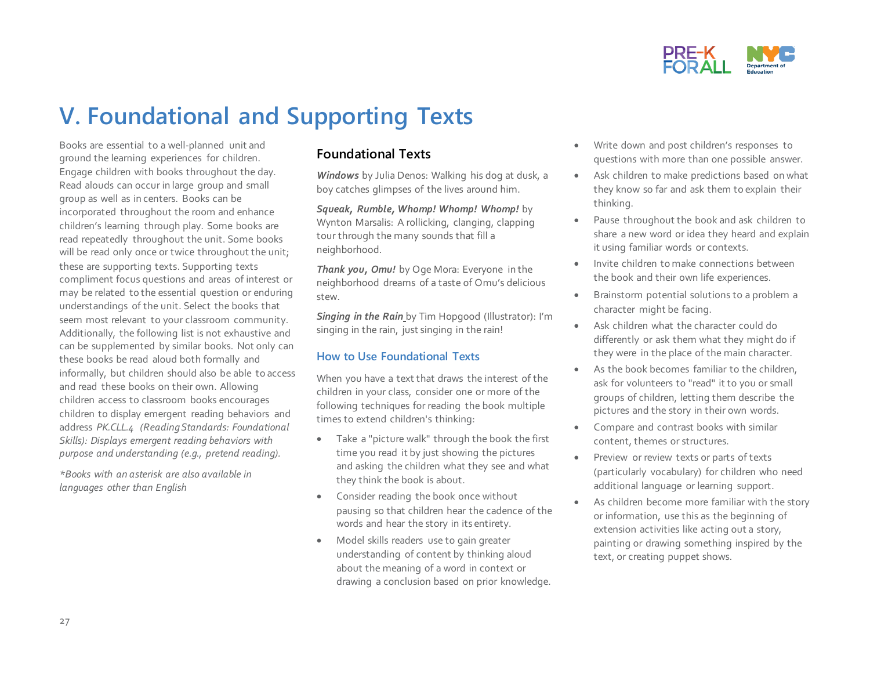

## **V. Foundational and Supporting Texts**

Books are essential to a well-planned unit and ground the learning experiences for children. Engage children with books throughout the day. Read alouds can occur in large group and small group as well as in centers. Books can be incorporated throughout the room and enhance children's learning through play. Some books are read repeatedly throughout the unit. Some books will be read only once or twice throughout the unit; these are supporting texts. Supporting texts compliment focus questions and areas of interest or may be related to the essential question or enduring understandings of the unit. Select the books that seem most relevant to your classroom community. Additionally, the following list is not exhaustive and can be supplemented by similar books. Not only can these books be read aloud both formally and informally, but children should also be able to access and read these books on their own. Allowing children access to classroom books encourages children to display emergent reading behaviors and address *PK.CLL.4 (Reading Standards: Foundational Skills): Displays emergent reading behaviors with purpose and understanding (e.g., pretend reading).* 

*\*Books with an asterisk are also available in languages other than English*

#### **Foundational Texts**

*Windows* by Julia Denos: Walking his dog at dusk, a boy catches glimpses of the lives around him.

*Squeak, Rumble, Whomp! Whomp! Whomp!* by Wynton Marsalis: A rollicking, clanging, clapping tour through the many sounds that fill a neighborhood.

*Thank you, Omu!* by Oge Mora: Everyone in the neighborhood dreams of a taste of Omu's delicious stew.

*Singing in the Rain* by Tim Hopgood (Illustrator): I'm singing in the rain, just singing in the rain!

#### **How to Use Foundational Texts**

When you have a text that draws the interest of the children in your class, consider one or more of the following techniques for reading the book multiple times to extend children's thinking:

- Take a "picture walk" through the book the first time you read it by just showing the pictures and asking the children what they see and what they think the book is about.
- Consider reading the book once without pausing so that children hear the cadence of the words and hear the story in its entirety.
- Model skills readers use to gain greater understanding of content by thinking aloud about the meaning of a word in context or drawing a conclusion based on prior knowledge.
- Write down and post children's responses to questions with more than one possible answer.
- Ask children to make predictions based on what they know so far and ask them to explain their thinking.
- Pause throughout the book and ask children to share a new word or idea they heard and explain it using familiar words or contexts.
- Invite children to make connections between the book and their own life experiences.
- Brainstorm potential solutions to a problem a character might be facing.
- Ask children what the character could do differently or ask them what they might do if they were in the place of the main character.
- As the book becomes familiar to the children, ask for volunteers to "read" it to you or small groups of children, letting them describe the pictures and the story in their own words.
- Compare and contrast books with similar content, themes or structures.
- Preview or review texts or parts of texts (particularly vocabulary) for children who need additional language or learning support.
- As children become more familiar with the story or information, use this as the beginning of extension activities like acting out a story, painting or drawing something inspired by the text, or creating puppet shows.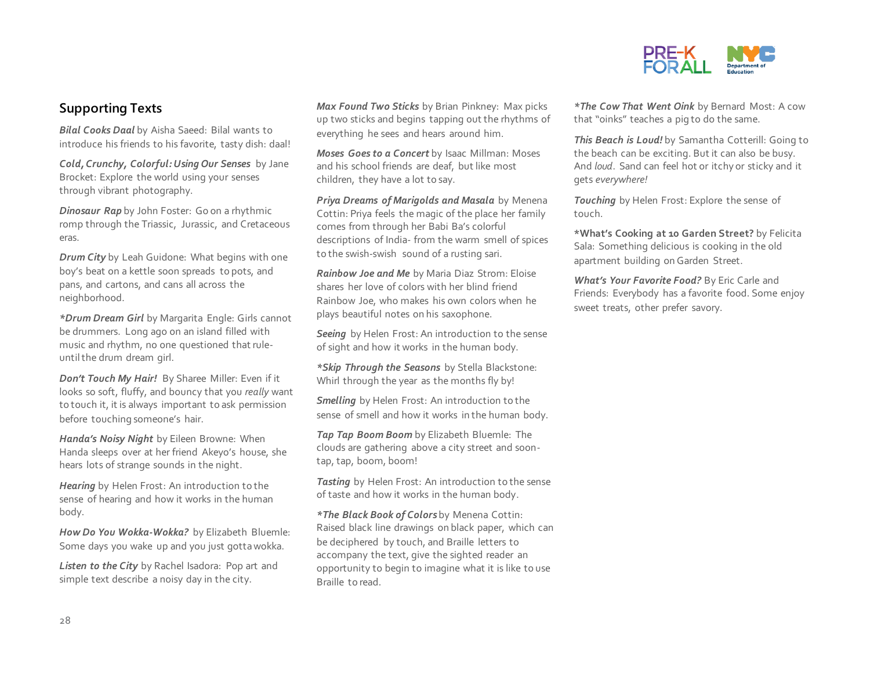

#### **Supporting Texts**

*Bilal Cooks Daal* by Aisha Saeed: Bilal wants to introduce his friends to his favorite, tasty dish: daal!

*Cold, Crunchy, Colorful: Using Our Senses* by Jane Brocket: Explore the world using your senses through vibrant photography.

*Dinosaur Rap* by John Foster: Go on a rhythmic romp through the Triassic, Jurassic, and Cretaceous eras.

*Drum City* by Leah Guidone: What begins with one boy's beat on a kettle soon spreads to pots, and pans, and cartons, and cans all across the neighborhood.

*\*Drum Dream Girl* by Margarita Engle: Girls cannot be drummers. Long ago on an island filled with music and rhythm, no one questioned that ruleuntil the drum dream girl.

*Don't Touch My Hair!* By Sharee Miller: Even if it looks so soft, fluffy, and bouncy that you *really* want to touch it, it is always important to ask permission before touching someone's hair.

*Handa's Noisy Night* by Eileen Browne: When Handa sleeps over at her friend Akeyo's house, she hears lots of strange sounds in the night.

*Hearing* by Helen Frost: An introduction to the sense of hearing and how it works in the human body.

*How Do You Wokka-Wokka?* by Elizabeth Bluemle: Some days you wake up and you just gotta wokka.

Listen to the City by Rachel Isadora: Pop art and simple text describe a noisy day in the city.

*Max Found Two Sticks* by Brian Pinkney: Max picks up two sticks and begins tapping out the rhythms of everything he sees and hears around him.

*Moses Goes to a Concert* by Isaac Millman: Moses and his school friends are deaf, but like most children, they have a lot to say.

*Priya Dreams of Marigolds and Masala* by Menena Cottin: Priya feels the magic of the place her family comes from through her Babi Ba's colorful descriptions of India- from the warm smell of spices to the swish-swish sound of a rusting sari.

*Rainbow Joe and Me* by Maria Diaz Strom: Eloise shares her love of colors with her blind friend Rainbow Joe, who makes his own colors when he plays beautiful notes on his saxophone.

*Seeing* by Helen Frost: An introduction to the sense of sight and how it works in the human body.

*\*Skip Through the Seasons* by Stella Blackstone: Whirl through the year as the months fly by!

*Smelling* by Helen Frost: An introduction to the sense of smell and how it works in the human body.

*Tap Tap Boom Boom* by Elizabeth Bluemle: The clouds are gathering above a city street and soontap, tap, boom, boom!

*Tasting* by Helen Frost: An introduction to the sense of taste and how it works in the human body.

*\*The Black Book of Colors* by Menena Cottin: Raised black line drawings on black paper, which can be deciphered by touch, and Braille letters to accompany the text, give the sighted reader an opportunity to begin to imagine what it is like to use Braille to read.

*\*The Cow That Went Oink* by Bernard Most: A cow that "oinks" teaches a pig to do the same.

*This Beach is Loud!* by Samantha Cotterill: Going to the beach can be exciting. But it can also be busy. And *loud*. Sand can feel hot or itchy or sticky and it gets *everywhere!* 

*Touching* by Helen Frost: Explore the sense of touch.

**\*What's Cooking at 10 Garden Street?** by Felicita Sala: Something delicious is cooking in the old apartment building on Garden Street.

*What's Your Favorite Food?* By Eric Carle and Friends: Everybody has a favorite food. Some enjoy sweet treats, other prefer savory.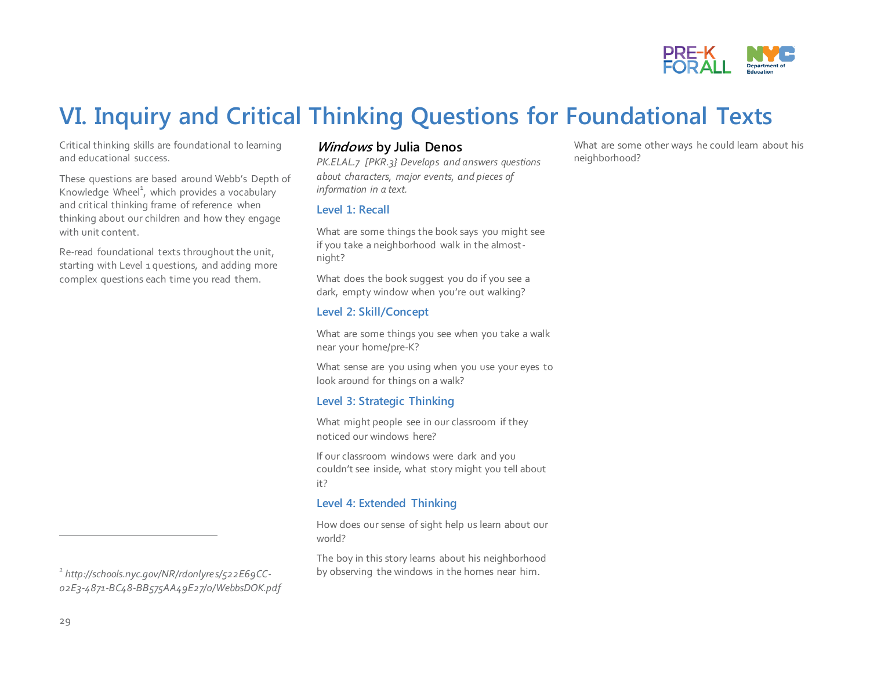

## **VI. Inquiry and Critical Thinking Questions for Foundational Texts**

Critical thinking skills are foundational to learning and educational success.

These questions are based around Webb's Depth of Knowledge Wheel $^1$ , which provides a vocabulary and critical thinking frame of reference when thinking about our children and how they engage with unit content.

Re-read foundational texts throughout the unit, starting with Level 1 questions, and adding more complex questions each time you read them.

#### *1 http://schools.nyc.gov/NR/rdonlyres/522E69CC-02E3-4871-BC48-BB575AA49E27/0/WebbsDOK.pdf*

#### **Windows by Julia Denos**

*PK.ELAL.7 [PKR.3} Develops and answers questions about characters, major events, and pieces of information in a text.* 

#### **Level 1: Recall**

What are some things the book says you might see if you take a neighborhood walk in the almostnight?

What does the book suggest you do if you see a dark, empty window when you're out walking?

#### **Level 2: Skill/Concept**

What are some things you see when you take a walk near your home/pre-K?

What sense are you using when you use your eyes to look around for things on a walk?

#### **Level 3: Strategic Thinking**

What might people see in our classroom if they noticed our windows here?

If our classroom windows were dark and you couldn't see inside, what story might you tell about it?

#### **Level 4: Extended Thinking**

How does our sense of sight help us learn about our world?

The boy in this story learns about his neighborhood by observing the windows in the homes near him.

What are some other ways he could learn about his neighborhood?

 $\overline{a}$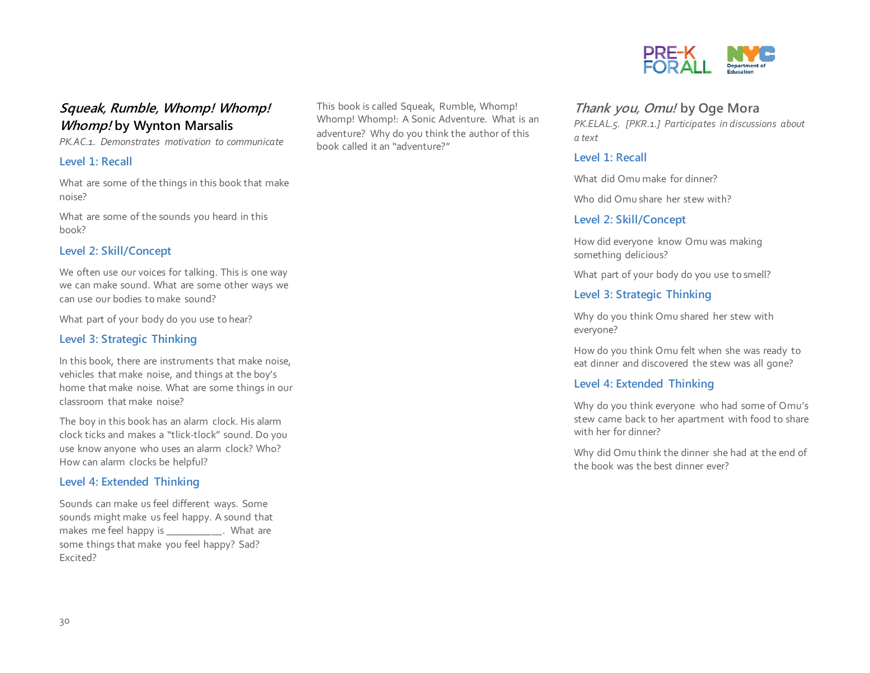#### **Squeak, Rumble, Whomp! Whomp! Whomp! by Wynton Marsalis**

*PK.AC.1. Demonstrates motivation to communicate*

#### **Level 1: Recall**

What are some of the things in this book that make noise?

What are some of the sounds you heard in this book?

#### **Level 2: Skill/Concept**

We often use our voices for talking. This is one way we can make sound. What are some other ways we can use our bodies to make sound?

What part of your body do you use to hear?

#### **Level 3: Strategic Thinking**

In this book, there are instruments that make noise, vehicles that make noise, and things at the boy's home that make noise. What are some things in our classroom that make noise?

The boy in this book has an alarm clock. His alarm clock ticks and makes a "tlick-tlock" sound. Do you use know anyone who uses an alarm clock? Who? How can alarm clocks be helpful?

#### **Level 4: Extended Thinking**

Sounds can make us feel different ways. Some sounds might make us feel happy. A sound that makes me feel happy is \_\_\_\_\_\_\_\_\_\_\_\_. What are some things that make you feel happy? Sad? Excited?

This book is called Squeak, Rumble, Whomp! Whomp! Whomp!: A Sonic Adventure. What is an adventure? Why do you think the author of this book called it an "adventure?"



#### **Thank you, Omu! by Oge Mora**

*PK.ELAL.5. [PKR.1.] Participates in discussions about a text*

#### **Level 1: Recall**

What did Omu make for dinner?

Who did Omu share her stew with?

#### **Level 2: Skill/Concept**

How did everyone know Omu was making something delicious?

What part of your body do you use to smell?

#### **Level 3: Strategic Thinking**

Why do you think Omu shared her stew with everyone?

How do you think Omu felt when she was ready to eat dinner and discovered the stew was all gone?

#### **Level 4: Extended Thinking**

Why do you think everyone who had some of Omu's stew came back to her apartment with food to share with her for dinner?

Why did Omu think the dinner she had at the end of the book was the best dinner ever?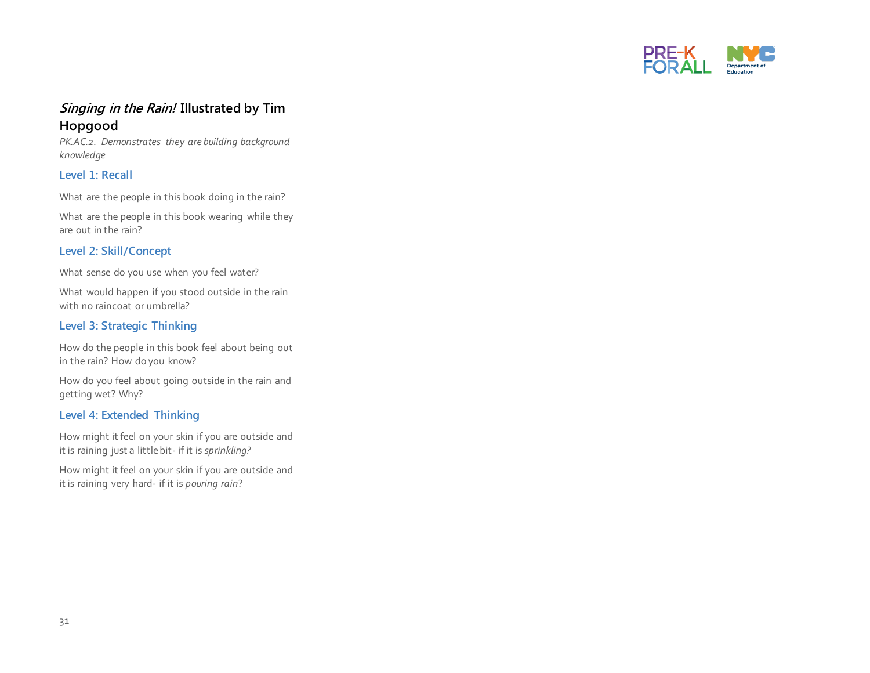

#### **Singing in the Rain! Illustrated by Tim Hopgood**

*PK.AC.2. Demonstrates they are building background knowledge*

#### **Level 1: Recall**

What are the people in this book doing in the rain?

What are the people in this book wearing while they are out in the rain?

#### **Level 2: Skill/Concept**

What sense do you use when you feel water?

What would happen if you stood outside in the rain with no raincoat or umbrella?

#### **Level 3: Strategic Thinking**

How do the people in this book feel about being out in the rain? How do you know?

How do you feel about going outside in the rain and getting wet? Why?

#### **Level 4: Extended Thinking**

How might it feel on your skin if you are outside and it is raining just a little bit- if it is *sprinkling?* 

How might it feel on your skin if you are outside and it is raining very hard- if it is *pouring rain*?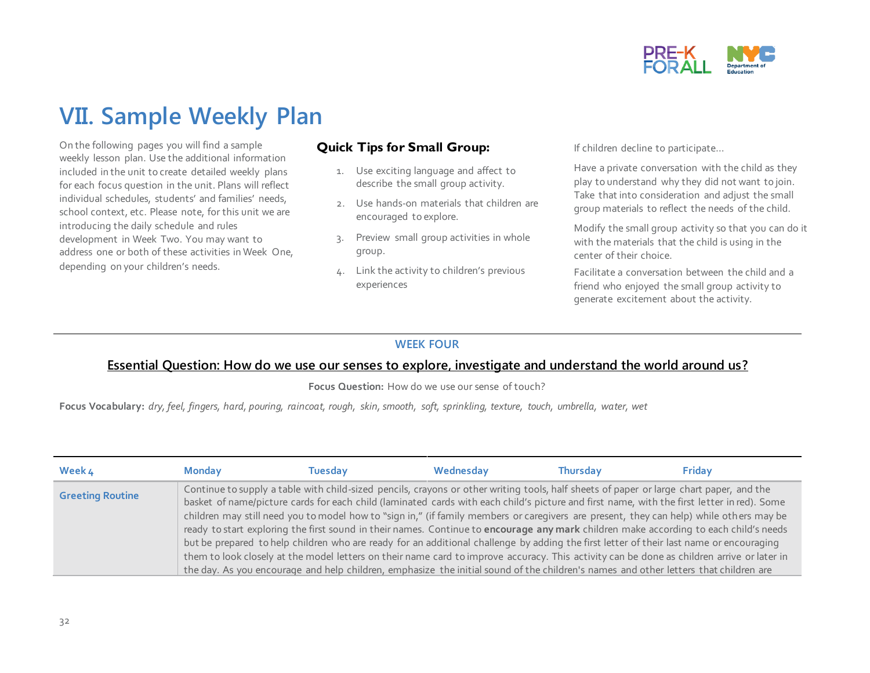

## **VII. Sample Weekly Plan**

On the following pages you will find a sample weekly lesson plan. Use the additional information included in the unit to create detailed weekly plans for each focus question in the unit. Plans will reflect individual schedules, students' and families' needs, school context, etc. Please note, for this unit we are introducing the daily schedule and rules development in Week Two. You may want to address one or both of these activities in Week One, depending on your children's needs.

#### **Quick Tips for Small Group:**

- 1. Use exciting language and affect to describe the small group activity.
- 2. Use hands-on materials that children are encouraged to explore.
- 3. Preview small group activities in whole group.
- 4. Link the activity to children's previous experiences

If children decline to participate…

Have a private conversation with the child as they play to understand why they did not want to join. Take that into consideration and adjust the small group materials to reflect the needs of the child.

Modify the small group activity so that you can do it with the materials that the child is using in the center of their choice.

Facilitate a conversation between the child and a friend who enjoyed the small group activity to generate excitement about the activity.

#### **WEEK FOUR**

#### **Essential Question: How do we use our senses to explore, investigate and understand the world around us?**

**Focus Question:** How do we use our sense of touch?

**Focus Vocabulary:** *dry, feel, fingers, hard, pouring, raincoat, rough, skin, smooth, soft, sprinkling, texture, touch, umbrella, water, wet* 

| Week 4                  | <b>Monday</b> | Tuesdav | Wednesday                                                                                                                                                                                                                                                                                                                                                                                                                                                                                                                                                                 | <b>Thursday</b> | <b>Friday</b> |
|-------------------------|---------------|---------|---------------------------------------------------------------------------------------------------------------------------------------------------------------------------------------------------------------------------------------------------------------------------------------------------------------------------------------------------------------------------------------------------------------------------------------------------------------------------------------------------------------------------------------------------------------------------|-----------------|---------------|
| <b>Greeting Routine</b> |               |         | Continue to supply a table with child-sized pencils, crayons or other writing tools, half sheets of paper or large chart paper, and the<br>basket of name/picture cards for each child (laminated cards with each child's picture and first name, with the first letter in red). Some<br>children may still need you to model how to "sign in," (if family members or caregivers are present, they can help) while others may be<br>ready to start exploring the first sound in their names. Continue to encourage any mark children make according to each child's needs |                 |               |
|                         |               |         | but be prepared to help children who are ready for an additional challenge by adding the first letter of their last name or encouraging<br>them to look closely at the model letters on their name card to improve accuracy. This activity can be done as children arrive or later in<br>the day. As you encourage and help children, emphasize the initial sound of the children's names and other letters that children are                                                                                                                                             |                 |               |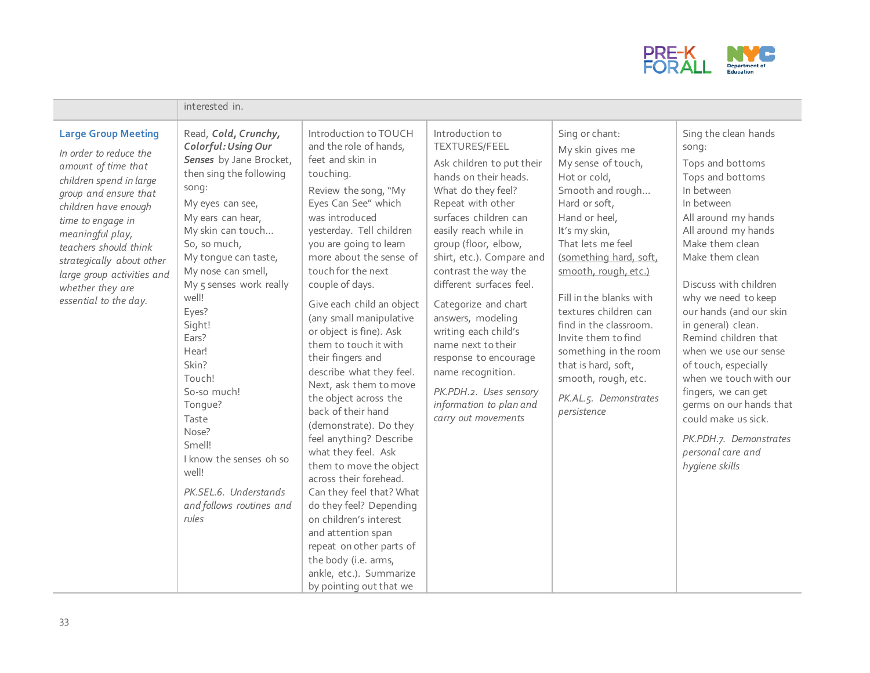

|                                                                                                                                                                                                                                                                                                                                   | interested in.                                                                                                                                                                                                                                                                                                                                                                                                                                                                             |                                                                                                                                                                                                                                                                                                                                                                                                                                                                                                                                                                                                                                                                                                                                                                                                                                                                     |                                                                                                                                                                                                                                                                                                                                                                                                                                                                                                                          |                                                                                                                                                                                                                                                                                                                                                                                                                                            |                                                                                                                                                                                                                                                                                                                                                                                                                                                                                                                                     |
|-----------------------------------------------------------------------------------------------------------------------------------------------------------------------------------------------------------------------------------------------------------------------------------------------------------------------------------|--------------------------------------------------------------------------------------------------------------------------------------------------------------------------------------------------------------------------------------------------------------------------------------------------------------------------------------------------------------------------------------------------------------------------------------------------------------------------------------------|---------------------------------------------------------------------------------------------------------------------------------------------------------------------------------------------------------------------------------------------------------------------------------------------------------------------------------------------------------------------------------------------------------------------------------------------------------------------------------------------------------------------------------------------------------------------------------------------------------------------------------------------------------------------------------------------------------------------------------------------------------------------------------------------------------------------------------------------------------------------|--------------------------------------------------------------------------------------------------------------------------------------------------------------------------------------------------------------------------------------------------------------------------------------------------------------------------------------------------------------------------------------------------------------------------------------------------------------------------------------------------------------------------|--------------------------------------------------------------------------------------------------------------------------------------------------------------------------------------------------------------------------------------------------------------------------------------------------------------------------------------------------------------------------------------------------------------------------------------------|-------------------------------------------------------------------------------------------------------------------------------------------------------------------------------------------------------------------------------------------------------------------------------------------------------------------------------------------------------------------------------------------------------------------------------------------------------------------------------------------------------------------------------------|
| <b>Large Group Meeting</b><br>In order to reduce the<br>amount of time that<br>children spend in large<br>group and ensure that<br>children have enough<br>time to engage in<br>meaningful play,<br>teachers should think<br>strategically about other<br>large group activities and<br>whether they are<br>essential to the day. | Read, Cold, Crunchy,<br>Colorful: Using Our<br>Senses by Jane Brocket,<br>then sing the following<br>song:<br>My eyes can see,<br>My ears can hear,<br>My skin can touch<br>So, so much,<br>My tongue can taste,<br>My nose can smell,<br>My 5 senses work really<br>well!<br>Eyes?<br>Sight!<br>Ears?<br>Hear!<br>Skin?<br>Touch!<br>So-so much!<br>Tongue?<br>Taste<br>Nose?<br>Smell!<br>I know the senses oh so<br>well!<br>PK.SEL.6. Understands<br>and follows routines and<br>rules | Introduction to TOUCH<br>and the role of hands,<br>feet and skin in<br>touching.<br>Review the song, "My<br>Eyes Can See" which<br>was introduced<br>yesterday. Tell children<br>you are going to learn<br>more about the sense of<br>touch for the next<br>couple of days.<br>Give each child an object<br>(any small manipulative<br>or object is fine). Ask<br>them to touch it with<br>their fingers and<br>describe what they feel.<br>Next, ask them to move<br>the object across the<br>back of their hand<br>(demonstrate). Do they<br>feel anything? Describe<br>what they feel. Ask<br>them to move the object<br>across their forehead.<br>Can they feel that? What<br>do they feel? Depending<br>on children's interest<br>and attention span<br>repeat on other parts of<br>the body (i.e. arms,<br>ankle, etc.). Summarize<br>by pointing out that we | Introduction to<br><b>TEXTURES/FEEL</b><br>Ask children to put their<br>hands on their heads.<br>What do they feel?<br>Repeat with other<br>surfaces children can<br>easily reach while in<br>group (floor, elbow,<br>shirt, etc.). Compare and<br>contrast the way the<br>different surfaces feel.<br>Categorize and chart<br>answers, modeling<br>writing each child's<br>name next to their<br>response to encourage<br>name recognition.<br>PK.PDH.2. Uses sensory<br>information to plan and<br>carry out movements | Sing or chant:<br>My skin gives me<br>My sense of touch,<br>Hot or cold,<br>Smooth and rough<br>Hard or soft,<br>Hand or heel,<br>It's my skin,<br>That lets me feel<br>(something hard, soft,<br>smooth, rough, etc.)<br>Fill in the blanks with<br>textures children can<br>find in the classroom.<br>Invite them to find<br>something in the room<br>that is hard, soft,<br>smooth, rough, etc.<br>PK.AL.5. Demonstrates<br>persistence | Sing the clean hands<br>song:<br>Tops and bottoms<br>Tops and bottoms<br>In between<br>In between<br>All around my hands<br>All around my hands<br>Make them clean<br>Make them clean<br>Discuss with children<br>why we need to keep<br>our hands (and our skin<br>in general) clean.<br>Remind children that<br>when we use our sense<br>of touch, especially<br>when we touch with our<br>fingers, we can get<br>germs on our hands that<br>could make us sick.<br>PK.PDH.7. Demonstrates<br>personal care and<br>hygiene skills |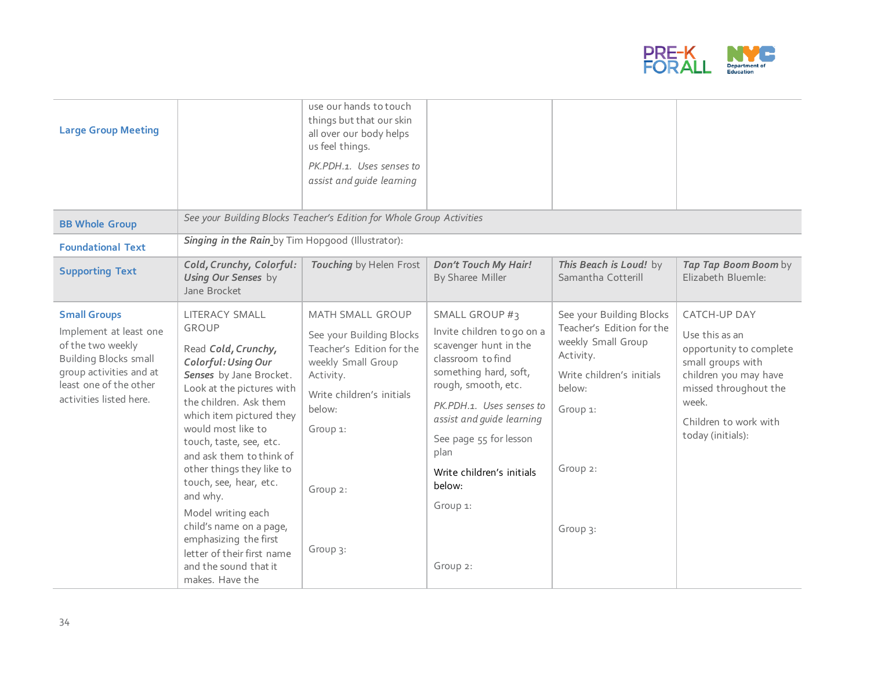

| <b>Large Group Meeting</b><br><b>BB Whole Group</b>                                                                                                                                |                                                                                                                                                                                                                                                                                                                                                                                                                                                                                                | use our hands to touch<br>things but that our skin<br>all over our body helps<br>us feel things.<br>PK.PDH.1. Uses senses to<br>assist and quide learning<br>See your Building Blocks Teacher's Edition for Whole Group Activities |                                                                                                                                                                                                                                                                                                             |                                                                                                                                                                     |                                                                                                                                                                                         |
|------------------------------------------------------------------------------------------------------------------------------------------------------------------------------------|------------------------------------------------------------------------------------------------------------------------------------------------------------------------------------------------------------------------------------------------------------------------------------------------------------------------------------------------------------------------------------------------------------------------------------------------------------------------------------------------|------------------------------------------------------------------------------------------------------------------------------------------------------------------------------------------------------------------------------------|-------------------------------------------------------------------------------------------------------------------------------------------------------------------------------------------------------------------------------------------------------------------------------------------------------------|---------------------------------------------------------------------------------------------------------------------------------------------------------------------|-----------------------------------------------------------------------------------------------------------------------------------------------------------------------------------------|
| <b>Foundational Text</b>                                                                                                                                                           | Singing in the Rain by Tim Hopgood (Illustrator):                                                                                                                                                                                                                                                                                                                                                                                                                                              |                                                                                                                                                                                                                                    |                                                                                                                                                                                                                                                                                                             |                                                                                                                                                                     |                                                                                                                                                                                         |
| <b>Supporting Text</b>                                                                                                                                                             | Cold, Crunchy, Colorful:<br><b>Using Our Senses</b> by<br>Jane Brocket                                                                                                                                                                                                                                                                                                                                                                                                                         | Touching by Helen Frost                                                                                                                                                                                                            | <b>Don't Touch My Hair!</b><br>By Sharee Miller                                                                                                                                                                                                                                                             | This Beach is Loud! by<br>Samantha Cotterill                                                                                                                        | Tap Tap Boom Boom by<br>Elizabeth Bluemle:                                                                                                                                              |
| <b>Small Groups</b><br>Implement at least one<br>of the two weekly<br><b>Building Blocks small</b><br>group activities and at<br>least one of the other<br>activities listed here. | LITERACY SMALL<br><b>GROUP</b><br>Read Cold, Crunchy,<br>Colorful: Using Our<br>Senses by Jane Brocket.<br>Look at the pictures with<br>the children. Ask them<br>which item pictured they<br>would most like to<br>touch, taste, see, etc.<br>and ask them to think of<br>other things they like to<br>touch, see, hear, etc.<br>and why.<br>Model writing each<br>child's name on a page,<br>emphasizing the first<br>letter of their first name<br>and the sound that it<br>makes. Have the | <b>MATH SMALL GROUP</b><br>See your Building Blocks<br>Teacher's Edition for the<br>weekly Small Group<br>Activity.<br>Write children's initials<br>below:<br>Group 1:<br>Group 2:<br>Group 3:                                     | <b>SMALL GROUP #3</b><br>Invite children to go on a<br>scavenger hunt in the<br>classroom to find<br>something hard, soft,<br>rough, smooth, etc.<br>PK.PDH.1. Uses senses to<br>assist and quide learning<br>See page 55 for lesson<br>plan<br>Write children's initials<br>below:<br>Group 1:<br>Group 2: | See your Building Blocks<br>Teacher's Edition for the<br>weekly Small Group<br>Activity.<br>Write children's initials<br>below:<br>Group 1:<br>Group 2:<br>Group 3: | CATCH-UP DAY<br>Use this as an<br>opportunity to complete<br>small groups with<br>children you may have<br>missed throughout the<br>week.<br>Children to work with<br>today (initials): |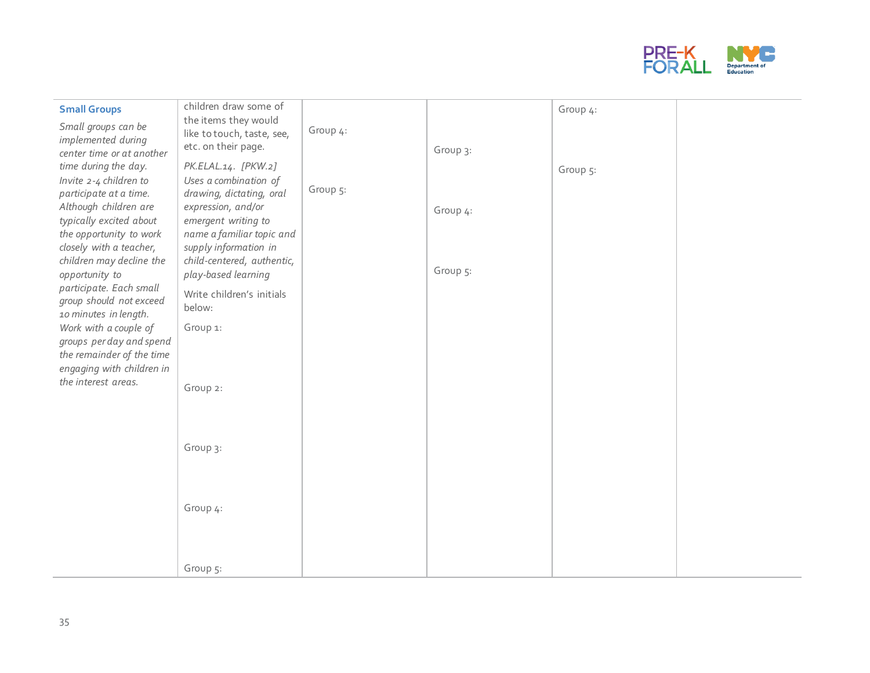

| <b>Small Groups</b>                                                                                                                                                                                                                                                                                                 | children draw some of                                                                                                                                                                                                                                                   |          |                      | Group 4: |  |
|---------------------------------------------------------------------------------------------------------------------------------------------------------------------------------------------------------------------------------------------------------------------------------------------------------------------|-------------------------------------------------------------------------------------------------------------------------------------------------------------------------------------------------------------------------------------------------------------------------|----------|----------------------|----------|--|
| Small groups can be<br>implemented during                                                                                                                                                                                                                                                                           | the items they would<br>like to touch, taste, see,<br>etc. on their page.                                                                                                                                                                                               | Group 4: | Group 3:             |          |  |
| center time or at another<br>time during the day.<br>Invite 2-4 children to<br>participate at a time.<br>Although children are<br>typically excited about<br>the opportunity to work<br>closely with a teacher,<br>children may decline the<br>opportunity to<br>participate. Each small<br>group should not exceed | PK.ELAL.14. [PKW.2]<br>Uses a combination of<br>drawing, dictating, oral<br>expression, and/or<br>emergent writing to<br>name a familiar topic and<br>supply information in<br>child-centered, authentic,<br>play-based learning<br>Write children's initials<br>below: | Group 5: | Group 4:<br>Group 5: | Group 5: |  |
| 10 minutes in length.<br>Work with a couple of<br>groups per day and spend<br>the remainder of the time<br>engaging with children in<br>the interest areas.                                                                                                                                                         | Group 1:<br>Group 2:                                                                                                                                                                                                                                                    |          |                      |          |  |
|                                                                                                                                                                                                                                                                                                                     | Group 3:                                                                                                                                                                                                                                                                |          |                      |          |  |
|                                                                                                                                                                                                                                                                                                                     | Group 4:                                                                                                                                                                                                                                                                |          |                      |          |  |
|                                                                                                                                                                                                                                                                                                                     | Group 5:                                                                                                                                                                                                                                                                |          |                      |          |  |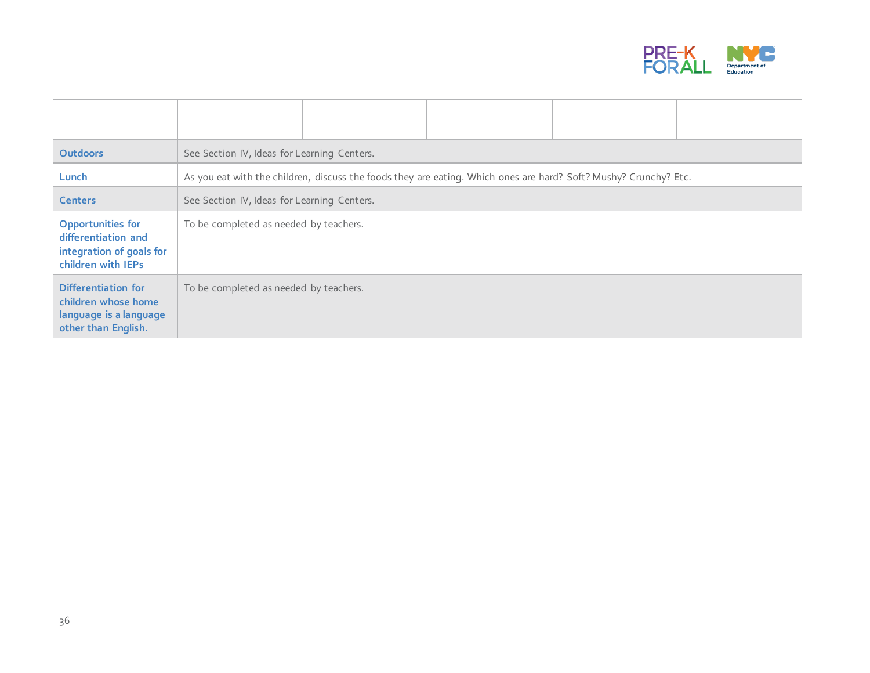

| <b>Outdoors</b>                                                                                   | See Section IV, Ideas for Learning Centers. |  |                                                                                                                  |  |  |
|---------------------------------------------------------------------------------------------------|---------------------------------------------|--|------------------------------------------------------------------------------------------------------------------|--|--|
| Lunch                                                                                             |                                             |  | As you eat with the children, discuss the foods they are eating. Which ones are hard? Soft? Mushy? Crunchy? Etc. |  |  |
| <b>Centers</b>                                                                                    | See Section IV, Ideas for Learning Centers. |  |                                                                                                                  |  |  |
| <b>Opportunities for</b><br>differentiation and<br>integration of goals for<br>children with IEPs | To be completed as needed by teachers.      |  |                                                                                                                  |  |  |
| Differentiation for<br>children whose home<br>language is a language<br>other than English.       | To be completed as needed by teachers.      |  |                                                                                                                  |  |  |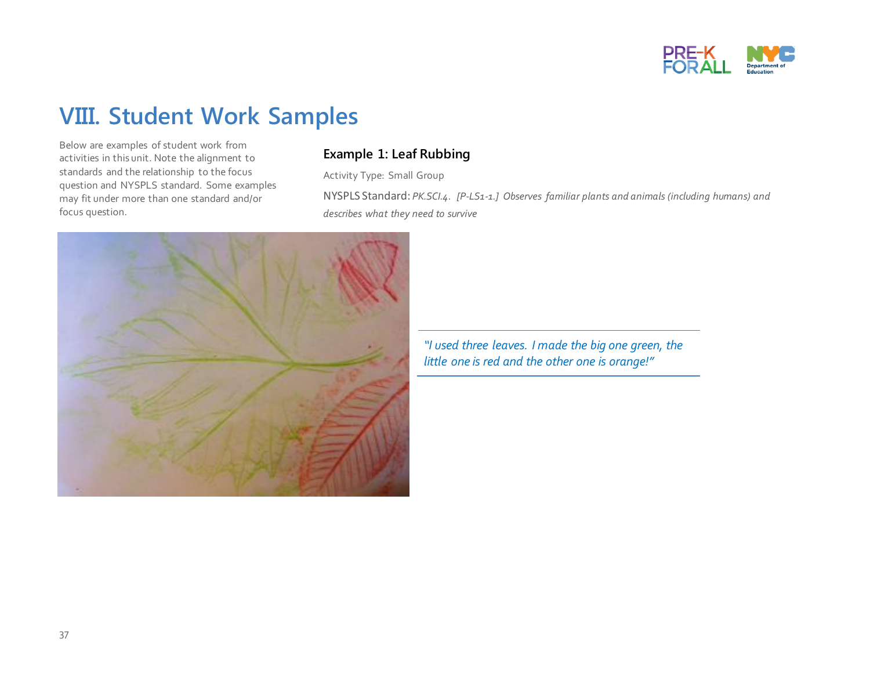

## **VIII. Student Work Samples**

Below are examples of student work from activities in this unit. Note the alignment to standards and the relationship to the focus question and NYSPLS standard. Some examples may fit under more than one standard and/or focus question.

#### **Example 1: Leaf Rubbing**

Activity Type: Small Group

NYSPLS Standard: *PK.SCI.4. [P-LS1-1.] Observes familiar plants and animals (including humans) and describes what they need to survive* 



*"I used three leaves. I made the big one green, the little one is red and the other one is orange!"*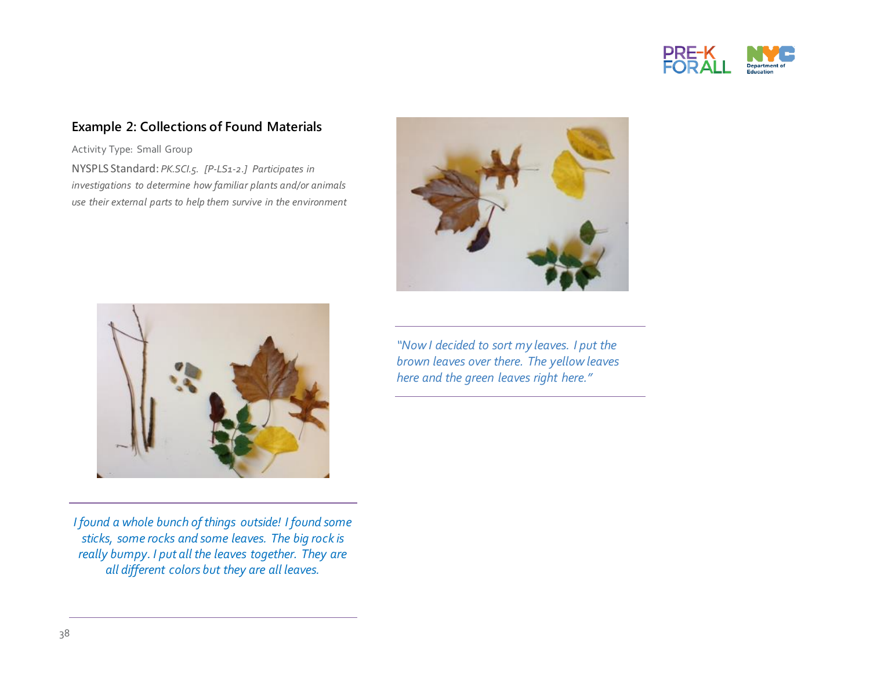

#### **Example 2: Collections of Found Materials**

Activity Type: Small Group NYSPLS Standard: *PK.SCI.5. [P-LS1-2.] Participates in investigations to determine how familiar plants and/or animals use their external parts to help them survive in the environment* 





*I found a whole bunch of things outside! I found some sticks, some rocks and some leaves. The big rock is really bumpy. I put all the leaves together. They are all different colors but they are all leaves.* 

*"Now I decided to sort my leaves. I put the brown leaves over there. The yellow leaves here and the green leaves right here."*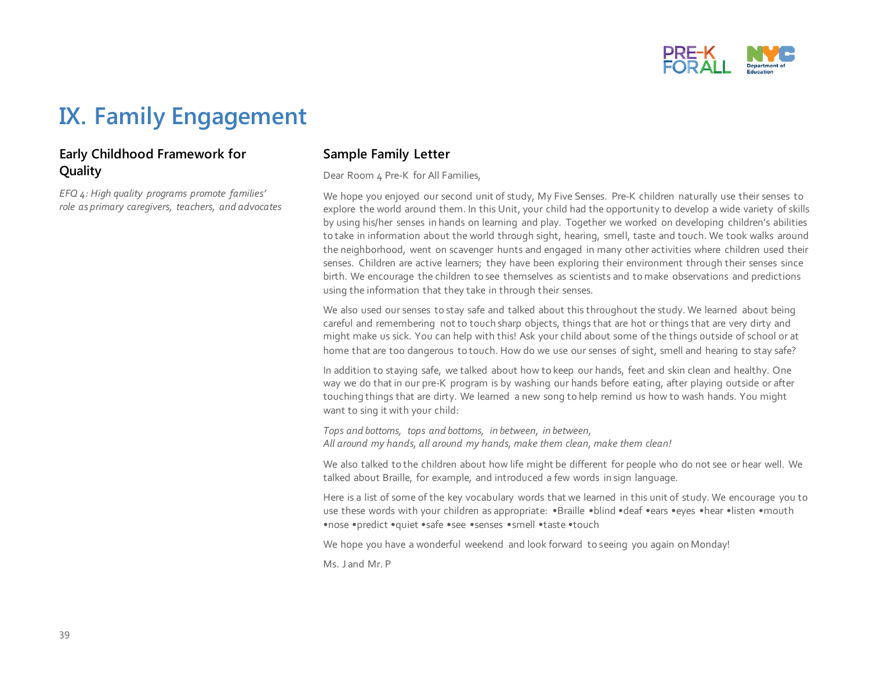

## **IX. Family Engagement**

#### **Early Childhood Framework for Quality**

*EFQ 4: High quality programs promote families' role as primary caregivers, teachers, and advocates*

#### **Sample Family Letter**

Dear Room 4 Pre-K for All Families,

We hope you enjoyed our second unit of study, My Five Senses. Pre-K children naturally use their senses to explore the world around them. In this Unit, your child had the opportunity to develop a wide variety of skills by using his/her senses in hands on learning and play. Together we worked on developing children's abilities to take in information about the world through sight, hearing, smell, taste and touch. We took walks around the neighborhood, went on scavenger hunts and engaged in many other activities where children used their senses. Children are active learners; they have been exploring their environment through their senses since birth. We encourage the children to see themselves as scientists and to make observations and predictions using the information that they take in through their senses.

We also used our senses to stay safe and talked about this throughout the study. We learned about being careful and remembering not to touch sharp objects, things that are hot or things that are very dirty and might make us sick. You can help with this! Ask your child about some of the things outside of school or at home that are too dangerous to touch. How do we use our senses of sight, smell and hearing to stay safe?

In addition to staying safe, we talked about how to keep our hands, feet and skin clean and healthy. One way we do that in our pre-K program is by washing our hands before eating, after playing outside or after touching things that are dirty. We learned a new song to help remind us how to wash hands. You might want to sing it with your child:

*Tops and bottoms, tops and bottoms, in between, in between, All around my hands, all around my hands, make them clean, make them clean!*

We also talked to the children about how life might be different for people who do not see or hear well. We talked about Braille, for example, and introduced a few words in sign language.

Here is a list of some of the key vocabulary words that we learned in this unit of study. We encourage you to use these words with your children as appropriate: •Braille •blind •deaf •ears •eyes •hear •listen •mouth •nose •predict •quiet •safe •see •senses •smell •taste •touch

We hope you have a wonderful weekend and look forward to seeing you again on Monday!

Ms. J and Mr. P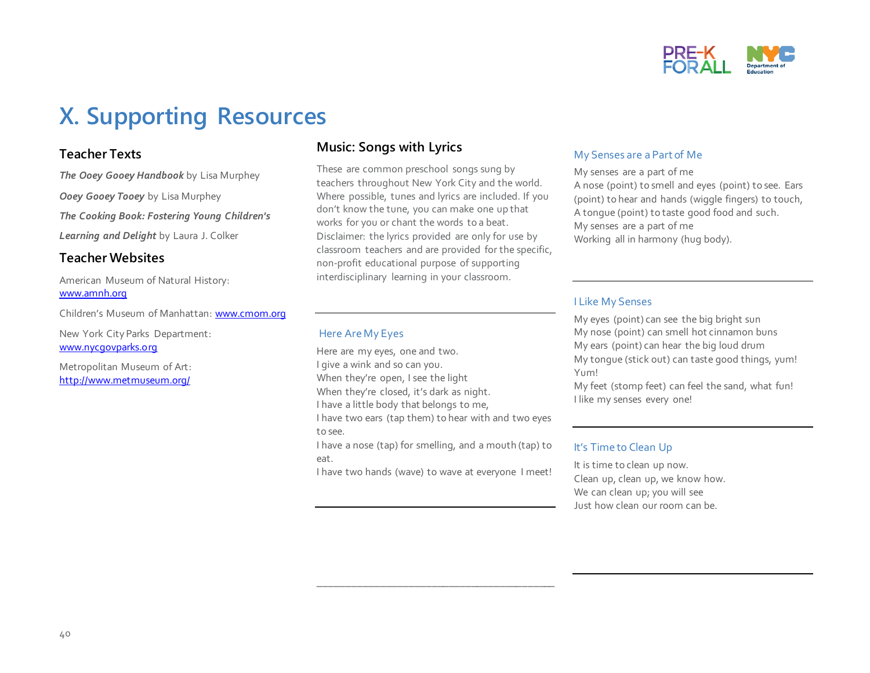

## **X. Supporting Resources**

#### **Teacher Texts**

*The Ooey Gooey Handbook* by Lisa Murphey *Ooey Gooey Tooey* by Lisa Murphey *The Cooking Book: Fostering Young Children's Learning and Delight* by Laura J. Colker

#### **Teacher Websites**

American Museum of Natural History: [www.amnh.org](http://www.amnh.org/)

Children's Museum of Manhattan: [www.cmom.org](http://www.cmom.org/)

New York City Parks Department: [www.nycgovparks.org](http://www.nycgovparks.org/)

Metropolitan Museum of Art: <http://www.metmuseum.org/>

#### **Music: Songs with Lyrics**

These are common preschool songs sung by teachers throughout New York City and the world. Where possible, tunes and lyrics are included. If you don't know the tune, you can make one up that works for you or chant the words to a beat. Disclaimer: the lyrics provided are only for use by classroom teachers and are provided for the specific, non-profit educational purpose of supporting interdisciplinary learning in your classroom.

#### Here Are My Eyes

Here are my eyes, one and two. I give a wink and so can you. When they're open, I see the light When they're closed, it's dark as night. I have a little body that belongs to me, I have two ears (tap them) to hear with and two eyes

to see.

I have a nose (tap) for smelling, and a mouth (tap) to eat.

I have two hands (wave) to wave at everyone I meet!

\_\_\_\_\_\_\_\_\_\_\_\_\_\_\_\_\_\_\_\_\_\_\_\_\_\_\_\_\_\_\_\_\_\_\_\_\_\_\_\_\_\_

#### My Senses are a Part of Me

My senses are a part of me A nose (point) to smell and eyes (point) to see. Ears (point) to hear and hands (wiggle fingers) to touch, A tongue (point) to taste good food and such. My senses are a part of me Working all in harmony (hug body).

#### I Like My Senses

My eyes (point) can see the big bright sun My nose (point) can smell hot cinnamon buns My ears (point) can hear the big loud drum My tongue (stick out) can taste good things, yum! Yum!

My feet (stomp feet) can feel the sand, what fun! I like my senses every one!

#### It's Time to Clean Up

It is time to clean up now. Clean up, clean up, we know how. We can clean up; you will see Just how clean our room can be.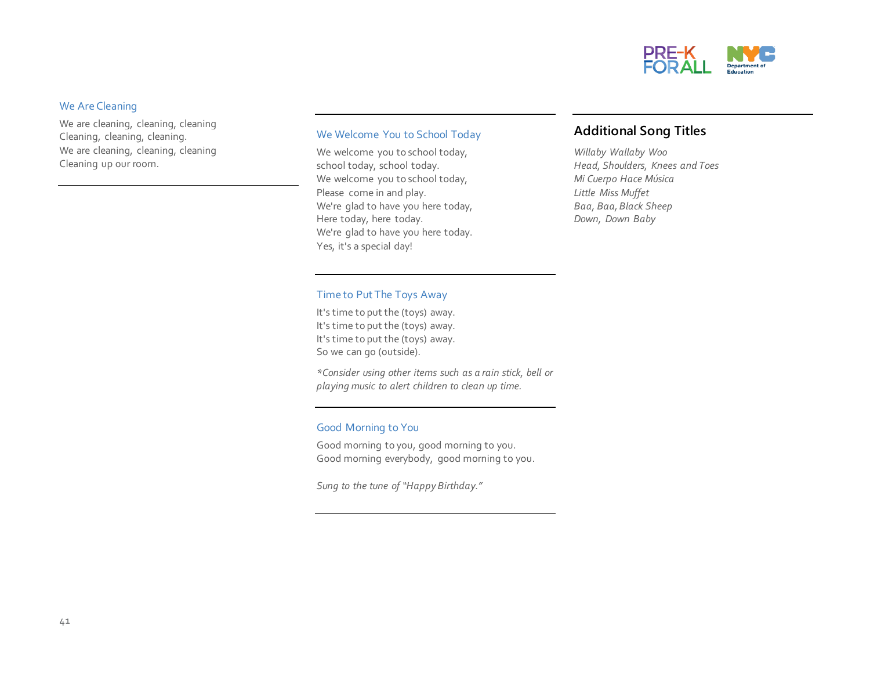

#### We Are Cleaning

We are cleaning, cleaning, cleaning Cleaning, cleaning, cleaning. We are cleaning, cleaning, cleaning Cleaning up our room.

#### We Welcome You to School Today

We welcome you to school today, school today, school today. We welcome you to school today, Please come in and play. We're glad to have you here today, Here today, here today. We're glad to have you here today. Yes, it's a special day!

#### **Additional Song Titles**

*Willaby Wallaby Woo Head, Shoulders, Knees and Toes Mi Cuerpo Hace Música Little Miss Muffet Baa, Baa, Black Sheep Down, Down Baby*

#### Time to Put The Toys Away

It's time to put the (toys) away. It's time to put the (toys) away. It's time to put the (toys) away. So we can go (outside).

*\*Consider using other items such as a rain stick, bell or playing music to alert children to clean up time.*

#### Good Morning to You

Good morning to you, good morning to you. Good morning everybody, good morning to you.

*Sung to the tune of "Happy Birthday."*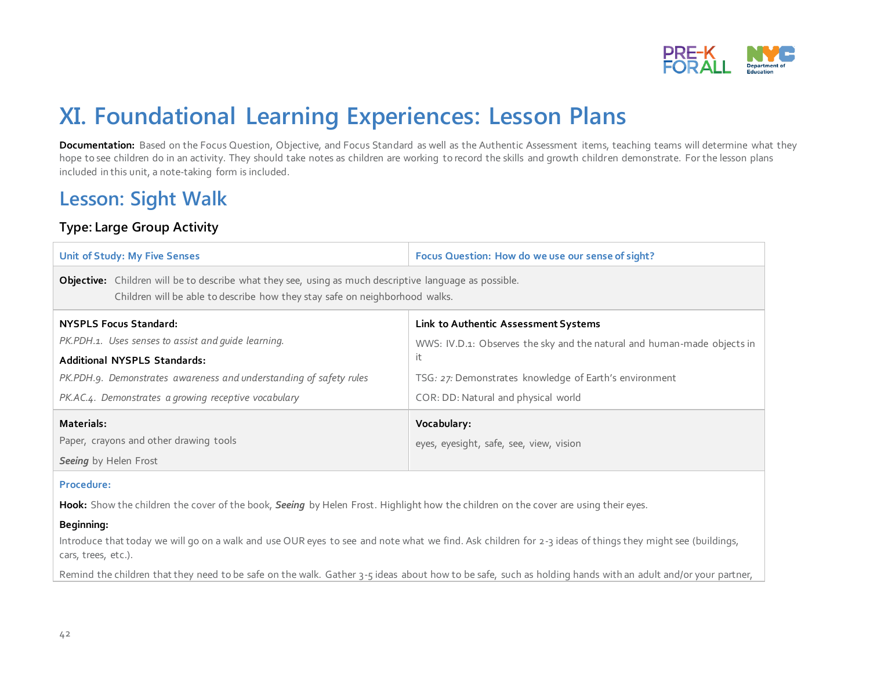

## **XI. Foundational Learning Experiences: Lesson Plans**

Documentation: Based on the Focus Question, Objective, and Focus Standard as well as the Authentic Assessment items, teaching teams will determine what they hope to see children do in an activity. They should take notes as children are working to record the skills and growth children demonstrate. For the lesson plans included in this unit, a note-taking form is included.

## **Lesson: Sight Walk**

#### **Type: Large Group Activity**

| <b>Unit of Study: My Five Senses</b>                                                                                                                                                  | Focus Question: How do we use our sense of sight?                       |  |  |  |
|---------------------------------------------------------------------------------------------------------------------------------------------------------------------------------------|-------------------------------------------------------------------------|--|--|--|
| Objective: Children will be to describe what they see, using as much descriptive language as possible.<br>Children will be able to describe how they stay safe on neighborhood walks. |                                                                         |  |  |  |
| <b>NYSPLS Focus Standard:</b>                                                                                                                                                         | Link to Authentic Assessment Systems                                    |  |  |  |
| PK.PDH.1. Uses senses to assist and quide learning.                                                                                                                                   | WWS: IV.D.1: Observes the sky and the natural and human-made objects in |  |  |  |
| <b>Additional NYSPLS Standards:</b>                                                                                                                                                   | it.                                                                     |  |  |  |
| PK.PDH.9. Demonstrates awareness and understanding of safety rules                                                                                                                    | TSG: 27: Demonstrates knowledge of Earth's environment                  |  |  |  |
| PK.AC.4. Demonstrates a growing receptive vocabulary                                                                                                                                  | COR: DD: Natural and physical world                                     |  |  |  |
| Materials:                                                                                                                                                                            | Vocabulary:                                                             |  |  |  |
| Paper, crayons and other drawing tools                                                                                                                                                | eyes, eyesight, safe, see, view, vision                                 |  |  |  |
| Seeing by Helen Frost                                                                                                                                                                 |                                                                         |  |  |  |

#### **Procedure:**

**Hook:** Show the children the cover of the book, *Seeing* by Helen Frost. Highlight how the children on the cover are using their eyes.

#### **Beginning:**

Introduce that today we will go on a walk and use OUR eyes to see and note what we find. Ask children for 2-3 ideas of things they might see (buildings, cars, trees, etc.).

Remind the children that they need to be safe on the walk. Gather 3-5 ideas about how to be safe, such as holding hands with an adult and/or your partner,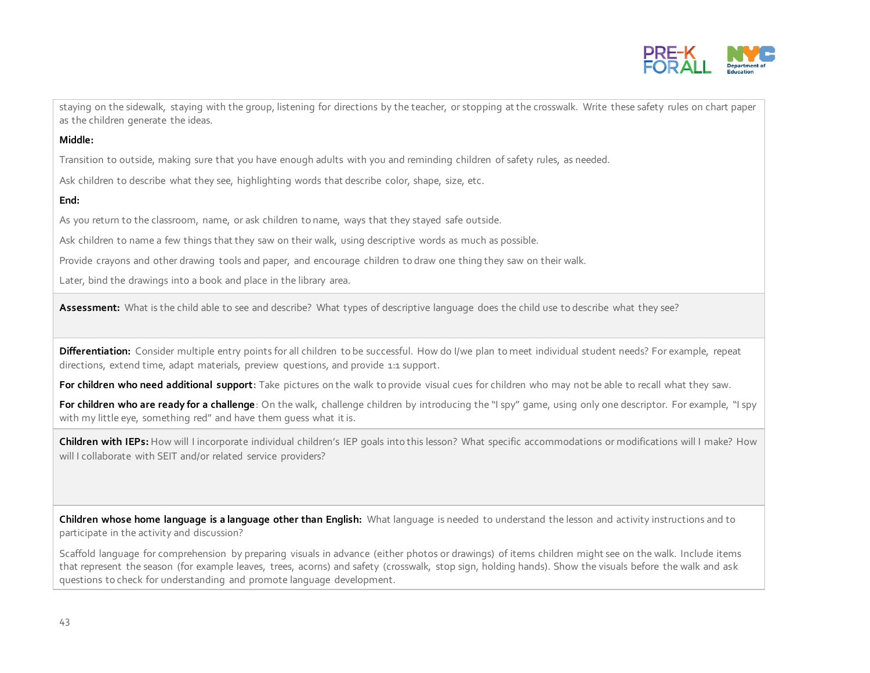

staying on the sidewalk, staying with the group, listening for directions by the teacher, or stopping at the crosswalk. Write these safety rules on chart paper as the children generate the ideas.

#### **Middle:**

Transition to outside, making sure that you have enough adults with you and reminding children of safety rules, as needed.

Ask children to describe what they see, highlighting words that describe color, shape, size, etc.

#### **End:**

As you return to the classroom, name, or ask children to name, ways that they stayed safe outside.

Ask children to name a few things that they saw on their walk, using descriptive words as much as possible.

Provide crayons and other drawing tools and paper, and encourage children to draw one thing they saw on their walk.

Later, bind the drawings into a book and place in the library area.

**Assessment:** What is the child able to see and describe? What types of descriptive language does the child use to describe what they see?

**Differentiation:** Consider multiple entry points for all children to be successful. How do I/we plan to meet individual student needs? For example, repeat directions, extend time, adapt materials, preview questions, and provide 1:1 support.

**For children who need additional support:** Take pictures on the walk to provide visual cues for children who may not be able to recall what they saw.

**For children who are ready for a challenge**: On the walk, challenge children by introducing the "I spy" game, using only one descriptor. For example, "I spy with my little eye, something red" and have them guess what it is.

**Children with IEPs:** How will I incorporate individual children's IEP goals into this lesson? What specific accommodations or modifications will I make? How will I collaborate with SEIT and/or related service providers?

**Children whose home language is a language other than English:** What language is needed to understand the lesson and activity instructions and to participate in the activity and discussion?

Scaffold language for comprehension by preparing visuals in advance (either photos or drawings) of items children might see on the walk. Include items that represent the season (for example leaves, trees, acorns) and safety (crosswalk, stop sign, holding hands). Show the visuals before the walk and ask questions to check for understanding and promote language development.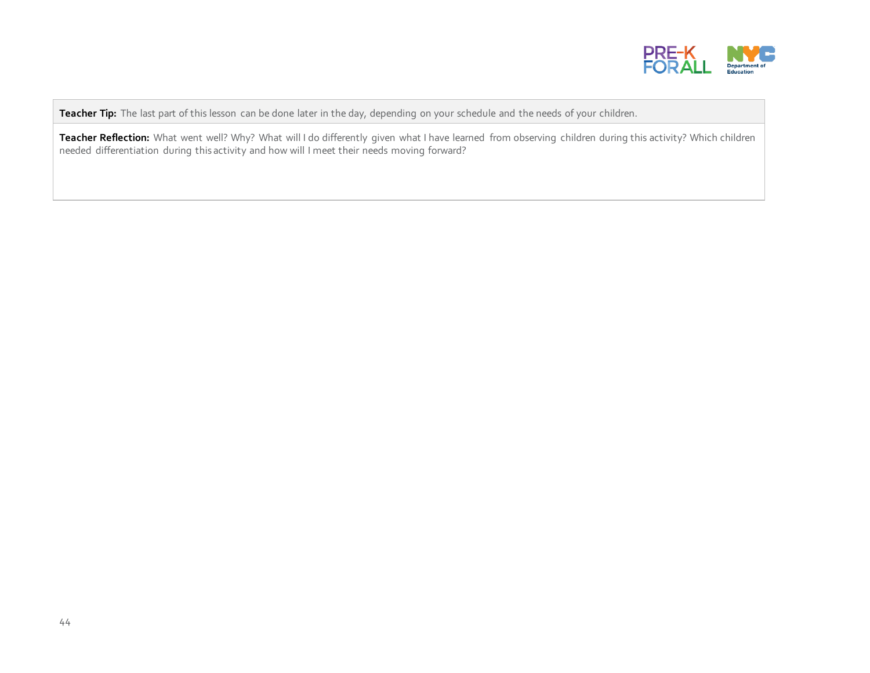

**Teacher Tip:** The last part of this lesson can be done later in the day, depending on your schedule and the needs of your children.

Teacher Reflection: What went well? Why? What will I do differently given what I have learned from observing children during this activity? Which children needed differentiation during this activity and how will I meet their needs moving forward?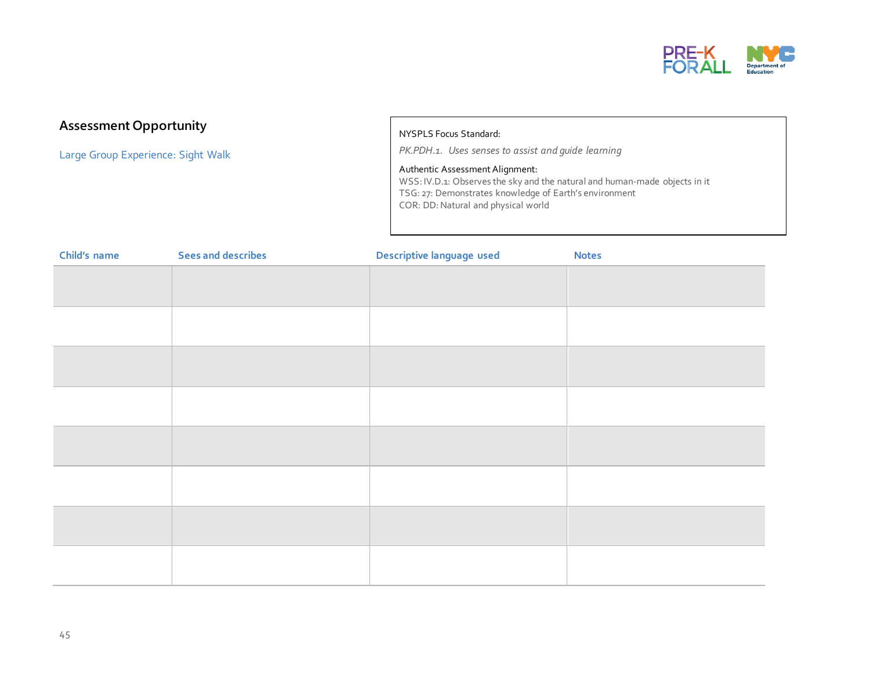

#### **Assessment Opportunity**

Large Group Experience: Sight Walk

#### NYSPLS Focus Standard:

*PK.PDH.1. Uses senses to assist and guide learning*

#### Authentic Assessment Alignment:

WSS: IV.D.1: Observes the sky and the natural and human-made objects in it TSG: 27: Demonstrates knowledge of Earth's environment COR: DD: Natural and physical world

| Child's name | <b>Sees and describes</b> | Descriptive language used | <b>Notes</b> |
|--------------|---------------------------|---------------------------|--------------|
|              |                           |                           |              |
|              |                           |                           |              |
|              |                           |                           |              |
|              |                           |                           |              |
|              |                           |                           |              |
|              |                           |                           |              |
|              |                           |                           |              |
|              |                           |                           |              |
|              |                           |                           |              |
|              |                           |                           |              |
|              |                           |                           |              |
|              |                           |                           |              |
|              |                           |                           |              |
|              |                           |                           |              |
|              |                           |                           |              |
|              |                           |                           |              |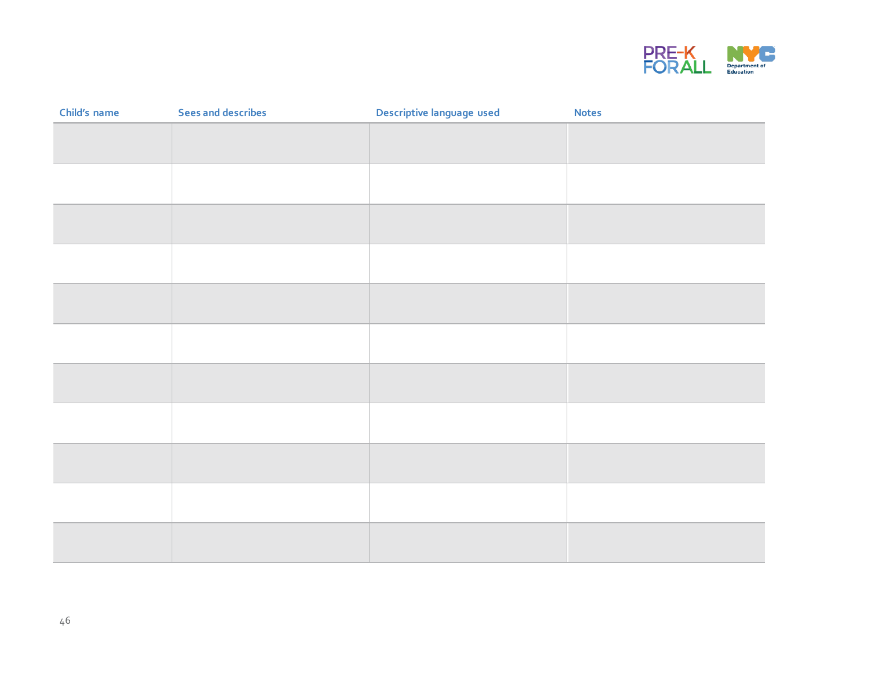

| Child's name | <b>Sees and describes</b> | Descriptive language used | <b>Notes</b> |
|--------------|---------------------------|---------------------------|--------------|
|              |                           |                           |              |
|              |                           |                           |              |
|              |                           |                           |              |
|              |                           |                           |              |
|              |                           |                           |              |
|              |                           |                           |              |
|              |                           |                           |              |
|              |                           |                           |              |
|              |                           |                           |              |
|              |                           |                           |              |
|              |                           |                           |              |
|              |                           |                           |              |
|              |                           |                           |              |
|              |                           |                           |              |
|              |                           |                           |              |
|              |                           |                           |              |
|              |                           |                           |              |
|              |                           |                           |              |
|              |                           |                           |              |
|              |                           |                           |              |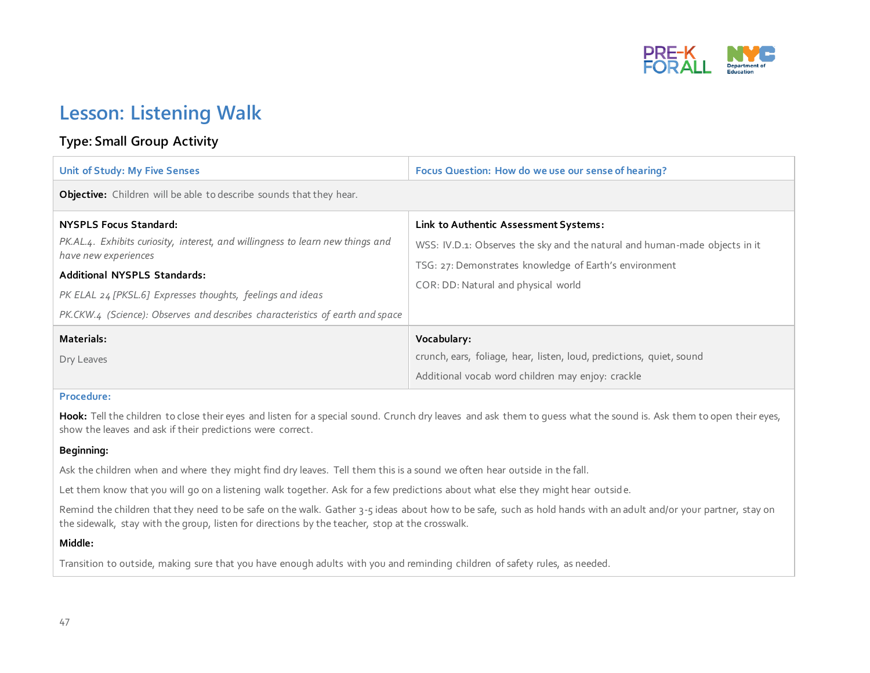

## **Lesson: Listening Walk**

#### **Type: Small Group Activity**

| Unit of Study: My Five Senses                                                                          | Focus Question: How do we use our sense of hearing?                        |
|--------------------------------------------------------------------------------------------------------|----------------------------------------------------------------------------|
| <b>Objective:</b> Children will be able to describe sounds that they hear.                             |                                                                            |
| <b>NYSPLS Focus Standard:</b>                                                                          | Link to Authentic Assessment Systems:                                      |
| PK.AL.4. Exhibits curiosity, interest, and willingness to learn new things and<br>have new experiences | WSS: IV.D.1: Observes the sky and the natural and human-made objects in it |
| <b>Additional NYSPLS Standards:</b>                                                                    | TSG: 27: Demonstrates knowledge of Earth's environment                     |
| PK ELAL 24 [PKSL.6] Expresses thoughts, feelings and ideas                                             | COR: DD: Natural and physical world                                        |
| PK.CKW.4 (Science): Observes and describes characteristics of earth and space                          |                                                                            |
| Materials:                                                                                             | Vocabulary:                                                                |
| Dry Leaves                                                                                             | crunch, ears, foliage, hear, listen, loud, predictions, quiet, sound       |
|                                                                                                        | Additional vocab word children may enjoy: crackle                          |

#### **Procedure:**

Hook: Tell the children to close their eyes and listen for a special sound. Crunch dry leaves and ask them to guess what the sound is. Ask them to open their eyes, show the leaves and ask if their predictions were correct.

#### **Beginning:**

Ask the children when and where they might find dry leaves. Tell them this is a sound we often hear outside in the fall.

Let them know that you will go on a listening walk together. Ask for a few predictions about what else they might hear outside.

Remind the children that they need to be safe on the walk. Gather 3-5 ideas about how to be safe, such as hold hands with an adult and/or your partner, stay on the sidewalk, stay with the group, listen for directions by the teacher, stop at the crosswalk.

#### **Middle:**

Transition to outside, making sure that you have enough adults with you and reminding children of safety rules, as needed.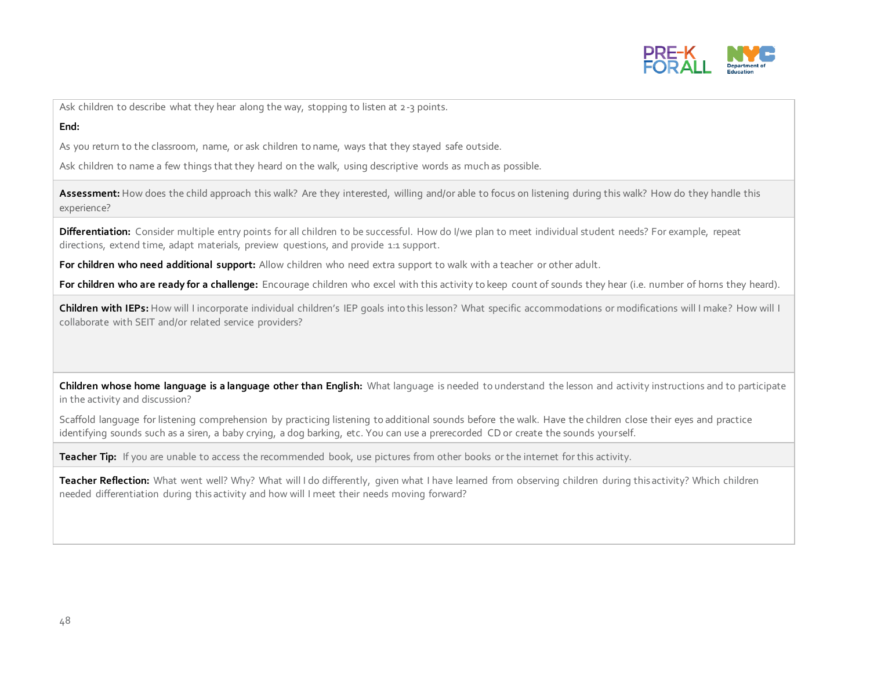

Ask children to describe what they hear along the way, stopping to listen at 2-3 points.

#### **End:**

As you return to the classroom, name, or ask children to name, ways that they stayed safe outside.

Ask children to name a few things that they heard on the walk, using descriptive words as much as possible.

**Assessment:** How does the child approach this walk? Are they interested, willing and/or able to focus on listening during this walk? How do they handle this experience?

**Differentiation:** Consider multiple entry points for all children to be successful. How do I/we plan to meet individual student needs? For example, repeat directions, extend time, adapt materials, preview questions, and provide 1:1 support.

**For children who need additional support:** Allow children who need extra support to walk with a teacher or other adult.

For children who are ready for a challenge: Encourage children who excel with this activity to keep count of sounds they hear (i.e. number of horns they heard).

**Children with IEPs:** How will I incorporate individual children's IEP goals into this lesson? What specific accommodations or modifications will I make? How will I collaborate with SEIT and/or related service providers?

**Children whose home language is a language other than English:** What language is needed to understand the lesson and activity instructions and to participate in the activity and discussion?

Scaffold language for listening comprehension by practicing listening to additional sounds before the walk. Have the children close their eyes and practice identifying sounds such as a siren, a baby crying, a dog barking, etc. You can use a prerecorded CD or create the sounds yourself.

**Teacher Tip:** If you are unable to access the recommended book, use pictures from other books or the internet for this activity.

Teacher Reflection: What went well? Why? What will I do differently, given what I have learned from observing children during this activity? Which children needed differentiation during this activity and how will I meet their needs moving forward?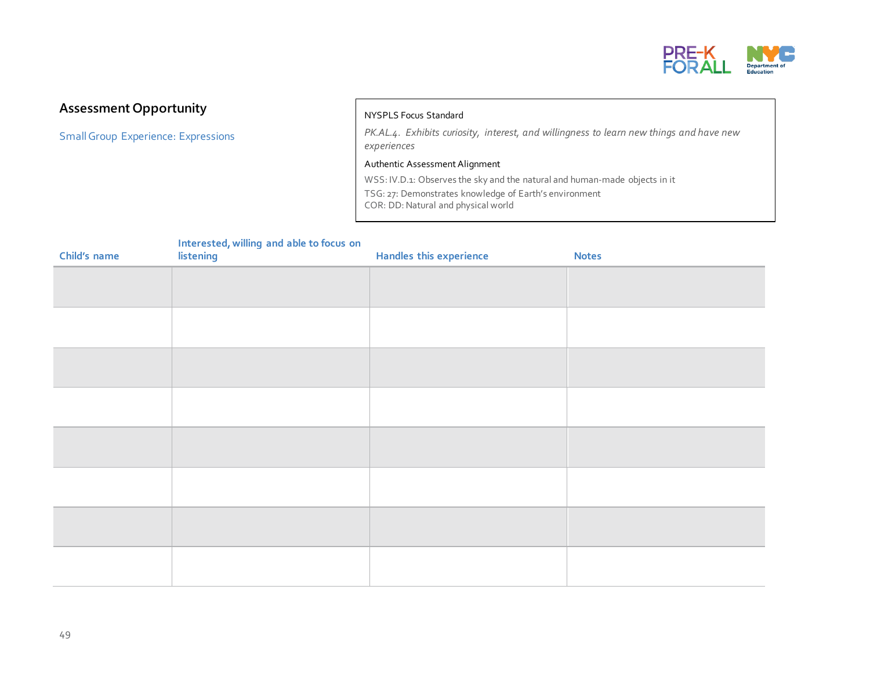

#### **Assessment Opportunity**

SmallGroup Experience: Expressions

#### NYSPLS Focus Standard

*PK.AL.4. Exhibits curiosity, interest, and willingness to learn new things and have new experiences*

Authentic Assessment Alignment

WSS: IV.D.1: Observes the sky and the natural and human-made objects in it TSG: 27: Demonstrates knowledge of Earth's environment COR: DD: Natural and physical world

| Child's name | merested, whilling and able to locus on<br>listening | <b>Handles this experience</b> | <b>Notes</b> |
|--------------|------------------------------------------------------|--------------------------------|--------------|
|              |                                                      |                                |              |
|              |                                                      |                                |              |
|              |                                                      |                                |              |
|              |                                                      |                                |              |
|              |                                                      |                                |              |
|              |                                                      |                                |              |
|              |                                                      |                                |              |
|              |                                                      |                                |              |
|              |                                                      |                                |              |
|              |                                                      |                                |              |
|              |                                                      |                                |              |
|              |                                                      |                                |              |
|              |                                                      |                                |              |
|              |                                                      |                                |              |

### **Interested, willing and able to focus on**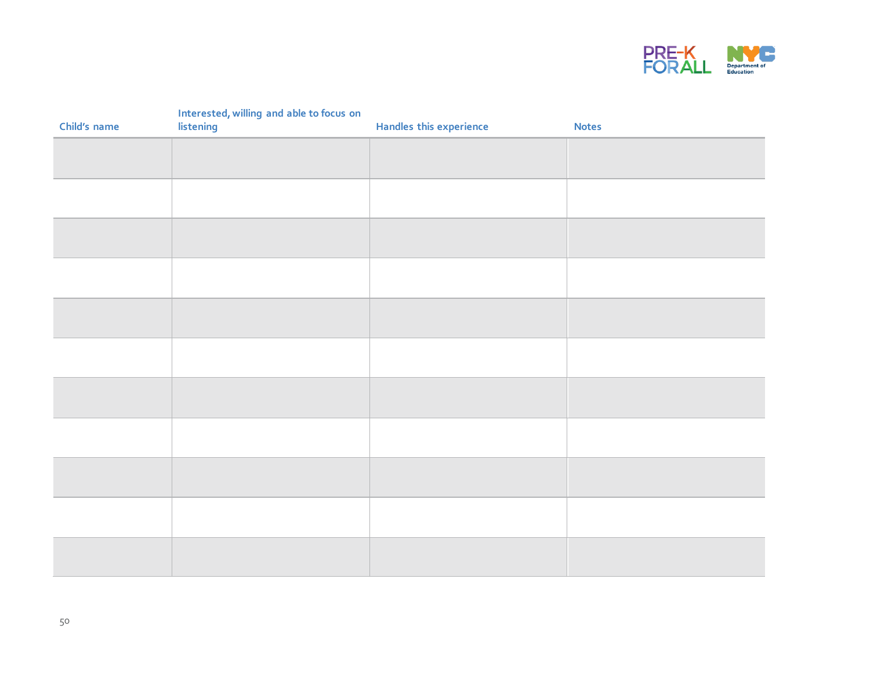

|              | Interested, willing and able to focus on<br>listening |                         |              |
|--------------|-------------------------------------------------------|-------------------------|--------------|
| Child's name |                                                       | Handles this experience | <b>Notes</b> |
|              |                                                       |                         |              |
|              |                                                       |                         |              |
|              |                                                       |                         |              |
|              |                                                       |                         |              |
|              |                                                       |                         |              |
|              |                                                       |                         |              |
|              |                                                       |                         |              |
|              |                                                       |                         |              |
|              |                                                       |                         |              |
|              |                                                       |                         |              |
|              |                                                       |                         |              |
|              |                                                       |                         |              |
|              |                                                       |                         |              |
|              |                                                       |                         |              |
|              |                                                       |                         |              |
|              |                                                       |                         |              |
|              |                                                       |                         |              |
|              |                                                       |                         |              |
|              |                                                       |                         |              |
|              |                                                       |                         |              |
|              |                                                       |                         |              |
|              |                                                       |                         |              |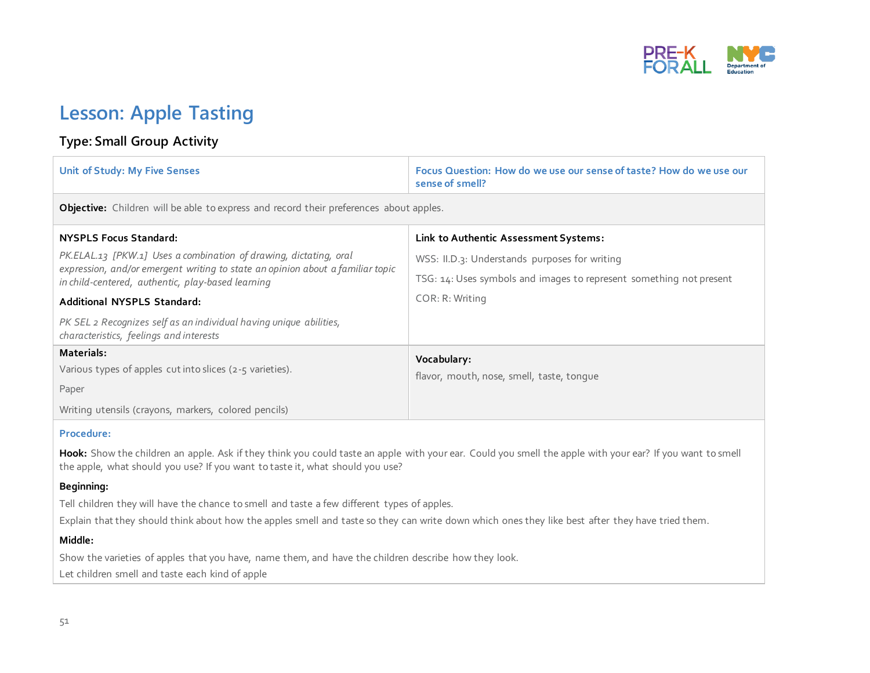

## **Lesson: Apple Tasting**

#### **Type: Small Group Activity**

| <b>Unit of Study: My Five Senses</b>                                                                                                | Focus Question: How do we use our sense of taste? How do we use our<br>sense of smell? |  |
|-------------------------------------------------------------------------------------------------------------------------------------|----------------------------------------------------------------------------------------|--|
| Objective: Children will be able to express and record their preferences about apples.                                              |                                                                                        |  |
| <b>NYSPLS Focus Standard:</b>                                                                                                       | Link to Authentic Assessment Systems:                                                  |  |
| PK.ELAL.13 [PKW.1] Uses a combination of drawing, dictating, oral                                                                   | WSS: II.D.3: Understands purposes for writing                                          |  |
| expression, and/or emergent writing to state an opinion about a familiar topic<br>in child-centered, authentic, play-based learning | TSG: 14: Uses symbols and images to represent something not present                    |  |
| Additional NYSPLS Standard:                                                                                                         | COR: R: Writing                                                                        |  |
| PK SEL 2 Recognizes self as an individual having unique abilities,<br>characteristics, feelings and interests                       |                                                                                        |  |
| Materials:                                                                                                                          | Vocabulary:                                                                            |  |
| Various types of apples cut into slices (2-5 varieties).                                                                            | flavor, mouth, nose, smell, taste, tonque                                              |  |
| Paper                                                                                                                               |                                                                                        |  |
| Writing utensils (crayons, markers, colored pencils)                                                                                |                                                                                        |  |
|                                                                                                                                     |                                                                                        |  |

#### **Procedure:**

Hook: Show the children an apple. Ask if they think you could taste an apple with your ear. Could you smell the apple with your ear? If you want to smell the apple, what should you use? If you want to taste it, what should you use?

#### **Beginning:**

Tell children they will have the chance to smell and taste a few different types of apples.

Explain that they should think about how the apples smell and taste so they can write down which ones they like best after they have tried them.

#### **Middle:**

Show the varieties of apples that you have, name them, and have the children describe how they look.

Let children smell and taste each kind of apple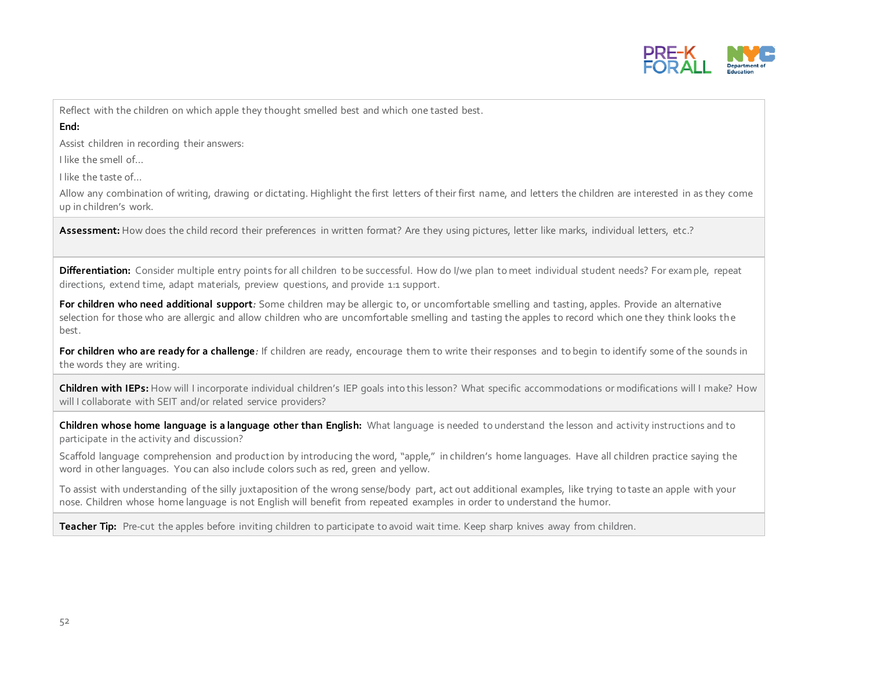

Reflect with the children on which apple they thought smelled best and which one tasted best.

**End:** 

Assist children in recording their answers:

I like the smell of…

I like the taste of…

Allow any combination of writing, drawing or dictating. Highlight the first letters of their first name, and letters the children are interested in as they come up in children's work.

Assessment: How does the child record their preferences in written format? Are they using pictures, letter like marks, individual letters, etc.?

**Differentiation:** Consider multiple entry points for all children to be successful. How do I/we plan to meet individual student needs? For example, repeat directions, extend time, adapt materials, preview questions, and provide 1:1 support.

**For children who need additional support***:* Some children may be allergic to, or uncomfortable smelling and tasting, apples. Provide an alternative selection for those who are allergic and allow children who are uncomfortable smelling and tasting the apples to record which one they think looks the best.

For children who are ready for a challenge: If children are ready, encourage them to write their responses and to begin to identify some of the sounds in the words they are writing.

**Children with IEPs:** How will I incorporate individual children's IEP goals into this lesson? What specific accommodations or modifications will I make? How will I collaborate with SEIT and/or related service providers?

**Children whose home language is a language other than English:** What language is needed to understand the lesson and activity instructions and to participate in the activity and discussion?

Scaffold language comprehension and production by introducing the word, "apple," in children's home languages. Have all children practice saying the word in other languages. You can also include colors such as red, green and yellow.

To assist with understanding of the silly juxtaposition of the wrong sense/body part, act out additional examples, like trying to taste an apple with your nose. Children whose home language is not English will benefit from repeated examples in order to understand the humor.

**Teacher Tip:** Pre-cut the apples before inviting children to participate to avoid wait time. Keep sharp knives away from children.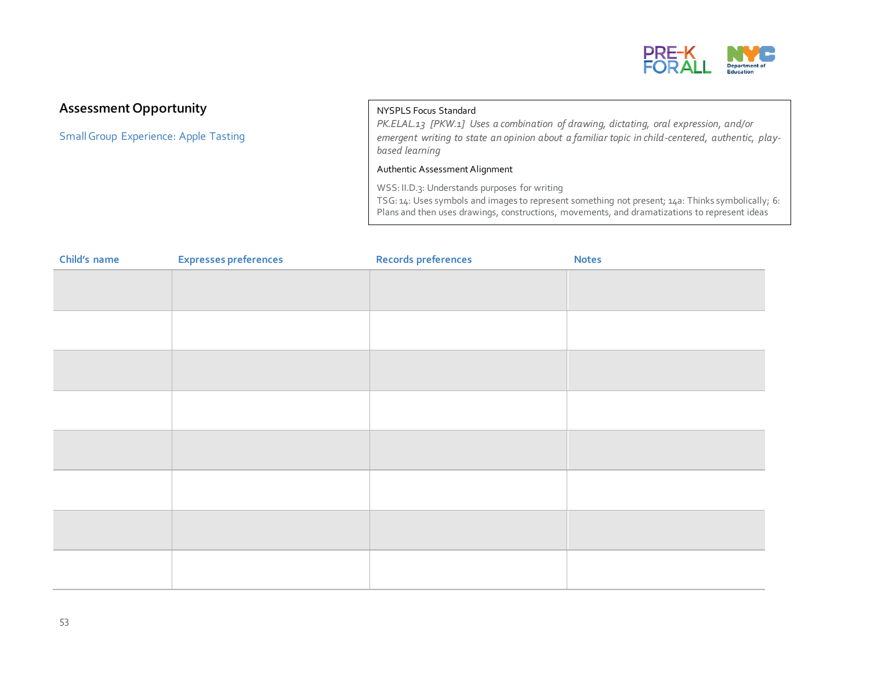

#### **Assessment Opportunity**

Small Group Experience: Apple Tasting

#### NYSPLS Focus Standard

*PK.ELAL.13 [PKW.1] Uses a combination of drawing, dictating, oral expression, and/or emergent writing to state an opinion about a familiar topic in child-centered, authentic, playbased learning*

#### Authentic Assessment Alignment

WSS: II.D.3: Understands purposes for writing TSG: 14: Uses symbols and images to represent something not present; 14a: Thinks symbolically; 6: Plans and then uses drawings, constructions, movements, and dramatizations to represent ideas

| Child's name | <b>Expresses preferences</b> | <b>Records preferences</b> | <b>Notes</b> |
|--------------|------------------------------|----------------------------|--------------|
|              |                              |                            |              |
|              |                              |                            |              |
|              |                              |                            |              |
|              |                              |                            |              |
|              |                              |                            |              |
|              |                              |                            |              |
|              |                              |                            |              |
|              |                              |                            |              |
|              |                              |                            |              |
|              |                              |                            |              |
|              |                              |                            |              |
|              |                              |                            |              |
|              |                              |                            |              |
|              |                              |                            |              |
|              |                              |                            |              |
|              |                              |                            |              |

<u>Corea Corea Corea Corea Corea Corea Corea Corea Corea Corea Corea Corea Corea Corea Corea Corea Corea Corea Co</u>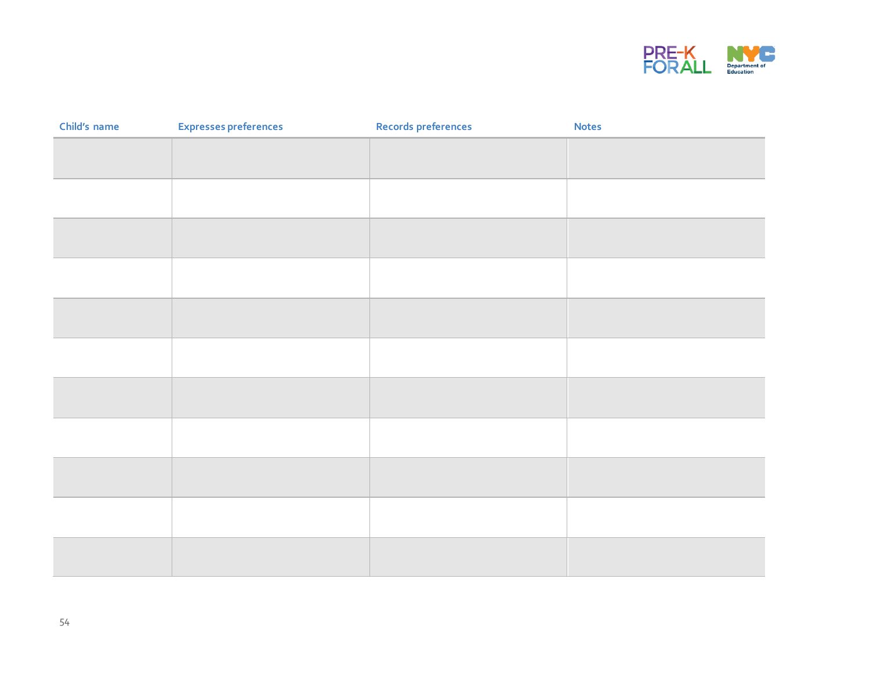

| Child's name | <b>Expresses preferences</b> | Records preferences | <b>Notes</b> |
|--------------|------------------------------|---------------------|--------------|
|              |                              |                     |              |
|              |                              |                     |              |
|              |                              |                     |              |
|              |                              |                     |              |
|              |                              |                     |              |
|              |                              |                     |              |
|              |                              |                     |              |
|              |                              |                     |              |
|              |                              |                     |              |
|              |                              |                     |              |
|              |                              |                     |              |
|              |                              |                     |              |
|              |                              |                     |              |
|              |                              |                     |              |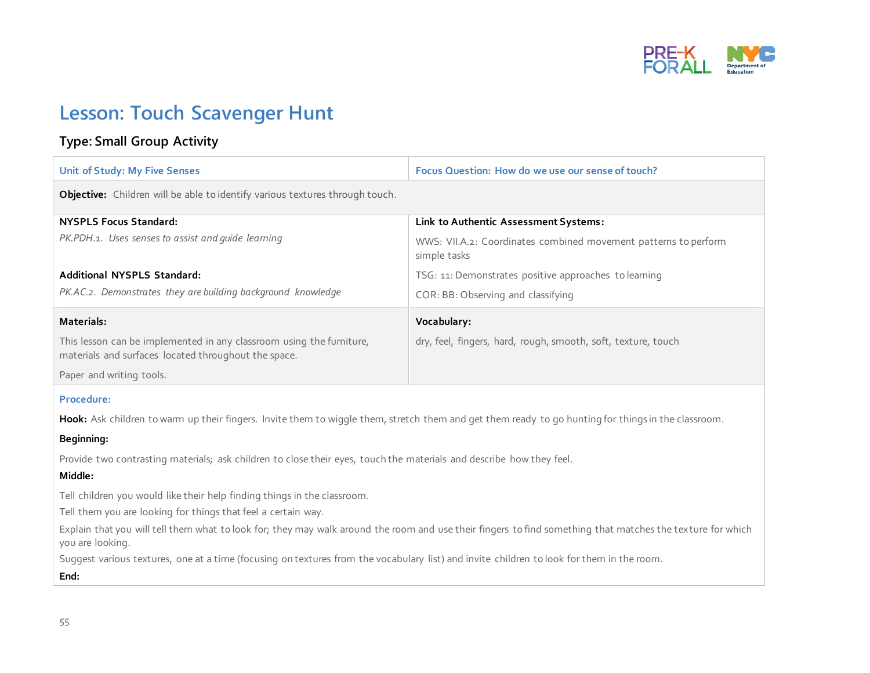

## **Lesson: Touch Scavenger Hunt**

### **Type: Small Group Activity**

| <b>Unit of Study: My Five Senses</b>                                                                                                                                           | Focus Question: How do we use our sense of touch?                               |  |
|--------------------------------------------------------------------------------------------------------------------------------------------------------------------------------|---------------------------------------------------------------------------------|--|
| Objective: Children will be able to identify various textures through touch.                                                                                                   |                                                                                 |  |
| <b>NYSPLS Focus Standard:</b>                                                                                                                                                  | Link to Authentic Assessment Systems:                                           |  |
| PK.PDH.1. Uses senses to assist and guide learning                                                                                                                             | WWS: VII.A.2: Coordinates combined movement patterns to perform<br>simple tasks |  |
| Additional NYSPLS Standard:                                                                                                                                                    | TSG: 11: Demonstrates positive approaches to learning                           |  |
| PK.AC.2. Demonstrates they are building background knowledge                                                                                                                   | COR: BB: Observing and classifying                                              |  |
| Materials:                                                                                                                                                                     | Vocabulary:                                                                     |  |
| This lesson can be implemented in any classroom using the furniture,<br>materials and surfaces located throughout the space.                                                   | dry, feel, fingers, hard, rough, smooth, soft, texture, touch                   |  |
| Paper and writing tools.                                                                                                                                                       |                                                                                 |  |
| Procedure:                                                                                                                                                                     |                                                                                 |  |
| Hook: Ask children to warm up their fingers. Invite them to wiggle them, stretch them and get them ready to go hunting for things in the classroom.                            |                                                                                 |  |
| Beginning:                                                                                                                                                                     |                                                                                 |  |
| Provide two contrasting materials; ask children to close their eyes, touch the materials and describe how they feel.                                                           |                                                                                 |  |
| Middle:                                                                                                                                                                        |                                                                                 |  |
| Tell children you would like their help finding things in the classroom.                                                                                                       |                                                                                 |  |
| Tell them you are looking for things that feel a certain way.                                                                                                                  |                                                                                 |  |
| Explain that you will tell them what to look for; they may walk around the room and use their fingers to find something that matches the texture for which<br>you are looking. |                                                                                 |  |
| Suggest various textures, one at a time (focusing on textures from the vocabulary list) and invite children to look for them in the room.                                      |                                                                                 |  |
| End:                                                                                                                                                                           |                                                                                 |  |
|                                                                                                                                                                                |                                                                                 |  |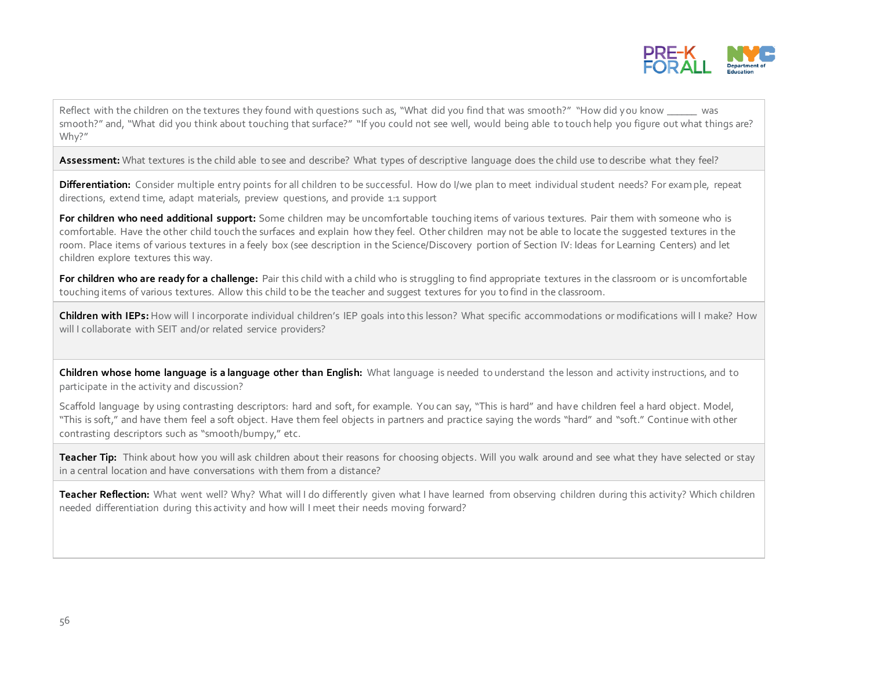

Reflect with the children on the textures they found with questions such as, "What did you find that was smooth?" "How did you know \_\_\_\_\_\_ was smooth?" and, "What did you think about touching that surface?" "If you could not see well, would being able to touch help you figure out what things are? Why?"

Assessment: What textures is the child able to see and describe? What types of descriptive language does the child use to describe what they feel?

**Differentiation:** Consider multiple entry points for all children to be successful. How do I/we plan to meet individual student needs? For example, repeat directions, extend time, adapt materials, preview questions, and provide 1:1 support

**For children who need additional support:** Some children may be uncomfortable touching items of various textures. Pair them with someone who is comfortable. Have the other child touch the surfaces and explain how they feel. Other children may not be able to locate the suggested textures in the room. Place items of various textures in a feely box (see description in the Science/Discovery portion of Section IV: Ideas for Learning Centers) and let children explore textures this way.

For children who are ready for a challenge: Pair this child with a child who is struggling to find appropriate textures in the classroom or is uncomfortable touching items of various textures. Allow this child to be the teacher and suggest textures for you to find in the classroom.

**Children with IEPs:** How will I incorporate individual children's IEP goals into this lesson? What specific accommodations or modifications will I make? How will I collaborate with SEIT and/or related service providers?

**Children whose home language is a language other than English:** What language is needed to understand the lesson and activity instructions, and to participate in the activity and discussion?

Scaffold language by using contrasting descriptors: hard and soft, for example. You can say, "This is hard" and have children feel a hard object. Model, "This is soft," and have them feel a soft object. Have them feel objects in partners and practice saying the words "hard" and "soft." Continue with other contrasting descriptors such as "smooth/bumpy," etc.

**Teacher Tip:** Think about how you will ask children about their reasons for choosing objects. Will you walk around and see what they have selected or stay in a central location and have conversations with them from a distance?

Teacher Reflection: What went well? Why? What will I do differently given what I have learned from observing children during this activity? Which children needed differentiation during this activity and how will I meet their needs moving forward?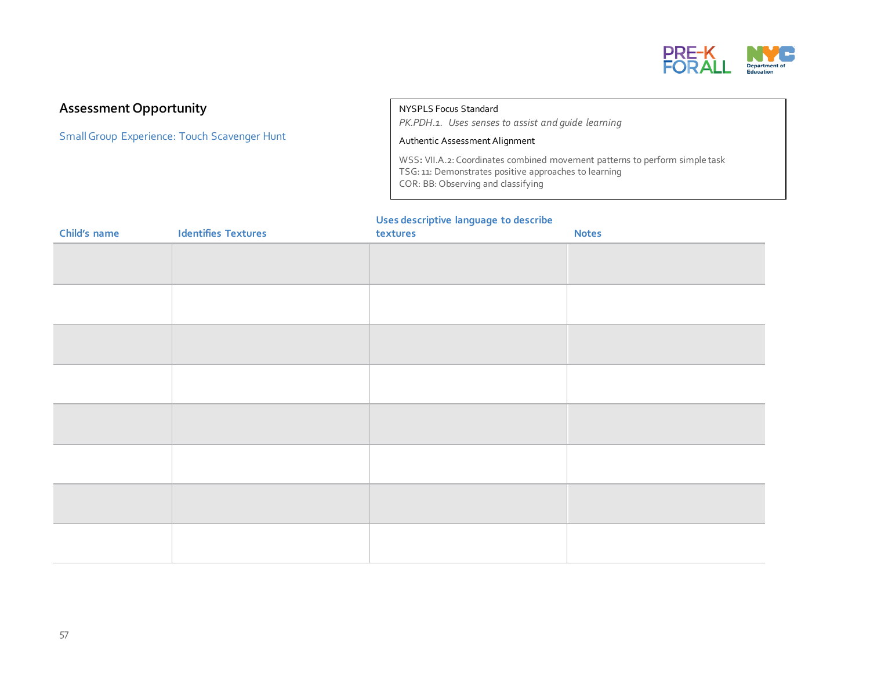

#### **Assessment Opportunity**

Small Group Experience: Touch Scavenger Hunt

NYSPLS Focus Standard

*PK.PDH.1. Uses senses to assist and guide learning*

#### Authentic Assessment Alignment

WSS**:** VII.A.2: Coordinates combined movement patterns to perform simple task TSG: 11: Demonstrates positive approaches to learning COR: BB: Observing and classifying

#### **Uses descriptive language to describe**

| Child's name | <b>Identifies Textures</b> | textures | <b>Notes</b> |
|--------------|----------------------------|----------|--------------|
|              |                            |          |              |
|              |                            |          |              |
|              |                            |          |              |
|              |                            |          |              |
|              |                            |          |              |
|              |                            |          |              |
|              |                            |          |              |
|              |                            |          |              |
|              |                            |          |              |
|              |                            |          |              |
|              |                            |          |              |
|              |                            |          |              |
|              |                            |          |              |
|              |                            |          |              |
|              |                            |          |              |
|              |                            |          |              |
|              |                            |          |              |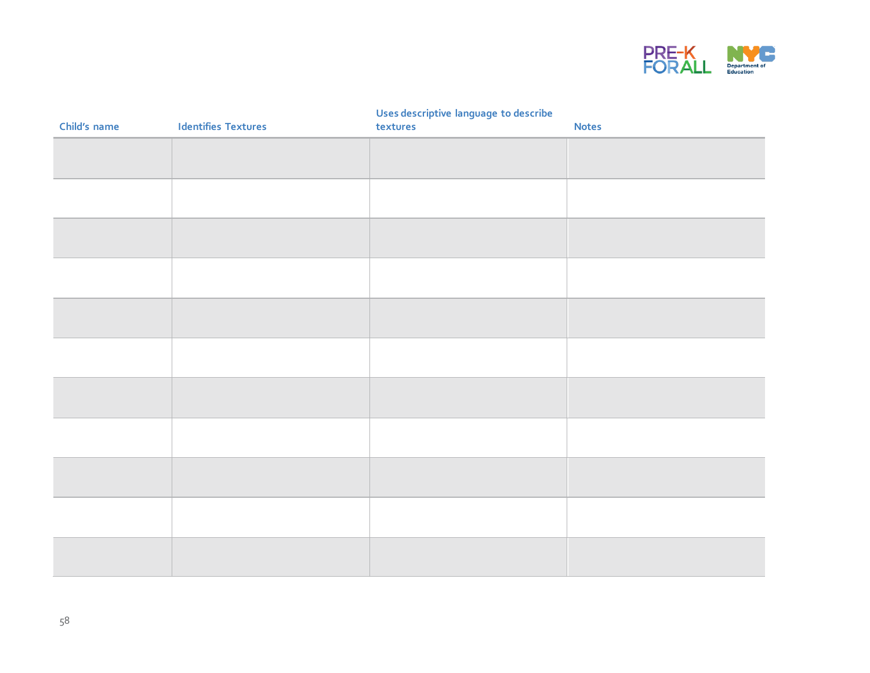

#### **Uses descriptive language to describe**

| Child's name | <b>Identifies Textures</b> | <b>State Street</b><br>---<br>textures | <b>Notes</b> |
|--------------|----------------------------|----------------------------------------|--------------|
|              |                            |                                        |              |
|              |                            |                                        |              |
|              |                            |                                        |              |
|              |                            |                                        |              |
|              |                            |                                        |              |
|              |                            |                                        |              |
|              |                            |                                        |              |
|              |                            |                                        |              |
|              |                            |                                        |              |
|              |                            |                                        |              |
|              |                            |                                        |              |
|              |                            |                                        |              |
|              |                            |                                        |              |
|              |                            |                                        |              |
|              |                            |                                        |              |
|              |                            |                                        |              |
|              |                            |                                        |              |
|              |                            |                                        |              |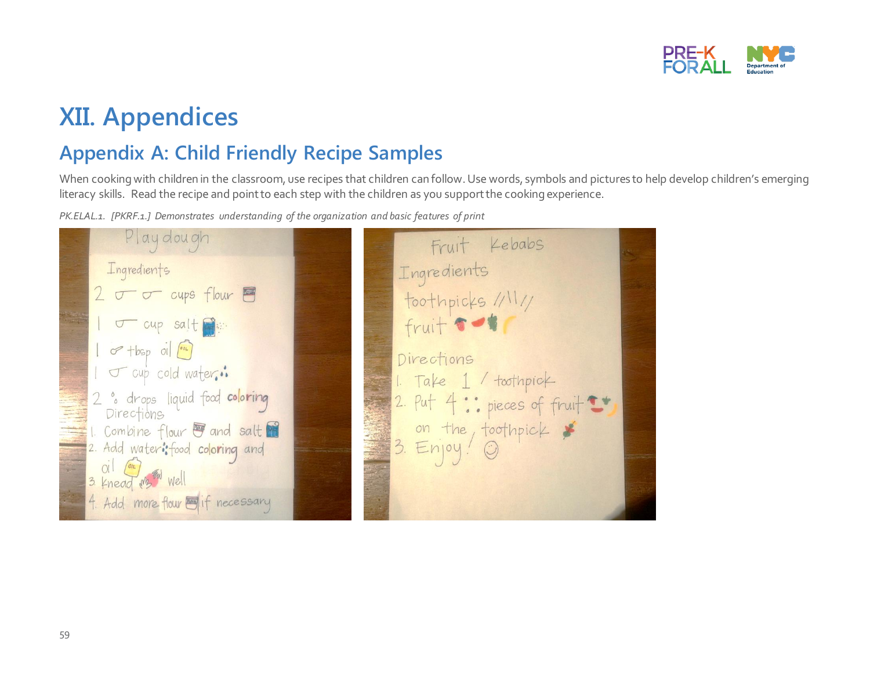

## **XII. Appendices**

## **Appendix A: Child Friendly Recipe Samples**

When cooking with children in the classroom, use recipes that children can follow. Use words, symbols and pictures to help develop children's emerging literacy skills. Read the recipe and point to each step with the children as you supportthe cooking experience.

*PK.ELAL.1. [PKRF.1.] Demonstrates understanding of the organization and basic features of print*

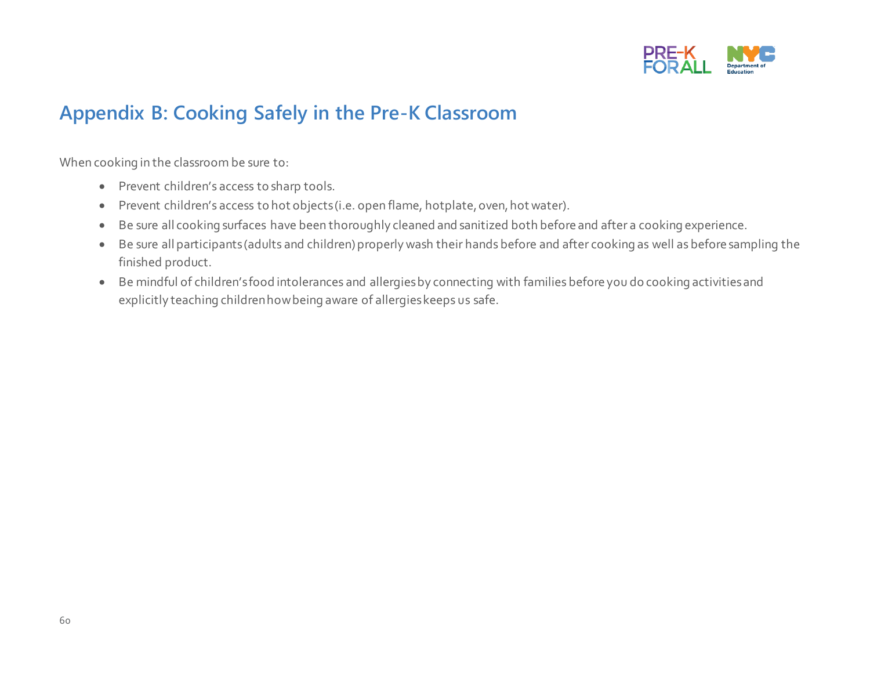

## **Appendix B: Cooking Safely in the Pre-K Classroom**

When cooking in the classroom be sure to:

- Prevent children's access to sharp tools.
- Prevent children's access to hot objects (i.e. open flame, hotplate, oven, hot water).
- Be sure all cooking surfaces have been thoroughly cleaned and sanitized both before and after a cooking experience.
- Be sure all participants (adults and children) properly wash their hands before and after cooking as well as before sampling the finished product.
- Be mindful of children's food intolerances and allergies by connecting with families before you do cooking activities and explicitly teaching children how being aware of allergies keeps us safe.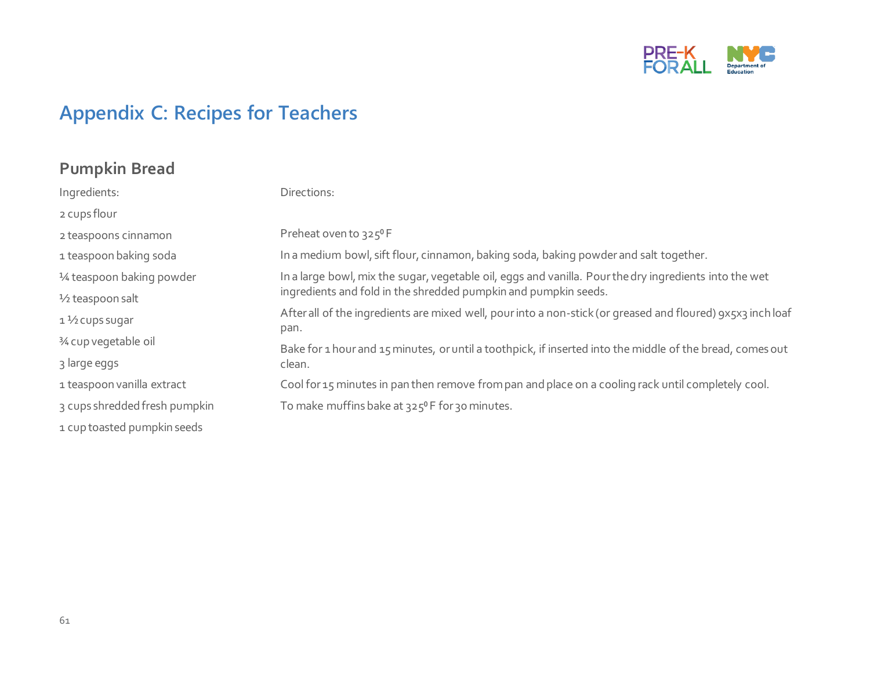

## **Appendix C: Recipes for Teachers**

### **Pumpkin Bread**

| Ingredients:                  | Directions:                                                                                                         |  |
|-------------------------------|---------------------------------------------------------------------------------------------------------------------|--|
| 2 cups flour                  |                                                                                                                     |  |
| 2 teaspoons cinnamon          | Preheat oven to 325°F                                                                                               |  |
| 1 teaspoon baking soda        | In a medium bowl, sift flour, cinnamon, baking soda, baking powder and salt together.                               |  |
| 1/4 teaspoon baking powder    | In a large bowl, mix the sugar, vegetable oil, eggs and vanilla. Pour the dry ingredients into the wet              |  |
| $\frac{1}{2}$ teaspoon salt   | ingredients and fold in the shredded pumpkin and pumpkin seeds.                                                     |  |
| $1\frac{1}{2}$ cups sugar     | After all of the ingredients are mixed well, pour into a non-stick (or greased and floured) 9x5x3 inch loaf<br>pan. |  |
| 3⁄4 cup vegetable oil         | Bake for 1 hour and 15 minutes, or until a toothpick, if inserted into the middle of the bread, comes out           |  |
| 3 large eggs                  | clean.                                                                                                              |  |
| 1 teaspoon vanilla extract    | Cool for 15 minutes in pan then remove from pan and place on a cooling rack until completely cool.                  |  |
| 3 cups shredded fresh pumpkin | To make muffins bake at $325^{\circ}$ F for 30 minutes.                                                             |  |
| 1 cup toasted pumpkin seeds   |                                                                                                                     |  |